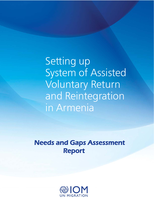Setting up System of Assisted Voluntary Return and Reintegration in Armenia

Needs and Gaps Assessment Report

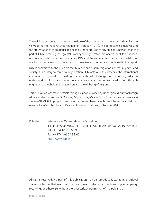The opinions expressed in this report are those of the authors and do not necessarily reflect the views of the International Organization for Migration (IOM). The designations employed and the presentation of the material do not imply the expression of any opinion whatsoever on the part of IOM concerning the legal status of any country, territory, city or area, or of its authorities, or concerning its frontiers or boundaries. IOM and the authors do not accept any liability for any loss or damage which may arise from the reliance on information contained in this report.

IOM is committed to the principle that humane and orderly migration benefits migrants and society. As an intergovernmental organization, IOM acts with its partners in the international community to: assist in meeting the operational challenges of migration; advance understanding of migration issues; encourage social and economic development through migration; and uphold the human dignity and well-being of migrants.

Publisher: International Organization for Migration 14 Petros Adamyan Street, 1st floor • UN House • Yerevan 0010 • Armenia Tel: (+374 10) 58 56 92 Fax: (+374 10) 54 33 65 http://www.iom.int

All rights reserved. No part of this publication may be reproduced, stored in a retrieval system, or transmitted in any form or by any means, electronic, mechanical, photocopying, recording, or otherwise without the prior written permission of the publisher.

PUB2021/089/R

This publication was made possible through support provided by Norwegian Ministry of Foreign Affairs, under the terms of *"Enhancing Migrants' Rights and Good Governance in Armenia and Georgia"* (EMERGE) project. The opinions expressed herein are those of the author and do not necessarily reflect the views of IOM and Norwegian Ministry of Foreign Affairs.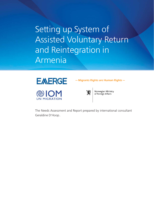Setting up System of Assisted Voluntary Return and Reintegration in Armenia





W.

Norwegian Ministry of Foreign Affairs

— Migrants Rights are Human Rights —

The Needs Assessment and Report prepared by international consultant Geraldine D'Hoop․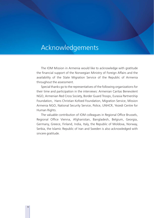# Acknowledgements

The IOM Mission in Armenia would like to acknowledge with gratitude the financial support of the Norwegian Ministry of Foreign Affairs and the availability of the State Migration Service of the Republic of Armenia throughout the assessment.

Special thanks go to the representatives of the following organizations for their time and participation in the interviews: Armenian Caritas Benevolent NGO, Armenian Red Cross Society, Border Guard Troops, Eurasia Partnership Foundation, Hans Christian Kofoed Foundation, Migration Service, Mission Armenia NGO, National Security Service, Police, UNHCR, Yezedi Centre for Human Rights.

The valuable contribution of IOM colleagues in Regional Office Brussels, Regional Office Vienna, Afghanistan, Bangladesh, Belgium, Georgia, Germany, Greece, Finland, India, Italy, the Republic of Moldova, Norway, Serbia, the Islamic Republic of Iran and Sweden is also acknowledged with sincere gratitude.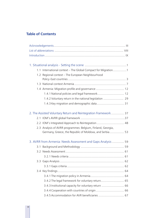# **Table of Contents**

| 1.1 International context - The Global Compact for Migration1   |  |
|-----------------------------------------------------------------|--|
| 1.2 Regional context - The European Neighbourhood               |  |
|                                                                 |  |
|                                                                 |  |
| 1.4 Armenia: Migration profile and governance  12               |  |
| 1.4.1 National policies and legal framework 12                  |  |
| 1.4.2 Voluntary return in the national legislation  29          |  |
|                                                                 |  |
| 2. The Assisted Voluntary Return and Reintegration Framework 37 |  |
|                                                                 |  |
| 2.2 IOM's Integrated Approach to Reintegration  48              |  |
| 2.3 Analysis of AVRR programmes: Belgium, Finland, Georgia,     |  |
| Germany, Greece, the Republic of Moldova, and Serbia 53         |  |
| 3. AVRR from Armenia: Needs Assessment and Gaps Analysis  59    |  |
|                                                                 |  |
|                                                                 |  |
|                                                                 |  |
|                                                                 |  |
|                                                                 |  |
|                                                                 |  |
|                                                                 |  |
| 3.4.2 The legal framework for voluntary return 65               |  |
|                                                                 |  |
|                                                                 |  |
| 3.4.5 Accommodation for AVR beneficiaries  67                   |  |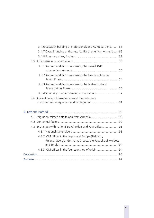| 3.4.6 Capacity-building of professionals and AVRR partners 68                                                      |  |
|--------------------------------------------------------------------------------------------------------------------|--|
| 3.4.7 Overall funding of the new AVRR scheme from Armenia  69                                                      |  |
|                                                                                                                    |  |
|                                                                                                                    |  |
| 3.5.1 Recommendations concerning the overall AVRR                                                                  |  |
| 3.5.2 Recommendations concerning the Pre-departure and                                                             |  |
| 3.5.3 Recommendations concerning the Post-arrival and                                                              |  |
| 3.5.4 Summary of actionable recommendations  77                                                                    |  |
| 3.6 Roles of national stakeholders and their relevance<br>to assisted voluntary return and reintegration  81       |  |
|                                                                                                                    |  |
| 4.1 Migration-related data to and from Armenia 90                                                                  |  |
|                                                                                                                    |  |
| 4.3 Exchanges with national stakeholders and IOM offices 93                                                        |  |
|                                                                                                                    |  |
| 4.3.2 IOM offices in the region and Europe (Belgium,<br>Finland, Georgia, Germany, Greece, the Republic of Moldova |  |
| 4.3.3 IOM offices in the four countries of origin 94                                                               |  |
|                                                                                                                    |  |
|                                                                                                                    |  |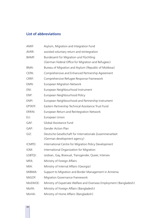# **List of abbreviations**

| AMIF:        | Asylum, Migration and Integration Fund                              |  |
|--------------|---------------------------------------------------------------------|--|
| AVRR:        | assisted voluntary return and reintegration                         |  |
| <b>BAMF:</b> | Bundesamt für Migration und Flüchtling                              |  |
|              | (German Federal Office for Migration and Refugees)                  |  |
| BMA:         | Bureau of Migration and Asylum (Republic of Moldova)                |  |
| CEPA:        | Comprehensive and Enhanced Partnership Agreement                    |  |
| CRRF:        | Comprehensive Refugee Response Framework                            |  |
| EMN:         | <b>European Migration Network</b>                                   |  |
| ENI:         | European Neighbourhood Instrument                                   |  |
| ENP:         | European Neighbourhood Policy                                       |  |
| ENPI:        | European Neighbourhood and Partnership Instrument                   |  |
| EPTATF:      | Eastern Partnership Technical Assistance Trust Fund                 |  |
| ERRIN:       | European Return and Reintegration Network                           |  |
| EU:          | European Union                                                      |  |
| GAF:         | Global Assistance Fund                                              |  |
| GAP:         | <b>Gender Action Plan</b>                                           |  |
| $GIZ$ :      | Deutsche Gesellschaft für Internationale Zusammenarbeit             |  |
|              | (German development agency)                                         |  |
| ICMPD:       | International Centre for Migration Policy Development               |  |
| IOM:         | International Organization for Migration                            |  |
| LGBTQI:      | Lesbian, Gay, Bisexual, Transgender, Queer, Intersex                |  |
| MFA:         | Ministry of Foreign Affairs                                         |  |
| MIA:         | Ministry of Internal Affairs (Georgia)                              |  |
| MIBMA:       | Support to Migration and Border Management in Armenia               |  |
| MiGOF:       | Migration Governance Framework                                      |  |
| MoEWOE:      | Ministry of Expatriate Welfare and Overseas Employment (Bangladesh) |  |
| MoFA:        | Ministry of Foreign Affairs (Bangladesh)                            |  |
| MoHA:        | Ministry of Home Affairs (Bangladesh)                               |  |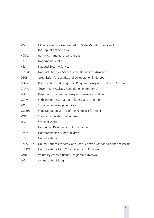| MS:      | Migration Service (as referred to "State Migration Service of<br>the Republic of Armenia") |  |
|----------|--------------------------------------------------------------------------------------------|--|
| NGOs:    | non-governmental organizations                                                             |  |
| NK:      | Nagorno Karabakh                                                                           |  |
| NSS:     | <b>National Security Service</b>                                                           |  |
| NSSRA:   | National Statistical Service of the Republic of Armenia                                    |  |
| OSCE:    | Organistion for Security and Co-operation in Europe                                        |  |
| REAG:    | Reintegration and Emigration Program for Asylum-Seekers in Germany                         |  |
| GARP:    | Government Assisted Repatriation Programme                                                 |  |
| REAB:    | Return and Emigration of Asylum-seekers ex-Belgium                                         |  |
| SCRM:    | Serbian Commissariat for Refugees and Migration                                            |  |
| SDGs:    | Sustainable Development Goals                                                              |  |
| SMSRA:   | State Migration Service of the Republic of Armenia                                         |  |
| SOPs:    | <b>Standard Operating Procedures</b>                                                       |  |
| SoW:     | Scope of Work                                                                              |  |
| UDI:     | Norwegian Directorate for Immigration                                                      |  |
| UMC:     | Unaccompanied Minor Children                                                               |  |
| UN:      | <b>United Nations</b>                                                                      |  |
| UNESCAP: | United Nations Economic and Social Commission for Asia and the Pacific                     |  |
| UNHCR:   | United Nations High Commissioner for Refugees                                              |  |
| VARP:    | Voluntary Assisted Return Programme (Norway)                                               |  |
| VoT:     | victims of trafficking                                                                     |  |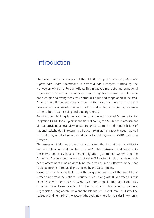# Introduction

The present report forms part of the EMERGE project "*Enhancing Migrants*' *Rights and Good Governance in Armenia and Georgia*", funded by the Norwegian Ministry of Foreign Affairs. This initiative aims to strengthen national capacities in the fields of migrants' rights and migration governance in Armenia and Georgia and strengthen cross-border dialogue and cooperation in the area. Among the different activities foreseen in the project is the assessment and development of an assisted voluntary return and reintegration (AVRR) system in Armenia both as a receiving and sending country.

Building upon the long-lasting experience of the International Organization for Migration (IOM) for 41 years in the field of AVRR, the AVRR needs assessment aims at providing an overview of existing practices, roles, and responsibilities of national stakeholders in returning third country migrants, capacity needs, as well as producing a set of recommendations for setting-up an AVRR system in Armenia.

This assessment falls under the objective of strengthening national capacities to enhance rule of law and maintain migrants' rights in Armenia and Georgia. As these two countries have different migration governance system and the Armenian Government has no structural AVRR system in place to date, such needs assessment aims at identifying the best and most effective model that could be further introduced and applied by the Government.

Based on key data available from the Migration Service of the Republic of Armenia and from the National Security Service, along with IOM Armenia's past experience with some ad hoc AVRR cases from Armenia, four target countries of origin have been selected for the purpose of this research, namely: Afghanistan, Bangladesh, India and the Islamic Republic of Iran. This list will be revised over time, taking into account the evolving migration realities in Armenia.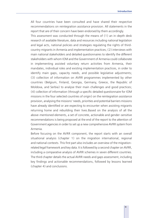All four countries have been consulted and have shared their respective recommendations on reintegration assistance provision. All statements in the report that are of their concern have been endorsed by them accordingly.

This assessment was conducted through the means of (1) an in-depth desk research of available literature, data and resources including national legislation and legal acts, national policies and strategies regulating the rights of thirdcountry migrants in Armenia and implementation practices; (2) interviews with main national stakeholders and detailed questionnaires to identify the different stakeholders with whom IOM and the Government of Armenia could collaborate in implementing assisted voluntary return activities from Armenia, their mandates, individual roles and existing implementation practices, in order to identify main gaps, capacity needs, and possible legislative adjustments; (3) collection of information on AVRR programmes implemented by other countries (Belgium, Finland, Georgia, Germany, Greece, the Republic of Moldova, and Serbia) to analyse their main challenges and good practices; (4) collection of information (through a specific detailed questionnaire for IOM missions in the four selected countries of origin) on the reintegration assistance provision, analysing the missions' needs, priorities and potential barriers missions have already identified or are expecting to encounter when assisting migrants returning home and rebuilding their lives.Based on the analysis of all the above-mentioned elements, a set of concrete, actionable and gender-sensitive recommendations is being proposed at the end of the report to the attention of Government agencies in order to set up a new comprehensive AVRR system from Armenia.

Before focusing on the AVRR component, the report starts with an overall situational analysis (chapter 1) on the migration international, regional and national contexts. This first part also includes an overview of the migrationrelated legal framework and key data. It is followed by a second chapter on AVRR, including a comparative analysis of AVRR schemes in seven different countries. The third chapter details the actual AVRR needs and gaps assessment, including key findings and actionable recommendations, followed by lessons learned (chapter 4) and conclusions.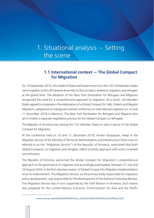# 1. Situational analysis - Setting the scene

# **1.1 International context - The Global Compact for Migration**

On 19 September 2016, the Heads of State and Government from the 193 UN Member States came together at the UN General Assembly to discuss topics related to migration and refugees at the global level. The adoption of the New York Declaration for Refugees and Migrants recognized the need for a comprehensive approach to migration. As a result, UN Member States agreed to cooperate in the elaboration of a Global Compact for Safe, Orderly and Regular Migration, adopted at an intergovernmental conference on international migration on 10 and 11 December 2018 in Morocco. The New York Declaration for Refugees and Migrants also set in motion a separate negotiation process for the Global Compact on Refugees.

The Republic of Armenia was among the 152 Member States to vote in favour of the Global Compact for Migration.

At the conference held on 10 and 11 December 2018, Armen Ghazaryan, Head of the Migration Service of the Ministry of Territorial Administration and Infrastructure (from now on referred to as the "Migration Service") of the Republic of Armenia, welcomed that both Global Compacts, on migration and refugees, reflect a holistic approach with action-oriented commitments.

The Republic of Armenia welcomed the Global Compact for Migration's comprehensive approach to the governance of migration and accordingly participated, between 27 July and 25 August 2020, in the first voluntary review<sup>1</sup> of Global Compact for Migration implementation since its endorsement. The Migration Service, as the primary body responsible for migration policy development, was responsible for the development of the National Voluntary Review. The Migration Service was in turn supported by the IOM Mission in Armenia. Such review was prepared for the United Nations Economic Commissioner for Asia and the Pacific

<sup>1</sup> www.unescap.org/sites/default/files/Armenia\_Voluntary%20GCM%20Survey%20Report.pdf.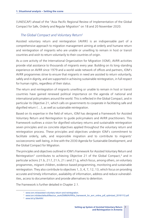(UNESCAP) ahead of the "Asia-Pacific Regional Review of Implementation of the Global Compact for Safe, Orderly and Regular Migration" on 18 and 20 November 2020.

## *The Global Compact and Voluntary Return2*

Assisted voluntary return and reintegration (AVRR) is an indispensable part of a comprehensive approach to migration management aiming at orderly and humane return and reintegration of migrants who are unable or unwilling to remain in host or transit countries and wish to return voluntarily to their countries of origin.

As a core activity of the International Organization for Migration (IOM), AVRR activities provide vital assistance to thousands of migrants every year. Building on its long-standing experience on AVRR since 1979 and a world-wide network of offices and partners, IOM's AVRR programmes strive to ensure that migrants in need are assisted to return voluntarily, safely and in dignity, and are supported in achieving sustainable reintegration, in full respect for human rights, regardless of their status.

The return and reintegration of migrants unwilling or unable to remain in host or transit countries have gained renewed political importance on the agenda of national and international policymakers around the world. This is reflected in the Global Compact, and in particular its Objective 21, which calls on governments to cooperate in facilitating safe and dignified return (…), as well as sustainable reintegration.

Based on its expertise in the field of return, IOM has designed a Framework for Assisted Voluntary Return and Reintegration to guide policymakers and AVRR practitioners. This Framework outlines a vision for dignified voluntary returns and sustainable reintegration seven principles and six concrete objectives applied throughout the voluntary return and reintegration process. These principles and objectives underpin IOM's commitment to facilitate orderly, safe, and responsible migration and to contribute to migrants' socioeconomic well-being, in line with the 2030 Agenda for Sustainable Development, and the Global Compact for Migration.

The principles and objectives outlined in IOM's Framework for Assisted Voluntary Return and Reintegration<sup>3</sup> contributes to achieving Objective 21 of the Global Compact,<sup>4</sup> and in particular actions 21.b, 21.f, 21.h, 21.i and 21.g, which focus, among others, on voluntary programmes, migrant children, evidence-based programming, monitoring and sustainable reintegration. They also contribute to objectives 1, 3, 4, 7, 12, 13, which focus on providing accurate and timely information, availability of information, address and reduce vulnerabilities, access to documentation and provide alternatives to detention.

The Framework is further detailed in Chapter 2.1.

<sup>2</sup> www.iom.int/assisted-voluntary-return-and-reintegration.

<sup>&</sup>lt;sup>3</sup> www.iom.int/sites/default/files/our\_work/DMM/AVRR/a\_framework\_for\_avrr\_online\_pdf\_optimized\_20181112.pdf.

<sup>4</sup> www.bit.ly/3tikANV.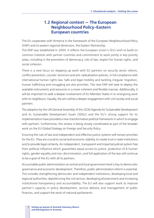# 1.2 Regional context - The European **Neighbourhood Policy-Eastern European countries**

The EU cooperates with Armenia in the framework of the European Neighbourhood Policy (ENP) and its eastern regional dimension, the Eastern Partnership.

The ENP was established in 2004. It reflects the European Union's (EU) wish to build on common interests with partner countries and commitment to work jointly in key priority areas, including in the promotion of democracy, rule of law, respect for human rights, and social cohesion.

There is a new focus on stepping up work with EU partners on security sector reform, conflict prevention, counter-terrorism and anti-radicalization policies, in full compliance with international human rights law. Safe and legal mobility and tackling irregular migration, human trafficking and smuggling are also priorities. The new ENP will seek to deploy the available instruments and resources in a more coherent and flexible manner. Additionally, it will be important to seek a deeper involvement of EU Member States in re-energizing work with its neighbours. Equally, the aim will be a deeper engagement with civil society and social partners.

The adoption by the UN General Assembly of the 2030 Agenda for Sustainable Development and its Sustainable Development Goals (SDGs) and the EU's strong support for its implementation have provided a new transformative political framework in which to engage with partners. Furthermore, this review is being closely coordinated as part of the broader work on the EU Global Strategy on Foreign and Security Policy.

Ensuring the rule of law and independent and effective justice systems will remain priorities for the EU. They are crucial to social and economic stability, to create trust in state institutions and to provide legal certainty. An independent, transparent and impartial judicial system free from political influence which guarantees equal access to justice, protection of 6 human rights, gender equality and non-discrimination, and full application of the law will continue to be a goal of the EU with all its partners.

Accountable public administration at central and local government level is key to democratic governance and economic development. Therefore, public administration reform is essential. This includes strengthening democratic and independent institutions; developing local and regional authorities; depoliticizing the civil service, developing eGovernment and increasing institutional transparency and accountability. The EU will also support work to improve partner's capacity in policy development, service delivery and management of public finances, and support the work of national parliaments.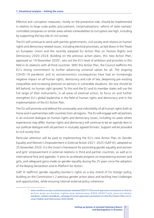Effective anti-corruption measures, mostly on the preventive side, should be implemented in relation to large-scale public procurement, (re)privatizations, reform of state-owned/ controlled companies or similar areas where vulnerabilities to corruption are high, including by supporting the key role of civil society.

The EU will continue to work with partner governments, civil society and citizens on human rights and democracy related issues, including electoral processes, as laid down in the Treaty on European Union and the recently adopted EU Action Plan on Human Rights and Democracy 2020–2024. Building on the previous action plans, this new Action Plan, approved on 19 November 2020<sup>5</sup>, sets out the EU's level of ambition and priorities in this field in its relations with all third countries. With this Action Plan, the Council reaffirms the EU's strong commitment to further advancing universal values for all. The ongoing COVID-19 pandemic and its socioeconomicc consequences have had an increasingly negative impact on all human rights, democracy and rule of law, deepening pre-existing inequalities and increasing pressure on persons in vulnerable situations. No one should be left behind, no human right ignored. To this end the EU and its member states will use the full range of their instruments, in all areas of external action, to focus on and further strengthen EU's global leadership in the field of human rights and democracy and in the implementation of the EU Action Plan.

The EU will promote and defend the universality and indivisibility of all human rights both at home and in partnerships with countries from all regions. The EU will engage with all partners in an inclusive dialogue on human rights and democracy issues, including on areas where experiences may differ. Human rights and democracy will continue to be an agenda item in our political dialogue with all partners in mutually agreed formats. Support will be provided to civil society fora.

Particular attention will be paid to implementing the EU's new Action Plan on Gender Equality and Women's Empowerment in External Action 2021–2025 (GAP III), adopted on 25 November 2020. It is the Union's framework for promoting gender equality and women and girls' empowerment in external relations in third and partner countries, as well as in international fora and agendas. It aims to accelerate progress on empowering women and girls, and safeguard gains made on gender equality during the 25 years since the adoption of the Beijing Declaration and its Platform for Action.

GAP III reaffirms gender equality/women's rights as a key strand of EU foreign policy, building on the Commission's 2 previous gender action plans and tackling new challenges and opportunities, while ensuring internal-external policy coherence.

<sup>5</sup> www.consilium.europa.eu/en/press/press-releases/2020/11/19/council-approves-conclusions-on-the-euaction-plan-on-human-rights-and-democracy-2020-2024/?utm\_source=dsmsauto&utm\_medium=email&utm\_campaign=Council+approves+conclusions+on+the+EU+Action+Plan+on+H uman+Rights+and+Democracy+2020-2024#.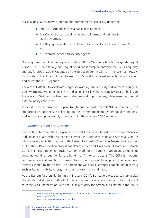It also aligns EU action with international commitments, especially under the:

- ▶ 2030 UN Agenda for sustainable development;
- $\triangleright$  UN Convention on the elimination of all forms of discrimination against women;
- $\triangleright$  UN Beijing Declaration and platform for action for advancing women's rights;
- $\triangleright$  UN women, peace and security agenda.

Drawing from the EU gender equality strategy 2020–2025, which calls for a gender-equal Europe, GAP III calls for a gender-equal world and is complementary to the LGBTIQ equality strategy for 2020–2025<sup>6</sup> (adopted by the European Commission on 11 November 2020). It will scale up the EU contribution to reach SDG 57 in all EU internal and external policy areas and across the 2030 Agenda.

The aim of GAP III is to accelerate progress towards gender equality and women's and girls' empowerment, by setting objectives and action in six key thematic policy areas. It builds on the previous GAPs and tackles new challenges and opportunities, while ensuring internal external policy coherence.

It should further inform the European Neighbourhood Instrument (ENI) programming, and supporting ENP partners in delivering on their commitments to gender equality and girls' and women's empowerment, in line also with the universal 2030 Agenda.

## *European Union and Armenia*

The relations between the European Union and Armenia are based on the Comprehensive and Enhanced Partnership Agreement between the European Union and Armenia (CEPA),<sup>8</sup> which was signed in the margins of the Eastern Partnership Summit in Brussels in November 2017. The CEPA verification process has already ended and it will enter into force on 1 March 2021. The new agreement provides a framework for the European Union and Armenia to continue working together for the benefit of Armenian citizens. The CEPA is modern, comprehensive and ambitious. It takes into account the new global, political and economic interests shared by both sides. The agreement will enable stronger cooperation in sectors such as human mobility, energy, transport, environment and trade.

At the Eastern Partnership Summit in Brussels 2017, EU leaders pledged to start a visa liberalization dialogue (VLD) with Armenia, but an official announcement of a VLD is still to come. Visa liberalization with the EU is a priority for Armenia, as stated in the 2019

<sup>6</sup> www.eur-lex.europa.eu/legal-content/EN/TXT/PDF/?uri=CELEX:52020DC0698&from=EN.

<sup>7</sup> www.bit.ly/3vFvVZL.

<sup>8</sup> www.eeas.europa.eu/cepa-agreement-en.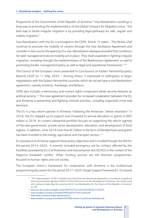Programme of the Government of the Republic of Armenia.<sup>9</sup> Visa liberalization would go a long way to promoting the implementation of the Global Compact for Migration since, "the best way to tackle irregular migration is by providing legal pathways for safe, regular and orderly migration."

Visa liberalization with the EU is envisaged in the CEPA. Article 15 states: "*The Parties shall continue to promote the mobility of citizens through the Visa-facilitation Agreement and consider in due course the opening of a visa-liberalization dialogue provided that conditions for well-managed and secure mobility are in place. They shall cooperate in fighting irregular migration, including through the implementation of the Readmission Agreement, as well as promoting border-management policy as well as legal and operational frameworks*."<sup>10</sup>

The Council of the European Union presented its Conclusions on Eastern Partnership policy beyond 2020 on 11 May 2020.<sup>11</sup> Among others, it expressed its willingness to begin negotiations with the Eastern Partnership countries which do not yet have a visa liberalization agreement, namely Armenia, Azerbaijan and Belarus.

CEPA also includes a democracy and human rights component while security features as political priority.12 The new agreement provides for increased cooperation between the EU and Armenia in preventing and fighting criminal activities, including organized crime and terrorism.

The EU is a key reform partner in Armenia. Following the Armenian "Velvet revolution" in 2018, the EU stepped up its support and increased its annual allocation in grants to  $\epsilon$ 65 million in 2019. Its current substantial portfolio focuses on supporting the reform agenda of the new government, private sector development, education, and development of focal regions. In addition, since 2014 more than €1 billion in the form of blended loans and grants has been invested in the energy, agriculture and transport sectors.<sup>13</sup>

EU assistance to Armenia supports these policy objectives and is funded through the ENI for the period 2014–2020. It recently included emergency aid for civilians affected by the hostilities provided by EU Civil Protection and Humanitarian Aid (ECHO) in the context of the Nagorno Karabakh conflict. Other funding sources are the thematic programmes, focused on human rights and civil society.

The European Union's framework for cooperation with Armenia is the multiannual programming document for the period 2017–2020 (Single Support Framework). It is based

<sup>9</sup> "The implementation of the Comprehensive and Enhanced Partnership Agreement is considered a significant factor promoting the agenda of reforms of the Government for the development of Armenia. The Government will continue to take steps for ensuring the EU visa liberalization for the citizens of the Republic of Armenia"

<sup>(</sup>p.18). 10 www.eur-lex.europa.eu/legal-content/EN/TXT/?uri=CELEX%3A52017JC0037.

<sup>11</sup> www.consilium.europa.eu/media/43905/st07510-re01-en20.pdf.

<sup>12</sup> www.eeas.europa.eu/cepa-agreement-en.

<sup>13</sup> www.consilium.europa.eu/media/44397/685-annex-5-a-armenia-factsheet.pdf.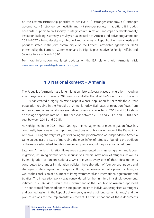on the Eastern Partnership priorities to achieve a: (1)stronger economy, (2) stronger governance, (3) stronger connectivity and (4) stronger society. In addition, it includes horizontal support to civil society, strategic communication, and capacity development/ institution building. Currently a multiyear EU-Republic of Armenia indicative programme for 2021–2027 is being developed, which will mostly focus on Republic of Armenia needs and priorities stated in the joint communique on the Eastern Partnership agenda for 2020 presented by the European Commission and EU High Representative for Foreign Affairs and Security Policy in March 2020.

For more information and latest updates on the EU relations with Armenia, click www.eeas.europa.eu/delegations/armenia\_en.

# **1.3 National context – Armenia**

The Republic of Armenia has a long migration history. Several waves of migration, including after the genocide in the early 20th century, and after the fall of the Soviet Union in the early 1990s has created a highly diverse diaspora whose population far exceeds the current population residing in the Republic of Armenia today. Estimates of migration flows from Armenia based on nationally representative survey data collected in 2013 and 2015 show an average departure rate of 30,000 per year between 2007 and 2012, and 35,000 per year between 2013 and 2015.

As highlighted in the 2021–2031 Strategy, the management of mass migration flows has continually been one of the important directions of public governance of the Republic of Armenia. During the very first years following the proclamation of independence Armenia came up against the issue of managing the mass influx of refugees, founding the tradition of the newly established Republic's migration policy around the protection of refugees.

Later on, Armenia's migration flows were supplemented by mass emigration and labour migration, returning citizens of the Republic of Armenia, new influx of refugees, as well as by immigration of foreign nationals. Over the years every one of these developments contributed to changes in migration policies: the elaboration of four concept papers and strategies on state regulation of migration flows, the development of 2 plans of actions, as well as the conclusion of a number of intergovernmental and international agreements and treaties. The integration policy was consolidated for the first time in a single document, initiated in 2016. As a result, the Government of the Republic of Armenia approved "The conceptual framework for the integration policy of individuals recognized as refugees and granted asylum in the Republic of Armenia, as well as of long-term migrants," and the plan of actions for the implementation thereof. Certain limitations of these documents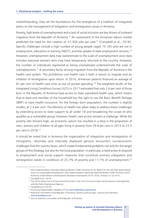notwithstanding, they set the foundations for the emergence of a tradition of integrated policy on the management of integration and reintegration issues in Armenia.

Poverty, high levels of unemployment and a lack of social inclusion are key drivers of outward migration from the Republic of Armenia.14 An assessment of the Armenian labour market predicted the need for the creation of 27,300 jobs per year<sup>15</sup> (Campbell et al., 2018). Specific challenges include a high number of young people (aged 15–29) who are not in employment, education or training (NEET); and low uptake of state employment services.<sup>16</sup> However, unemployment data may overestimate to the scale of unemployment since data includes seasonal workers who may have temporarily returned to the country. However, the number of individuals registered as being unemployed underestimate the scale of unemployment.17 A secondary factor driving migration from the Republic of Armenia is the health-care system. The prohibitive cost health care is both a reason to migrate and an inhibitor of reintegration upon return. In 2016, Armenian patients financed an average of 81 per cent of health-care costs as out-of-pocket spending.<sup>18</sup> The weighted results of the Integrated Living Conditions Survey (ILCS) in 2017 estimated that only 2.6 per cent of those born in the Republic of Armenia have access to state subsidized health care, which means that at least one member of the household has the right to use the Basic Benefit Package (BBP) or have health insurance. For the foreign-born population, the number is slightly smaller, at 2.4 per cent. The Ministry of Health has taken steps to address these challenges by extending access to state support to all under 18 and broadening the scope of who qualifies as a vulnerable group, however, health-care access remains a challenge. While the poverty rate remains high, an economic upturn has resulted in a drop in the proportion of men, women and children of all ages living in poverty from 29.8 per cent in 2015 to 23.5 per cent in 2018.19

It should be noted that in Armenia the organization of integration and reintegration of immigrants, returnees and internally displaced persons encounters socioeconomic challenges that the country faces, which create fundamental problems not only for the target groups of this Strategy, but also for the local population. In particular, a need arises to respond to employment and social support measures that constitute primary integration and reintegration needs in conditions of 25,7% of poverty and 17.7% of unemployment.<sup>20</sup>

<sup>14</sup> SDG Implementation Voluntary National Review (VNR) Armenia 2018: Report for the UN High-level Political Forum on Sustainable Development; SDG Implementation Voluntary National Review (VNR) Armenia 2020; Armenia-United Nations Development Assistance Framework 2016–2020, Yerevan 31 Jul 2015.<br><sup>15</sup> Campbell et al., 2018.<br><sup>16</sup> The 2016 Labour Force Survey found that only 6.3 per cent of economically inactive persons had regist

with the State Employment Agency.<br><sup>17</sup> Campbell et al (2018).<br><sup>18</sup> Financing Global Health Database 2018, www.healthdata.org/armenia.<br><sup>19</sup> Statistical Committee of the Republic of Armenia, Poverty Level by years, marzes an

www.armstatbank.am. 20 *Source:* Statistics Committee of the Republic of Armenia.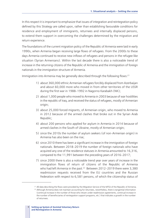In this respect it is important to emphasize that issues of integration and reintegration policy defined by this Strategy are called upon, rather than establishing favourable conditions for residence and employment of immigrants, returnees and internally displaced persons, to extend them support in overcoming the challenges determined by the migration and return experience.

The foundations of the current migration policy of the Republic of Armenia were laid in early 1990s, when Armenia began receiving large flows of refugees. From the 2000s to these days Armenia continued to receive new inflows of refugees and persons in the refugee like situation (Syrian Armenians). Within the last decade there is also a noticeable trend of increase in the returning citizens of the Republic of Armenia and the immigration of foreign nationals in the immigration structure of Armenia.

Immigration into Armenia may be generally described through the following flows: $21$ 

- 1) about 360,000 ethnic Armenian refugees forcibly displaced from Azerbaijan and about 60,000 more who moved in from other territories of the USSR during the first war in 1988–1992 in Nagorno Karabakh (NK);
- 2) about 1,000 people who moved to Armenia in 2003 because of war hostilities in the republic of Iraq, and received the status of refugees, mostly of Armenian origin;
- 3) about 25,000 forced migrants, of Armenian origin, who moved to Armenia in 2012 because of the armed clashes that broke out in the Syrian Arab Republic;
- 4) about 200 persons who applied for asylum in Armenia in 2014 because of armed clashes in the South of Ukraine, mostly of Armenian origin;
- 5) since the 2010s the number of asylum seekers (of non-Armenian origin) in Armenia has also been on the rise;
- 6) since 2010 there has been a significant increase in the immigration of foreign nationals. Between 2018–2019 the number of foreign nationals who have acquired any one of the residence statuses in Armenia amounted to 16,316, compared to the 11,991 between the preceding years of 2016–2017;
- 7) since 2000 there is also a noticeable trend year over years of increase in the immigration flows of return of citizens of the Republic of Armenia who had left Armenia in the past.<sup>22</sup> Between 2012–2019 there were 3,380 readmission requests received from the EU countries and the Russian Federation with respect to 6,581 persons, of which the citizenship status of

<sup>&</sup>lt;sup>21</sup> All data describing the flows were provided by the Migration Service of the MTGI of the Republic of Armenia.<br><sup>22</sup> Although Armenia does not maintain accounting for returnees, nevertheless, there is tangential informa

<sup>(</sup>continual increase in the number of those who retuen under readmission agreements, continual increase in the number of benefixciaries of reintegration support programs, etc.) that indicates a growth in the number of returnees.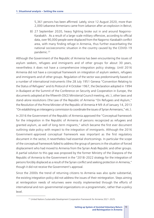5,361 persons has been affirmed. Lately, since 12 August 2020, more than 2,000 Lebanese Armenians came from Lebanon after an explosion in Beirut;

8) 27 September 2020, heavy fighting broke out in and around Nagorno-Karabakh. As a result of a large-scale military offensive, according to official data, over 90,000 people were displaced from the Nagorno-Karabakh conflict area, with many finding refuge in Armenia, thus further exacerbating the national socioeconomic situation in the country caused by the COVID-19 pandemic.<sup>23</sup>

Although the Government of the Republic of Armenia has been encountering the issues of asylum seekers, refugees and immigrants and of other groups for about 30 years, nevertheless it does not have a comprehensive integration policy strategy. Until 2016 Armenia did not have a conceptual framework on integration of asylum seekers, refugees and immigrants and of other groups. Regulation of the sector was predominantly based on a number of international instruments (the 28 July 1951 Geneva "Convention Relating to the Status of Refugees" and its Protocol of 4 October 1967, the Declaration adopted in 1994 in Budapest at the Summit of the Conference on Security and Cooperation in Europe, the documents adopted at the fifteenth OSCE Ministerial Council meeting, etc.), other laws and stand-alone resolutions (the Law of the Republic of Armenia "On Refugees and Asylum," the Resolution of the Prime Minister of the Republic of Armenia # N9-A of January 14, 2013 "On establishing an interagency commission to coordinate the issues of Syrian Armenians," etc.).

In 2016 the Government of the Republic of Armenia approved the "Conceptual framework for the integration in the Republic of Armenia of persons recognized as refugees and granted asylum, as well of long-term migrants," which became the first ever document outlining state policy with respect to the integration of immigrants. Although the 2016 Government-approved conceptual framework was important as the first regulatory document in the sector, it nevertheless had essential shortcomings. In particular the scope of the conceptual framework failed to address the group of persons in the situation of forced displacement who had moved to Armenia from the Syrian Arab Republic and other groups. A partial solution to this gap was proposed by the former Ministry of the Diaspora of the Republic of Armenia to the Government in the "2018–2022 strategy for the integration of persons forcibly displaced as a result of the Syrian conflict and seeking protection in Armenia," though it did not receive the Government's approval.

Since the 2000s the trend of returning citizens to Armenia was also quite substantial, the existing integration policy did not address the issues of their reintegration. Steps aiming at reintegration needs of returnees were mostly implemented through the efforts of international and non-governmental organizations on a programmatic, rather than a policy level.

<sup>&</sup>lt;sup>23</sup> United Nations Sustainable Development Cooperation Framework for Armenia 2021-2025.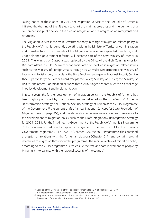Taking notice of these gaps, in 2019 the Migration Service of the Republic of Armenia initiated the drafting of this Strategy to chart the main approaches and interventions of a comprehensive public policy in the area of integration and reintegration of immigrants and returnees.

The Migration Service is the main Government body in charge of migration-related policy in the Republic of Armenia, currently operating within the Ministry of Territorial Administration and Infrastructures. The mandate of the Migration Service has expanded over time, and, under planned government reforms, will become part of the new Ministry of Interior in 2021. The Ministry of Diaspora was replaced by the Office of the High Commissioner for Diaspora Affairs in 2019. Many other agencies are also involved in migration-related issues such as the Ministry of Foreign Affairs through its Consular Department; The Ministry of Labour and Social Issues, particularly the State Employment Agency; National Security Service (NSS), particularly the Border Guard troops; the Police; Ministry of Justice; the Ministry of Health, and others. Coordination between these various agencies continues to be a challenge in policy development and implementation.

In recent years, the further development of migration policy in the Republic of Armenia has been highly prioritized by the Government as reflected in the 2020–2050 Armenia Transformation Strategy; the National Security Strategy of Armenia; the 2019 Programme of the Government;<sup>24</sup> the current draft of a new National Concept for State Regulation of Migration (see on page 35); and the elaboration of several new strategies of relevance to the development of migration policy such as the Draft Integration/ Reintegration Strategy for 2021–2031. For the first time, the Government of the Republic of Armenia's Programme 2019 contains a dedicated chapter on migration (Chapter 6.7). Like the previous Government Programme 2017–202125 (Chapter 2.2), the 2019 Programme also contained a chapter on relations with the Armenian diaspora (Chapter 2.4) and contains several references to migration throughout the programme. The main objective of migration policy, according to the 2019 programme is "to ensure the free and safe movement of people by bringing it into balance with the national security of the country".

<sup>&</sup>lt;sup>24</sup> Decision of the Government of the Republic of Armenia No 65-A of 8 February 2019 on

the "Programme of the Government of the Republic of Armenia". 25 Programe of the Government of the Republic of Armenia 2017-2022, Annex to Decision of the Government of the Republic of Armenia No 646-A of 19 June 2017.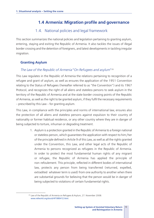# **1.4 Armenia: Migration profile and governance**

# 1.4. National policies and legal framework

This section summarizes the national policies and legislation pertaining to granting asylum, entering, staying and exiting the Republic of Armenia. It also tackles the issues of illegal border crossing and the detention of foreigners, and latest developments in tackling irregular migration.

## **Granting Asylum**

## *The Law of the Republic of Armenia* "*On Refugees and asylum*"<sup>26</sup>

This Law regulates in the Republic of Armenia the relations pertaining to recognition of a refugee and grant of asylum, as well as ensures the application of the 1951 Convention relating to the Status of Refugees (hereafter referred to as "the Convention") and its 1967 Protocol, and recognizes the right of all aliens and stateless persons to seek asylum in the territory of the Republic of Armenia and at the state border crossing points of the Republic of Armenia, as well as the right to be granted asylum, if they fulfil the necessary requirements – prescribed by this Law – for granting asylum.

This Law, in compliance with the principles and norms of international law, ensures also the protection of all aliens and stateless persons against expulsion to their country of nationality or former habitual residence, or any other country where they are in danger of being subjected to torture, inhuman or degrading treatment.

> 1. Asylum is a protection granted in the Republic of Armenia to a foreign national or stateless person, which guarantees the application with respect to him/her of the principle defined in Article 9 of this Law, as well as all the rights granted under the Convention, this Law, and other legal acts of the Republic of Armenia to persons recognized as refugees in the Republic of Armenia. In order to protect the most fundamental human rights of any migrant or refugee, the Republic of Armenia has applied the principle of non-refoulement. This principle, reflected in different bodies of international law, protects any person from being transferred (returned, expelled, extradited whatever term is used) from one authority to another when there are substantial grounds for believing that the person would be in danger of being subjected to violations of certain fundamental rights.

<sup>&</sup>lt;sup>26</sup> Law of the Republic of Armenia on Refugees & Asylum, 27. November 2008: www.refworld.org/docid/4f1986412.html.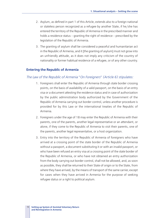- 2. Asylum, as defined in part 1 of this Article, extends also to a foreign national or stateless person recognized as a refugee by another State, if he/she has entered the territory of the Republic of Armenia in the prescribed manner and holds a residence status – granting the right of residence – prescribed by the legislation of the Republic of Armenia.
- 3. The granting of asylum shall be considered a peaceful and humanitarian act in the Republic of Armenia, and it [the granting of asylum] must not grow into an unfriendly attitude, as it does not imply any criticism of the country of nationality or former habitual residence of a refugee, or of any other country.

#### **Entering the Republic of Armenia**

#### *The Law of the Republic of Armenia* "*On Foreigners*" *(Article 6) stipulates:*

- 1. Foreigners shall enter the Republic of Armenia through state border crossing points, on the basis of availability of a valid passport, on the basis of an entry visa or a document attesting the residence status and in case of authorization by the public administration body authorized by the Government of the Republic of Armenia carrying out border control, unless another procedure is provided for by this Law or the international treaties of the Republic of Armenia.
- 2. Foreigners under the age of 18 may enter the Republic of Armenia with their parents, one of the parents, another legal representative or an attendant, or alone, if they come to the Republic of Armenia to visit their parents, one of the parents, another legal representative, or a host organization.
- 3. Entry into the territory of the Republic of Armenia of foreigners who have arrived at a crossing point of the state border of the Republic of Armenia without a passport, a document substituting it or with an invalid passport, or who have been refused an entry visa at a crossing point of the state border of the Republic of Armenia, or who have not obtained an entry authorization from the body carrying out border control, shall not be allowed, and, as soon as possible, they shall be returned to their State of origin or to the State, from where they have arrived, by the means of transport of the same carrier, except for cases when they have arrived in Armenia for the purpose of seeking refugee status or a right to political asylum.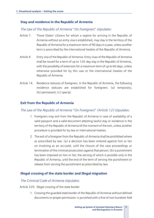## **Stay and residence in the Republic of Armenia**

### *The Law of the Republic of Armenia* "*On Foreigners*" *stipulates:*

- Article 7. Those States' citizens for whom a regime for arriving in the Republic of Armenia without an entry visa is established, may stay in the territory of the Republic of Armenia for a maximum term of 90 days in a year, unless another term is prescribed by the international treaties of the Republic of Armenia.
- Article 9. Entry visa of the Republic of Armenia: Entry visas of the Republic of Armenia shall be issued for a term of up to 120-day stay in the Republic of Armenia, with the possibility of extension for a maximum term of up to 60 days, unless otherwise provided for by this Law or the international treaties of the Republic of Armenia.
- Article 14. Residence statuses of foreigners. In the Republic of Armenia, the following residence statuses are established for foreigners: (a) temporary; (b) permanent; (c) special.

## **Exit from the Republic of Armenia**

### *The Law of the Republic of Armenia* "*On Foreigners*" *(Article 12) stipulates:*

- 1. Foreigners may exit from the Republic of Armenia in case of availability of a valid passport and a valid document attesting lawful stay or residence in the territory of the Republic of Armenia till the moment of the exit, unless another procedure is provided for by law or international treaties.
- 2. The exit of a foreigner from the Republic of Armenia shall be prohibited where as prescribed by law: (a) a decision has been entered against him or her on involving as an accused, until the closure of the case proceedings or termination of the criminal prosecution against that person; (b) a punishment has been imposed on him or her, the serving of which is possible only in the Republic of Armenia, until the end of the term of serving the punishment or release from serving the punishment as prescribed by law.

## **Illegal crossing of the state border and illegal migration**

#### *The Criminal Code of Armenia stipulates:*

Article 329: Illegal crossing of the state border

1. Crossing the guarded state border of the Republic of Armenia without defined documents or proper permission: is punished with a fine of two hundred-fold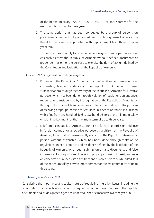of the minimum salary (AMD 1,000  $\approx$  USD 2), or imprisonment for the maximum term of up to three years.

- 2. The same action that has been conducted by a group of persons on preliminary agreement or by organized group or through use of violence or a threat to use violence: is punished with imprisonment from three to seven years term.
- 3. This article doesn't apply to cases, when a foreign citizen or person without citizenship enters the Republic of Armenia without defined documents or proper permission for the purpose to exercise the right of asylum defined by the Constitution and legislation of the Republic of Armenia.

#### Article 329.1: Organization of illegal migration

- 1. Entrance to the Republic of Armenia of a foreign citizen or person without citizenship, his/her residence in the Republic of Armenia or transit (transportation) through the territory of the Republic of Armenia for lucrative purpose, which has been done through violation of regulations on entrance, residence or transit defined by the legislation of the Republic of Armenia, or through submission of false documents or false information for the purpose of receiving proper permission for entrance, residence or transit: is punished with a fine from one hundred-fold to two hundred-fold of the minimum salary or with imprisonment for the maximum term of up to three years.
- 2. Exit from the Republic of Armenia, entrance to foreign countries or residence in foreign country for a lucrative purpose by a citizen of the Republic of Armenia, foreign citizen permanently residing in the Republic of Armenia or person without citizenship, which has been done through violation of regulations on exit, entrance and residency defined by the legislation of the Republic of Armenia, or through submission of false documents and false information for the purpose of receiving proper permission for exit, entrance or residence: is punished with a fine from one hundred-fold to two hundred-fold of the minimum salary, or with imprisonment for the maximum term of up to three years.

#### *Developments in 2019*

Considering the importance and topical nature of regulating migration issues, including the organization of an effective fight against irregular migration, the authorities of the Republic of Armenia and its designated agencies undertook specific measures over the year 2019.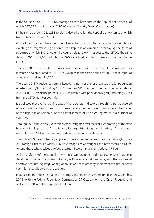In the course of 2019, 1,293,689 foreign citizens have entered the Republic of Armenia, of which 657,582 are citizens of CSTO (Collective Security Treaty Organization).<sup>27</sup>

In the same period 1,283,238 foreign citizens have left the Republic of Armenia, of which 649,656 are citizens of CSTO.

4,467 foreign citizens have been identified as having committed an administrative offence: violating the migration legislation of the Republic of Armenia (overstaying the term of sojourn), of which 3,012 were third country citizens (with respect to the CSTO). The same data for 2018 is: 3,666, of which 2,269 were third country citizens (with respect to the CSTO).

Through 2019 the number of visas issued for entry into the Republic of Armenia has increased and amounted to 106,082, whereas in the same period of 2018 the number of entry visa issued was 91,275.

There were 9,574 residence permits issued, the number of those registered (with population registry) was 6,925, including 4,562 from the CSTO member countries. The same data for 2018 is: 8,653 residence permits, 4,358 registered with population registry, including 2,329 from the CSTO member countries.

It is believed that the trend of increase of these general indicators through the period covered is determined by the conclusion of international agreements on issuing visas at the border of the Republic of Armenia, or the establishment of visa-free regime with a number of countries.

Through 2019 there were 68 criminal cases instigated over facts of illicit crossing of the state border of the Republic of Armenia and, for organizing irregular migration, 10 more cases under Article 329.1 of the Criminal Code of the Republic of Armenia.

Through 2019 the number of people who have submitted requests for granting asylum was 248 foreign citizens. Of which 116 were recognized as refugees and have received asylum. Among those who received a refugee status 45 were Iranians, 31 Syrians, 17 Iraqis.

A bill, a draft Law of the Republic of Armenia "On foreigners and stateless persons" has been developed, in order to ensure conformity with international standards, with the purpose of effectively countering irregular migration, as well as to properly implement the international commitments adopted by the country.

Protocols on the implementation of Readmission Agreements were signed on 10 September, 2019, with the Federal Republic of Germany, on 21 October with the Czech Republic, and on October 28 with the Republic of Bulgaria.

<sup>&</sup>lt;sup>27</sup> Current CSTO members are Armenia, Belarus, Kazakhstan, Kyrgyzstan, the Russian Federation and Tajikistan.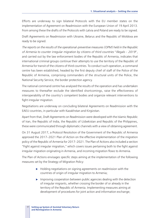Efforts are underway to sign bilateral Protocols with the EU member states on the implementation of Agreement on Readmission with the European Union of 19 April 2013. From among these the drafts of the Protocols with Latvia and Poland are ready to be signed.

Draft Agreements on Readmission with Ukraine, Belarus and the Republic of Moldova are ready to be signed.

*The reports on the results of the operational-preventive measures (OPM) held in the Republic of Armenia to counter irregular migration by citizens of third countries* "*Illegals* – *2019*", and carried out by the law enforcement bodies of the Republic of Armenia, indicates that international criminal groups continue their attempts to use the territory of the Republic of Armenia for transit of the citizens of third countries. To conduct such operation, a command centre has been established, headed by the first deputy chief of staff of the Police of the Republic of Armenia, comprising commanders of the structural units of the Police, the National Security Service, the border protection agency.

The national command centre has analysed the results of the operation and has undertaken measures to thereafter exclude the identified shortcomings, raise the effectiveness of interoperability of the country's competent bodies and organize relevant interventions to fight irregular migration.

Negotiations are underway on concluding bilateral Agreements on Readmission with the EAEU countries, in particular with Kazakhstan and Kirgizstan.

Apart from that, Draft Agreements on Readmission were developed with the Islamic Republic of Iran, the Republic of India, the Republic of Uzbekistan and Republic of the Philippines, these were communicated through diplomatic channels with a view of obtaining agreement.

On 31 August 2017, a Protocol Resolution of the Government of the Republic of Armenia approved the 2017–2021 Plan of Action on the effective implementation of the migration policy of the Republic of Armenia for 2017–2021. The Plan of Actions also included a section "Fight against irregular migration," which covers issues pertaining both to the fight against irregular migration originating in Armenia, and incoming migration flows to Armenia.

The Plan of Actions envisages specific steps aiming at the implementation of the following measures set by the Strategy of Migration Policy:

- $\blacktriangleright$  Holding negotiations on signing agreements on readmission with the countries of origin of irregular migration to Armenia;
- $\blacktriangleright$  Improving cooperation between public agencies dealing with the detection of irregular migrants, whether crossing the border of or already in the territory of the Republic of Armenia. Implementing measures aiming at development of procedures for joint action and information exchange;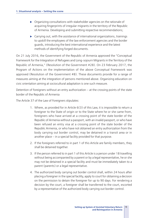- $\triangleright$  Organizing consultations with stakeholder agencies on the rationale of acquiring fingerprints of irregular migrants in the territory of the Republic of Armenia. Developing and submitting respective recommendations;
- $\triangleright$  Carrying out, with the assistance of international organizations, trainings to upskill the employees of the law enforcement agencies and the border guards, introducing the best international experience and the latest methods of identifying forged documents.

On 21 July 2016, the Government of the Republic of Armenia approved the "Conceptual Framework for the Integration of Refugees and Long-sojourn Migrants in the Territory of the Republic of Armenia," (Resolution of the Government #28). On 23 February 2017, the Program of Actions on the implementation of the above Conceptual Framework was approved (Resolution of the Government #8). These documents provide for a range of measures aiming at the integration of persons mentioned above. Organizing education on civic orientation aiming at sociocultural adaptation is one such measure.

Detention of foreigners without an entry authorization — at the crossing points of the state border of the Republic of Armenia

The Article 37 of the Law of Foreigners stipulates:

- 1. Where, as provided for in Article 6(3) of this Law, it is impossible to return a foreigner to the State of origin or to the State where he or she came from, foreigners who have arrived at a crossing point of the state border of the Republic of Armenia without a passport, with an invalid passport, or who have been refused an entry visa at a crossing point of the state border of the Republic Armenia, or who have not obtained an entry authorization from the body carrying out border control, may be detained in a transit area or in another place — in a special facility provided for that purpose.
- 2. If the foreigners referred to in part 1 of this Article are family members, they shall be detained together.
- 3. If the person referred to in part 1 of this Article is a person under 18 travelling without being accompanied by a parent or by a legal representative, he or she may not be detained in a special facility and must be immediately taken to a parent (parents) or a legal representative.
- 4. The authorized body carrying out border control shall, within 24 hours after placing a foreigner in the special facility, apply to court for obtaining a decision on the permission to detain the foreigner for up to 90 days. For rendering a decision by the court, a foreigner shall be transferred to the court, escorted by a representative of the authorized body carrying out border control.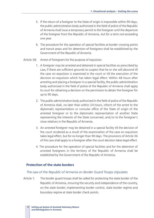- 5. If the return of a foreigner to the State of origin is impossible within 90 days, the public administration body authorized in the field of police of the Republic of Armenia shall issue a temporary permit to the foreigner until the departure of the foreigner from the Republic of Armenia, but for a term not exceeding one year.
- 6. The procedure for the operation of special facilities at border crossing points and transit areas and for detention of foreigners shall be established by the Government of the Republic of Armenia
- Article 38: Arrest of foreigners for the purpose of expulsion.
	- 1. A foreigner may be arrested and detained in special facilities as prescribed by Law, if there are sufficient grounds to suspect that he or she will abscond till the case on expulsion is examined in the court or till the execution of the decision on expulsion which has taken legal effect. Within 48 hours after arresting and placing a foreigner in a special facility, the public administration body authorized in the field of police of the Republic of Armenia shall apply to court for obtaining a decision on the permission to detain the foreigner for up to 90 days.
	- 2. The public administration body authorized in the field of police of the Republic of Armenia shall, no later than within 24 hours, inform of the arrest to the diplomatic representation or consular office of the State of origin of the arrested foreigner or to the diplomatic representation of another State representing the interests of the State concerned, and/or to the foreigner's close relatives in the Republic of Armenia.
	- 3. An arrested foreigner may be detained in a special facility till the decision of the court rendered as a result of the examination of the case on expulsion takes legal effect, but for no longer than 90 days. The provisions of Article 36 of this Law shall apply to a foreigner after the court decision takes legal effect.
	- 4. The procedure for the operation of special facilities and for the detention of arrested foreigners in the territory of the Republic of Armenia shall be established by the Government of the Republic of Armenia.

#### **Protection of the state borders**

#### *The Law of the Republic of Armenia on Border Guard Troops stipulates*

Article 1: The border guard troops shall be called for protecting the state border of the Republic of Armenia, ensuring the security and independence of the country, on the state border, implementing border control, state border regime and boundary regime at state border check points.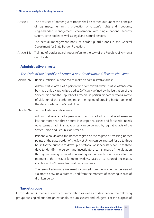Article 3: The activities of border guard troops shall be carried out under the principle of legitimacy, humanism, protection of citizen's rights and freedoms, single-handed management, cooperation with single national security system, state bodies as well as legal and natural persons.

> The central management body of border guard troops is the General Department for State Border Protection.

Article 14: Training of border guard troops refers to the Law of the Republic of Armenia on Education.

#### **Administrative arrests**

#### *The Code of the Republic of Armenia on Administrative Offenses stipulates:*

Article 261: Bodies (officials) authorized to make an administrative arrest.

Administrative arrest of a person who committed administrative offense can be made only by authorized bodies (officials) defined by the legislation of the Soviet Union and the Republic of Armenia, in particular: border troops in case of violation of the border regime or the regime of crossing border points of the state border of the Soviet Union.

Article 262: Terms of administrative arrest.

Administrative arrest of a person who committed administrative offense can last not more than three hours; in exceptional cases and for special needs other terms of administrative arrest can be defined by legislative acts of the Soviet Union and Republic of Armenia.

Persons who violated the border regime or the regime of crossing border points of the state border of the Soviet Union can be arrested for up to three hours for the purpose to draw up a protocol, or, if necessary, for up to three days to identify the person and investigate circumstances of the violation through informing prosecutor in writing within twenty four hours after the moment of the arrest, or for up to ten days, based on sanction of prosecutor, if violators don't have identification documents.

The term of administrative arrest is counted from the moment of delivery of violator to draw up a protocol, and from the moment of sobering in case of drunken person.

#### **Target groups**

In considering Armenia a country of immigration as well as of destination, the following groups are singled out: foreign nationals, asylum seekers and refugees. For the purpose of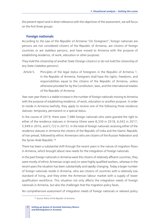the present report and in direct relevance with the objectives of the assessment, we will focus on the first three groups.

## **Foreign nationals**

According to *the Law of the Republic of Armenia* "*On Foreigners*"*,* foreign nationals are persons are not considered citizens of the Republic of Armenia, are citizens of foreign countries or are stateless persons, and have moved to Armenia with the purpose of establishing residence, of work, education or other purposes.

They hold the citizenship of another State (foreign citizens) or do not hold the citizenship of any State (stateless persons).

Article 5. Principles of the legal status of foreigners in the Republic of Armenia 1. In the Republic of Armenia, foreigners shall have the rights, freedoms, and responsibilities equal to the citizens of the Republic of Armenia, unless otherwise provided for by the Constitution, laws, and the international treaties of the Republic of Armenia.

Year over year there is a stable increase in the number of foreign nationals moving to Armenia with the purpose of establishing residence, of work, education or another purpose. In order to reside in Armenia lawfully, they apply to receive one of the following three residence statuses: temporary, permanent or a special status.

In the course of 2019, there were 7,986 foreign nationals who were granted the right to either of the residence statuses in Armenia (there were 8,330 in 2018, 6,042 in 2017, 5,949 in 2016, and 5,722 in 2015). In the total of foreign nationals receiving either of the residence statuses in Armenia the citizens of the Republic of India and the Islamic Republic of Iran prevail, followed by ethnic Armenians who are citizens of the Russian Federation and the Syrian Arab Republic.<sup>28</sup>

There has been a substantial shift through the recent years in the nature of migration flows in Armenia, which brought about new needs for the integration of foreign nationals.

In the past foreign nationals in Armenia were the citizens of relatively affluent countries, they were mostly of ethnic Armenian origin and/or were highly qualified workers, whereas in the recent years the situation has been substantially and rapidly changing. Today a larger number of foreign nationals reside in Armenia, who are citizens of countries with a relatively low standard of living, and they enter the Armenian labour market with a supply of lower qualification workforce. This situation not only affects the integration needs of foreign nationals in Armenia, but also the challenges that the migration policy faces.

No comprehensive assessment of integration needs of foreign nationals or relevant policy

<sup>28</sup> *Source:* Police of the Republic of Armenia.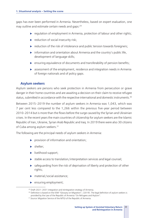gaps has ever been performed in Armenia. Nevertheless, based on expert evaluation, one may outline and estimate certain needs and gaps:<sup>29</sup>

- $\triangleright$  regulation of employment in Armenia, protection of labour and other rights;
- $\blacktriangleright$  reduction of social insecurity risk;
- $\blacktriangleright$  reduction of the risk of intolerance and public tension towards foreigners;
- $\triangleright$  information and orientation about Armenia and the country's public life, development of language skills;
- $\triangleright$  ensuring equivalence of documents and transferability of pension benefits;
- $\triangleright$  assessment of the employment, residence and integration needs in Armenia of foreign nationals and of policy gaps.

#### **Asylum seekers**

Asylum seekers are persons who seek protection in Armenia from persecution or grave danger in their home countries and are awaiting a decision on their claim to receive refugee status, submitted in accordance with the respective international and domestic instruments.<sup>30</sup>

Between 2015–2019 the number of asylum seekers in Armenia was 1,043, which was 7 per cent less compared to the 1,266 within the previous five-year period between 2010–2014 but is more than the flows before the surge caused by the Syrian and Ukrainian crises. In the recent years the main countries of citizenship for asylum seekers are the Islamic Republic of Iran, Ukraine, Syrian Arab Republic and Iraq. In 2019 there were also 30 citizens of Cuba among asylum seekers.<sup>31</sup>

The following are the principal needs of asylum seekers in Armenia:

- $\triangleright$  provision of information and orientation;
- $\blacktriangleright$  shelter:
- $\blacktriangleright$  livelihood support;
- $\triangleright$  stable access to translation/interpretation services and legal counsel;
- $\triangleright$  safeguarding from the risk of deprivation of liberty and protection of other rights;
- $\blacktriangleright$  material/social assistance;
- $\blacktriangleright$  ensuring employment;

<sup>29</sup> Draft 2021–2031 integration and reintegration strategy of Armenia.

<sup>&</sup>lt;sup>30</sup> Definition is based on the IOM "Glossary on Migration", (2019). The legal definition of asylum seekers is

provided by the Law of the Republic of Armenia "On Refugees and Asylum". 31 *Source*: Migration Service of the MTGI of the Republic of Armenia.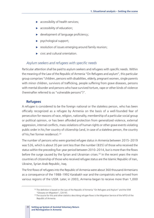- $\blacktriangleright$  accessibility of health services;
- accessibility of education;
- $\blacktriangleright$  development of language proficiency;
- psychological support;
- resolution of issues emerging around family reunion;
- $\blacktriangleright$  civic and cultural orientation.

#### *Asylum seekers and refugees with specific needs*

Particular attention shall be paid to asylum seekers and refugees with specific needs. Within the meaning of the Law of the Republic of Armenia "On Refugees and asylum", this particular group comprises "children, persons with disabilities, elderly, pregnant women, single parents with minor children, survivors of trafficking, people suffering from grave diseases, persons with mental disorder and persons who have survived torture, rape or other kinds of violence (hereinafter referred to as "vulnerable persons")".

#### **Refugees**

A refugee is considered to be the foreign national or the stateless person, who has been officially recognized as a refugee by Armenia on the basis of a well-founded fear of persecution for reasons of race, religion, nationality, membership of a particular social group or political opinion, or has been afforded protection from generalized violence, external aggression, internal conflicts, mass violations of human rights or other grave events violating public order in his/her country of citizenship (and, in case of a stateless person, the country of his/her former residence).32

The number of persons who were granted refugee status in Armenia between 2015–2019 was 526, which is about 35 per cent less than the number (835) of those who received the status within the preceding five-year period between 2010–2014, but is more than the flows before the surge caused by the Syrian and Ukrainian crises.<sup>33</sup> In the recent years the main countries of citizenship of those who received refugee status are the Islamic Republic of Iran, Ukraine, Syrian Arab Republic, Iraq.

The first flows of refugees into the Republic of Armenia were about 360 thousand Armenians as a consequence of the 1988–1992 Karabakh war and the compatriots who arrived from various regions of the USSR. Later, in 2003, Armenia began to receive more than 1,000

<sup>&</sup>lt;sup>32</sup> The definition is based on the Law of the Republic of Armenia "On Refugees and Asylum" and the IOM "Glossary on Migration", (2019). 33 The source for this and other statistics describing refugee flows is the Migration Service of the MTGI of the

Republic of Armenia.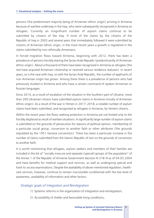persons (the predominant majority being of Armenian ethnic origin) arriving in Armenia because of warfare underway in the Iraq, who were subsequently recognized in Armenia as refugees. Currently an insignificant number of asylum claims continue to be submitted by citizens of the Iraq. If most of the claims by the citizens of the Republic of Iraq in 2003 and several years that immediately followed it were submitted by citizens of Armenian ethnic origin, in the more recent years a growth is registered in the claims submitted by non-ethnically Armenians.

In forced migration flows toward Armenia, beginning with 2012, there has been a prevalence of persons forcibly leaving the Syrian Arab Republic (predominantly of Armenian ethnic origin). About a thousand of them have been recognized in Armenia as refugees (the rest have acquired Armenian citizenship or received various residence statuses). In recent years, as is the case with Iraq, so with the Syrian Arab Republic, the number of applicants of non-Armenian origin has grown. Among these there is a prevalence of persons who had previously studied in Armenia and who have a certain command of spoken Armenian or Russian languages.

Since 2014, as a result of escalation of the situation in the Southern part of Ukraine, more than 200 Ukrainian citizens have submitted asylum claims in Armenia (mostly of Armenian ethnic origin). As a result of the war in Yemen in 2017–2018, a notable number of asylum claims have been submitted, and recognized as refugees in Armenia, by Yemeni citizens.

Within the recent years the flows seeking protection in Armenia are not limited only to the forcibly displaced as result of warfare situations. A significantly large number of asylum claims is submitted on the grounds of persecution for reasons of political opinion, membership of a particular social group, conversion to another faith or other attributes (the grounds stipulated by the 1951 Geneva convention). There has been a particular increase in the number of claims submitted from the Islamic Republic of Iran on the grounds of conversion to another faith.

It is worth mentioning that refugees, asylum seekers and members of their families are included in the list of "socially insecure and separate (special) groups of the population" of the Annex 1 of the Republic of Armenia Government decision N 318-N as of 04.03.2004 and have benefits for medical support and services, as well as undergoing special and hard-to-access examinations. Despite the availability of above-mentioned regulation, healthcare services, however, continue to remain inaccessible conditioned with the low level of awareness, availability of information and other factors.

### *Strategic goals of Integration and Reintegration*

- 1) Systemic reforms in the organization of integration and reintegration;
- 2) Accessibility of shelter and favourable living conditions;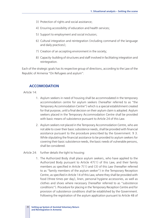- 3) Protection of rights and social assistance;
- 4) Ensuring accessibility of education and health services;
- 5) Support to employment and social inclusion;
- 6) Cultural integration and reintegration (including command of the language and daily practices);
- 7) Creation of an accepting environment in the society;
- 8) Capacity-building of structures and staff involved in facilitating integration and reintegration.

Each of the strategic goals has its respective group of directions, according to the Law of the Republic of Armenia "On Refugees and asylum":

#### **ACCOMODATION**

Article 14:

- 1. Asylum seekers in need of housing shall be accommodated in the temporary accommodation centre for asylum seekers (hereafter referred to as "the Temporary Accommodation Centre") which is a special establishment created for that purpose, until a final decision on their asylum claim is adopted. Asylum seekers placed in the Temporary Accommodation Centre shall be provided with basic means of subsistence pursuant to Article 24 of this Law.
- 2. Asylum seekers not placed in the Temporary Accommodation Centre, who are not able to cover their basic subsistence needs, shall be provided with financial assistance pursuant to the procedure prescribed by the Government. 9 3. While stipulating the financial assistance to be provided to asylum seekers for covering their basic subsistence needs, the basic needs of vulnerable persons, shall be considered.
- Article 24: further details the tight to housing:
	- 1. The Authorized Body shall place asylum seekers, who have applied to the Authorized Body pursuant to Article 47(1) of this Law, and their family members as specified in Article 7(1) and (3) of this Law (hereafter referred to as "family members of the asylum seeker") in the Temporary Reception Centre, as specified in Article 14 of this Law, where they shall be provided with food (three times per day), linen, personal hygiene accessories, as well as clothes and shoes where necessary (hereafter referred to as "subsistence conditions"). Procedure for placing in the Temporary Reception Centre and for provision of subsistence conditions shall be established by the Government. Following the registration of the asylum application pursuant to Article 48 of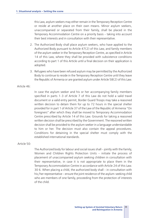this Law, asylum seekers may either remain in the Temporary Reception Centre or reside at another place on their own means. Minor asylum seekers, unaccompanied or separated from their family, shall be placed in the Temporary Accommodation Centre on a priority basis – taking into account their best interests and in consultation with their representative.

- 2. The Authorized Body shall place asylum seekers, who have applied to the Authorized Body pursuant to Article 47(2) of this Law, and family members of the asylum seeker in the Temporary Reception Centre, as specified in Article 14 of this Law, where they shall be provided with subsistence conditions according to part 1 of this Article until a final decision on their application is adopted.
- 3. Refugees who have been refused asylum may be permitted by the Authorized Body to continue to reside in the Temporary Reception Centre until they leave the Republic of Armenia or are granted asylum under Article 58(2) of this Law.

#### Article 46:

In case the asylum seeker and his or her accompanying family members specified in parts 1-3 of Article 7 of this Law do not hold a valid travel document or a valid entry permit, Border Guard Troops may take a reasoned written decision to detain them for up to 72 hours in the special shelter provided for in part 1 of Article 37 of the Law of the Republic of Armenia "On foreigners" after which they shall be moved to Temporary Accommodation Centre prescribed by Article 14 of this Law. Grounds for taking a reasoned written decision shall be prescribed by the Government. The reasoned written decision shall be provided to the asylum seeker in a language understandable to him or her. The decision must also contain the appeal procedures. Conditions for detaining in the special shelter must comply with the established international standards.

#### Article 50:

The Authorized body for labour and social issues shall – jointly with the Family, Women and Children Rights Protection Units – initiate the process of placement of unaccompanied asylum seeking children in consultation with their representative, in case it is not appropriate to place them in the Temporary Accommodation Centre in accordance with Article 24 of this Law. 30 6. When placing a child, the authorized body shall – in consultation with his/her representative – ensure the joint residence of the asylum-seeking child who are members of one family, proceeding from the protection of interests of the child.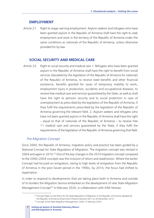# **EMPLOYMENT**

Article 21: Right to wage-earning employment: Asylum seekers and refugees who have been granted asylum in the Republic of Armenia shall have the right to seek employment and work in the territory of the Republic of Armenia under the same conditions as nationals of the Republic of Armenia, unless otherwise provided for by law.

# **SOCIAL SECURITY AND MEDICAL CARE**

Article 23: Right to social security and medical care 1. Refugees who have been granted asylum in the Republic of Armenia shall have the right to benefit from social services stipulated by the legislation of the Republic of Armenia for nationals of the Republic of Armenia, to receive state benefits and other financial assistance, benefits granted for cases of temporary inability to work, employment injury in production, accidents and occupational diseases, to receive free medical care and services guaranteed by the State, as well as shall have the right to pension security and to social protection in case of unemployment as prescribed by the legislation of the Republic of Armenia, if they fulfil the requirements prescribed by the legislation of the Republic of Armenia governing the relevant field. 2. Asylum seekers and refugees who have not been granted asylum in the Republic of Armenia shall have the right – equal to that of nationals of the Republic of Armenia – to receive free 11 medical care and services guaranteed by the State, if they fulfil the requirements of the legislation of the Republic of Armenia governing that field.

#### *The Migration Concept*

Since 2000, the Republic of Armenia, migration policy and practice has been guided by a National Concept for State Regulation of Migration. The migration concept was revised in 2004 and again in 2010.<sup>34</sup> One of the key changes in the 2010 migration concept compared to the 2000/2004 concepts was the inclusion of return and readmission. Where the earlier Concept had focused on emigration, owing to high levels of emigration from the Republic of Armenia in the post-Soviet period in the 1990s, by 2010, the focus had shifted to repatriation.

In order to respond to developments that are taking place both in Armenia and outside of its borders the Migration Service embarked on the development of new State Migration Management Concept<sup>35</sup> in February 2020, in collaboration with IOM Yerevan.

<sup>34</sup> Concept Paper on the Policy for the State Regulation of Migration in the Republic of Armenia adopted by the Republic of Armenia Government Protocol Decision N51 on 30 December 2010. 35 Concept of the State Migration Management, Draft 12 February 2020.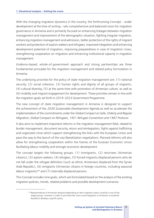With the changing migration dynamics in the country, the forthcoming Concept – under development at the time of writing – sets comprehensive and balanced vision for migration governance in Armenia and is primarily focused on enhancing linkages between migration management and improvement of the demographic situation, fighting irregular migration, enhancing migration management and admission, better protection of the rights of migrant workers and protection of asylum seekers and refugees, improved integration and enhancing development potential of migration, improving preparedness in case of migration crises, strengthening cooperation on migration and enhancing institutional capacity in migration management.

*Evidence-based, whole-of-government approach and strong partnerships* are three fundamental *principles* for the migration management and related policy formulation in Armenia.

The underlying *priorities* for the policy of state migration management are: (1) national security, (2) social cohesion, (3) human rights and dignity of all groups of migrants, (4) cultural diversity, (5) at the same time with promotion of Armenian culture, as well as (6) mobility and migrant engagement for development. These priorities remain in line with the migration goals set forth in 2019–2023 Government Programme.

The new concept of state migration management in Armenia is designed to support the achievement of the *2030 Sustainable Development Agenda* as well as accelerate the implementation of the commitments under the *Global Compact on Safe, Orderly and Regular Migration, Global Compact on Refugees, 1951 Refugee Convention and 1967 Protocol*.

It also aims to implement important reforms in the migration management field, related to border management, document security, return and reintegration, fights against trafficking and organized crime which support strengthening the links with the European Union and pave the way to the launch of the visa liberalization negotiations. Planned reforms will also allow for strengthening cooperation within the frames of the Eurasian Economic Union facilitating labour mobility and stronger economic development.

The concept targets the following groups: (1) immigrants, (2) returnees (Armenian citizens), (3) asylum seekers, (4) refugees, (5) forced migrants/displaced persons who do not fall under the refugee definition (such as ethnic Armenians displaced from the Syrian Arab Republic), (6) emigrants (Armenian citizens in foreign countries, including seasonal labour migrants) $36$  and (7) internally displaced persons.

This Concept includes nine goals, which are formulated based on the analysis of the existing migration policies, trends, related problems and possible development scenarios:

<sup>&</sup>lt;sup>36</sup> Representatives of Armenian diaspora depending on their migration status could be in any of the target groups, however in order to promote their return and integration in Armenian it would be feasible to develop a specific policy.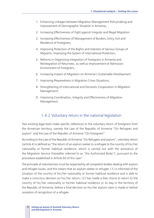- 1. Enhancing Linkages between Migration Management Policymaking and Improvement of Demographic Situation in Armenia;
- 2. Increasing Effectiveness of Fight against Irregular and Illegal Migration
- 3. Increasing Effectiveness of Management of Borders, Entry, Exit and Residence of Foreigners;
- 4. Improving Protection of the Rights and Interests of Various Groups of Migrants, Improving the System of International Protection;
- 5. Reforms in Organizing Integration of Foreigners in Armenia and Reintegration of Returnees, as well as Improvement of Admission Environment of Foreigners;
- 6. Increasing Impact of Migration on Armenia's Sustainable Development.
- 7. Improving Preparedness in Migration Crises Situations;
- 8. Strengthening of International and Domestic Cooperation in Migration Management;
- 9. Improving Coordination, Integrity and Effectiveness of Migration Management.

# 1.4.2 Voluntary return in the national legislation

Two existing legal texts make specific references to the voluntary return of foreigners from the Armenian territory, namely the Law of the Republic of Armenia "On Refugees and asylum" and the Law of the Republic of Armenia "On Foreigners".

According to the Law of the Republic of Armenia "On Refugees and asylum", voluntary return (article 4) is defined as "the return of an asylum seeker or a refugee to the country of his/her nationality or former habitual residence, which is carried out with the assistance of the Migration Service (hereafter referred to as "the Authorized Body"), pursuant to the procedure established in Article 60 of this Law".

The principle of voluntariness must be respected by all competent bodies dealing with asylum and refugee issues, and this means that an asylum seeker or refugee: (1) is informed of the situation of the country of his/her nationality or former habitual residence and is able to make a conscious decision on his/her return; (2) has made a free choice to return to the country of his/her nationality or former habitual residence or to stay in the territory of the Republic of Armenia, before a final decision on his/her asylum claim is made or before cessation of recognition of a refugee.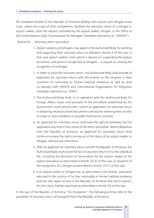All competent bodies of the Republic of Armenia dealing with asylum and refugee issues must, within the scope of their competence, facilitate the voluntary return of a refugee or asylum seeker, upon the request submitted by the asylum seeker, refugee, or the Office of the United Nations High Commissioner for Refugees (hereafter referred to as "UNHCR").

#### Article 60. Voluntary return procedure

- 1. Asylum seekers and refugees may apply to the Authorized Body for assisting and supporting their voluntary return as defined in Article 4 of this Law. In that case asylum seekers shall submit a request on suspending the asylum procedure, and persons recognized as refugees – a request on ceasing the recognition of a refugee.
- 2. In order to assist the voluntary return, the Authorized Body shall provide all applicants for voluntary return with information on the situation in their countries of nationality or former habitual residence as well as shall co-operate with UNHCR and International Organization for Migration (hereafter referred to as "IOM").
- 3. The Authorized Body shall, in co-operation with the Authorised Body for Foreign Affairs Issues and pursuant to the procedure established by the Government, assist persons who submit an application for voluntary return in obtaining necessary travel documents and visa for entering their country of origin or main residence or possible third transit countries.
- 4. An applicant for voluntary return shall have the right to withdraw his/her application any time in the course of the return procedure. Before departure from the Republic of Armenia, an applicant for voluntary return shall continue to enjoy the rights arising out of the status of an asylum seeker or refugee, without any restrictions.
- 5. After an applicant for voluntary return has left the Republic of Armenia, the Authorized Body shall record the fact of voluntary return in his/her individual file, including the decisions on termination by the asylum seeker of the asylum procedure as prescribed in Article 55(3) of this Law, or cessation of the recognition of a refugee as prescribed in Article 10(1) of this Law.
- 6. If an asylum seeker or refugee has, as prescribed in this Article, voluntarily returned to the country of his/her nationality or former habitual residence and has later again arrived in the Republic of Armenia and claims asylum, his/her claim shall be examined as prescribed in Article 59 of this Law.

In the Law of the Republic of Armenia "On Foreigners", the following articles refer to the possibility of voluntary return of foreigners from the Republic of Armenia: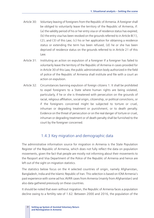- Article 30: Voluntary leaving of foreigners from the Republic of Armenia. A foreigner shall be obliged to voluntarily leave the territory of the Republic of Armenia, if: (a) the validity period of his or her entry visa or of residence status has expired; (b) the entry visa has been revoked on the grounds referred to in Article 8(1), (2), and (3) of this Law; (c) his or her application for obtaining a residence status or extending the term has been refused; (d) he or she has been deprived of residence status on the grounds referred to in Article 21 of this Law.
- Article 31: Instituting an action on expulsion of a foreigner If a foreigner has failed to voluntarily leave the territory of the Republic of Armenia in cases provided for in Article 30 of this Law, the public administration body authorized in the field of police of the Republic of Armenia shall institute and file with a court an action on expulsion.
- Article 32: Circumstances banning expulsion of foreign citizens 1. It shall be prohibited to expel foreigners to a State where human rights are being violated, particularly, if he or she is threatened with persecution on the grounds of racial, religious affiliation, social origin, citizenship, or political convictions, or if the foreigners concerned might be subjected to torture or cruel, inhuman or degrading treatment or punishment, or to death penalty. Evidence on the threat of persecution or on the real danger of torture or cruel, inhuman or degrading treatment or of death penalty shall be furnished to the court by the foreigner concerned.

# 1.4.3 Key migration and demographic data

The administrative information source for migration in Armenia is the State Population Register of the Republic of Armenia, which does not fully reflect the data on population movements, given the fact that people are mostly not informing about their movements to the Passport and Visa Department of the Police of the Republic of Armenia and hence are left out of the sight on migration statistics.

The statistics below focus on the 4 selected countries of origin, namely Afghanistan, Bangladesh, India and the Islamic Republic of Iran. This selection is based on IOM Armenia's past experience with some ad hoc AVRR cases from Armenia (mainly from Afghanistan) and also data gathered previously on these countries.

It should be noted that even without migration, the Republic of Armenia faces a population decline owing to a fertility rate of 1.62. Between 2000 and 2016, the population of the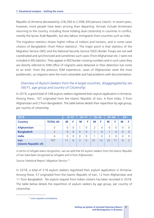Republic of Armenia decreased by 228,300 to 2,998,300 persons (stock). In recent years, however, more people have been arriving than departing. Arrivals include Armenians returning to the country, including those holding dual citizenship in countries in conflict, namely the Syrian Arab Republic, but also labour immigrants from countries such as India.

The migration statistics shows higher inflow of Indians and Iranians, and in some cases citizens of Bangladesh (from Police statistics). The major point is that statistics of the Migration Service (MS) and the National Security Service (NSS) Border Troops are not well coordinated and synchronized and sometimes such cases (from Afghanistan etc.) were not included in MS statistics. They appear in NSS border crossing numbers and in such cases they are directly referred to IOM office (if migrants were detained or their detention has come to an end). From the previous IOM experience, cases of Afghanistan were the most problematic, as migrants were the most vulnerable and had problems with documentation.

# *Overview of Asylum Seekers from the 4 target countries, disaggregated by sex (M/F), age group and country of Citizenship*

In 2019, a grand total of 248 asylum seekers registered their asylum application in Armenia. Among these, 107 originated from the Islamic Republic of Iran, 4 from India, 3 from Afghanistan and 2 from Bangladesh. The table below details their repartition by age group, per country of citizenship.

| 2019                                 |                 |          | $0 - 13$ | $14 - 17$ |          | $18 - 34$ |          | $35 - 64$      |          | $65+$ |          |
|--------------------------------------|-----------------|----------|----------|-----------|----------|-----------|----------|----------------|----------|-------|----------|
| <b>Country</b>                       | <b>TOTAL AS</b> | M        | F        | M         | F        | M         | F        | M              | F        | M     | F        |
| <b>Afghanistan</b>                   | 3               | 0        |          |           | $\Omega$ | 2         |          | $\overline{0}$ | $\Omega$ |       |          |
| <b>Bangladesh</b>                    | $\overline{2}$  | $\Omega$ | $\Omega$ | $\Omega$  | $\Omega$ |           | $\Omega$ |                | 0        |       | $\Omega$ |
| <b>India</b>                         | $\overline{4}$  | 0        |          | 0         | $\Omega$ | 1         |          | 3              | $\Omega$ |       |          |
| <b>Iran</b><br>(Islamic Republic of) | 107             | 11       | 6        | 3         | $\Omega$ | 31        | 12       | 25             | 17       |       |          |

*In terms of refugee status recognition, we can add that 45 asylum seekers from the Islamic Republic of Iran have been recognized as refugees and 4 from Afghanistan.* 

*Source:* Statistical Report, Migration Service.37

In 2018, a total of 218 asylum seekers registered their asylum application in Armenia. Among these, 57 originated from the Islamic Republic of Iran, 12 from Afghanistan and 11 from Bangladesh . No asylum request from Indian citizens has been recorded in 2018. The table below details the repartition of asylum seekers by age group, per country of citizenship.

<sup>&</sup>lt;sup>37</sup> www.migration.am/statistics.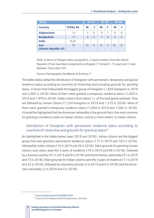| 2018                                 |                 |               | $0 - 17$       |    | $18 - 34$      |    | $35 - 64$ |  |
|--------------------------------------|-----------------|---------------|----------------|----|----------------|----|-----------|--|
| <b>Country</b>                       | <b>TOTAL AS</b> | M             | F              | M  | F              | M  | F         |  |
| <b>Afghanistan</b>                   | 12              | $\mathcal{P}$ | $\Omega$       | 9  |                | O  | ∩         |  |
| <b>Bangladesh</b>                    | 11              | $\Omega$      | O              |    | $\Omega$       | 4  | $\Omega$  |  |
| <b>India</b>                         | N/A             |               |                |    |                |    |           |  |
| <b>Iran</b><br>(Islamic Republic of) | 57              | 10            | $\overline{4}$ | 15 | $\overline{4}$ | 16 | 8         |  |

*Note: In terms of refugee status recognition, 2 asylum seekers from the Islamic Republic of Iran have been recognized as refugees (1 female 0 – 13 years and 1 male between 18 en dash 34).* 

*Source:* Demographic Handbook of Armenia.38

The tables below detail the distribution of foreigners with permanent, temporary and special residence status according to countries of citizenship and including grounds for granting status. It shows that India entails the biggest group of foreigners (1,835 foreigners in 2019 and 2,005 in 2018). Most of them were granted a temporary residence status (1,820 in 2019 and 1,979 in 2018). Indian citizens form about  $\frac{1}{4}$  of the total grand caseload. They are followed by Iranian citizens (1,254 foreigners in 2019 and 1,310 in 2018). Most of them were granted a temporary residence status (1,004 in 2019 and 1,060 in 2018). It should be highlighted that the Armenian nationality is the ground that is the most common for granting a residence status to Iranian citizens, and to a minor extent, to Indian citizens.

# Distribution of foreigners with permanent residence status according to countries of citizenship and grounds for granting status<sup>39</sup>

As highlighted in the tables below (year 2019 and 2018), Iranian citizens are the biggest group that was granted a permanent residence status (177 in 2019 and 163 in 2018), followed by Indian citizens (15 in 2019 and 26 in 2018). Main grounds for granting Iranian citizens such status were the 3 years of residence (79 in 2019 and 90 in 2018), followed by a business activity (41 in 2019 and 0 in 2018) and the Armenian nationality (57 in 2019 and 73 in 2018). Main grounds for Indian citizens were the 3 years of residence (11 in 2019 and 22 in 2018), followed by a business activity (2 in 2019 and 0 in 2018) and the Armenian nationality (2 in 2019 and 4 in 2018).

<sup>&</sup>lt;sup>38</sup> www.armstat.am/en/?nid=82&id=2225.<br><sup>39</sup> Source; Police Passport and Visa Department, Armenia.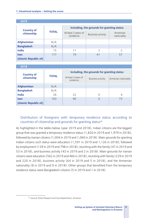| ZU 19                            |              |                                            |                          |                         |  |  |
|----------------------------------|--------------|--------------------------------------------|--------------------------|-------------------------|--|--|
|                                  |              |                                            |                          |                         |  |  |
| <b>Country of</b><br>citizenship |              | Including, the grounds for granting status |                          |                         |  |  |
|                                  | <b>TOTAL</b> | At least 3 years of<br>residence           | <b>Business activity</b> | Armenian<br>nationality |  |  |
| <b>Afghanistan</b>               | N/A          |                                            |                          |                         |  |  |
| <b>Bangladesh</b>                | N/A          |                                            |                          |                         |  |  |
| <b>India</b>                     | 15           | 11                                         | $\mathcal{P}$            | C,                      |  |  |
| <b>Iran</b>                      | 177          | 79                                         | 41                       | 57                      |  |  |
| (Islamic Republic of)            |              |                                            |                          |                         |  |  |

**2019** 

#### **2018**

| <b>Country of</b><br>citizenship |              | Including, the grounds for granting status |                          |                      |  |  |
|----------------------------------|--------------|--------------------------------------------|--------------------------|----------------------|--|--|
|                                  | <b>TOTAL</b> | At least 3 years of<br>residence           | <b>Business activity</b> | Armenian nationality |  |  |
| <b>Afghanistan</b>               | N/A          |                                            |                          |                      |  |  |
| <b>Bangladesh</b>                | N/A          |                                            |                          |                      |  |  |
| <b>India</b>                     | 26           | 22                                         |                          | 4                    |  |  |
| <b>Iran</b>                      | 163          | 90                                         | O                        | 73                   |  |  |
| (Islamic Republic of)            |              |                                            |                          |                      |  |  |

# Distribution of foreigners with *temporary* residence status according to countries of citizenship and grounds for granting status<sup>40</sup>

As highlighted in the tables below (year 2019 and 2018), Indian citizens are the biggest group that was granted a temporary residence status (1,820 in 2019 and 1,979 in 2018), followed by Iranian citizens (1,004 in 2019 and 1,060 in 2018). Main grounds for granting Indian citizens such status were education (1,591 in 2019 and 1,126 in 2018), followed by employment (139 in 2019 and 798 in 2018), reuniting with the family (47 in 2019 and 53 in 2018), and business activity (43 in 2019 and 2 in 2018). Main grounds for Iranian citizens were education (562 in 2019 and 466 in 2018), reuniting with family (229 in 2019 and 220 in 2018), business activity (64 in 2019 and 5 in 2018), and the Armenian nationality (8 in 2019 and 9 in 2018). Other groups that benefited from the temporary residence status were Bangladeshi citizens (5 in 2019 and 1 in 2018).

<sup>40</sup> *Source*; Police Passport and Visa Department, Armenia.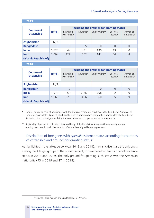|                                  |              | Including the grounds for granting status |           |              |                             |                         |  |
|----------------------------------|--------------|-------------------------------------------|-----------|--------------|-----------------------------|-------------------------|--|
| <b>Country of</b><br>citizenship | <b>TOTAL</b> | Reuniting<br>with family*                 | Education | Employment** | <b>Business</b><br>activity | Armenian<br>nationality |  |
| <b>Afghanistan</b>               | N/A          |                                           |           |              |                             |                         |  |
| <b>Bangladesh</b>                | 5            | $\Omega$                                  | 5         | $\Omega$     | $\Omega$                    | 0                       |  |
| India                            | 1,820        | 47                                        | 1,591     | 139          | 43                          | $\Omega$                |  |
| <b>Iran</b>                      | 1,004        | 229                                       | 562       | 141          | 64                          | 8                       |  |
| (Islamic Republic of)            |              |                                           |           |              |                             |                         |  |

#### **2019**

**2018** 

|                                  |              | Including the grounds for granting status |           |              |                             |                         |  |  |
|----------------------------------|--------------|-------------------------------------------|-----------|--------------|-----------------------------|-------------------------|--|--|
| <b>Country of</b><br>citizenship | <b>TOTAL</b> | Reuniting<br>with family*                 | Education | Employment** | <b>Business</b><br>activity | Armenian<br>nationality |  |  |
| <b>Afghanistan</b>               | N/A          |                                           |           |              |                             |                         |  |  |
| <b>Bangladesh</b>                |              | $\Omega$                                  |           | $\Omega$     | 0                           | 0                       |  |  |
| <b>India</b>                     | 1,979        | 53                                        | 1,126     | 798          | $\mathcal{L}$               | $\Omega$                |  |  |
| <b>Iran</b>                      | 1,060        | 220                                       | 466       | 360          |                             | 9                       |  |  |
| (Islamic Republic of)            |              |                                           |           |              |                             |                         |  |  |

spouse, parent or child of a foreigner with the status of temporary residence in the Republic of Armenia, or spouse or close relative (parent, child, brother, sister, grandmother, grandfather, grandchild) of a Republic of Armenia citizen or foreigner with the status of permanent or special residence in Armenia.

\*\* Availability of permission of state authorized body of the Republic of Armenia Government granting employment permission in the Republic of Armenia or signed labour agreement.

#### Distribution of foreigners with *special* residence status according to countries of citizenship and grounds for granting status <sup>41</sup>

As highlighted in the tables below (year 2019 and 2018), Iranian citizens are the only ones, among the 4 target groups of the present report, to have benefited from a special residence status in 2018 and 2019. The only ground for granting such status was the Armenian nationality (73 in 2019 and 87 in 2018).

<sup>41</sup> *Source*; Police Passport and Visa Department, Armenia.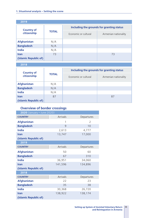| 2019                  |              |                                           |                      |  |  |
|-----------------------|--------------|-------------------------------------------|----------------------|--|--|
| <b>Country of</b>     | <b>TOTAL</b> | Including the grounds for granting status |                      |  |  |
| citizenship           |              | Economic or cultural                      | Armenian nationality |  |  |
| <b>Afghanistan</b>    | N/A          |                                           |                      |  |  |
| <b>Bangladesh</b>     | N/A          |                                           |                      |  |  |
| <b>India</b>          | N/A          |                                           |                      |  |  |
| <b>Iran</b>           | 73           |                                           | 73                   |  |  |
| (Islamic Republic of) |              |                                           |                      |  |  |

**2018** 

|                                  | <b>TOTAL</b> | Including the grounds for granting status |                      |  |  |  |
|----------------------------------|--------------|-------------------------------------------|----------------------|--|--|--|
| <b>Country of</b><br>citizenship |              | Economic or cultural                      | Armenian nationality |  |  |  |
| <b>Afghanistan</b>               | N/A          |                                           |                      |  |  |  |
| <b>Bangladesh</b>                | N/A          |                                           |                      |  |  |  |
| <b>India</b>                     | N/A          |                                           |                      |  |  |  |
| <b>Iran</b>                      | 87           |                                           | 87                   |  |  |  |
| (Islamic Republic of)            |              |                                           |                      |  |  |  |

#### **Overview of border crossings**

| <b>2020</b> (January - June 2020) |                 |                |
|-----------------------------------|-----------------|----------------|
| <b>COUNTRY</b>                    | <b>Arrivals</b> | Departures     |
| <b>Afghanistan</b>                | 1               | $\mathfrak{D}$ |
| <b>Bangladesh</b>                 | 9               | 10             |
| <b>India</b>                      | 2,613           | 4,777          |
| <b>Iran</b>                       | 13,747          | 17,000         |
| (Islamic Republic of)             |                 |                |
| 2019                              |                 |                |
| <b>COUNTRY</b>                    | <b>Arrivals</b> | Departures     |
| <b>Afghanistan</b>                | 50              | 60             |
| <b>Bangladesh</b>                 | 67              | 310            |
| <b>India</b>                      | 36,951          | 34,060         |
| <b>Iran</b>                       | 141,596         | 134,896        |
| (Islamic Republic of)             |                 |                |
| 2018                              |                 |                |
| <b>COUNTRY</b>                    | <b>Arrivals</b> | Departures     |
| <b>Afghanistan</b>                | 22              | 23             |
| <b>Bangladesh</b>                 | 35              | 38             |
| <b>India</b>                      | 30,368          | 26,720         |
| <b>Iran</b>                       | 138,922         | 138,174        |
| (Islamic Republic of)             |                 |                |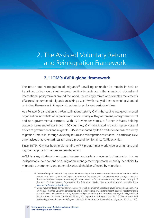# 2. The Assisted Voluntary Return and Reintegration Framework

# **2.1 IOM's AVRR global framework**

The return and reintegration of migrants<sup>42</sup> unwilling or unable to remain in host or transit countries have gained renewed political importance in the agenda of national and international policymakers around the world. Increasingly mixed and complex movements of a growing number of migrants are taking place,<sup>43</sup> with many of them remaining stranded or finding themselves in irregular situations for prolonged periods of time.

As a Related Organization to the United Nations system, IOM is the leading intergovernmental organization in the field of migration and works closely with government, intergovernmental and non-governmental partners. With 173 Member States, a further 9 States holding observer status and offices in over 100 countries, IOM is dedicated to providing services and advice to governments and migrants. IOM is mandated by its Constitution to ensure orderly migration, inter alia, through voluntary return and reintegration assistance. In particular, IOM emphasizes that voluntariness remains a precondition for all its AVRR activities.

Since 1979, IOM has been implementing AVRR programmes worldwide as a humane and dignified approach to return and reintegration.

AVRR is a key strategy in ensuring humane and orderly movement of migrants. It is an indispensable component of a migration management approach mutually beneficial to migrants, governments and other relevant stakeholders affected by migration.

<sup>42</sup> The term "migrant" refers to "any person who is moving or has moved across an international border or within a State away from his/her habitual place of residence, regardless of (1) the person's legal status; (2) whether the movement is voluntary or involuntary; (3) what the causes for the movement are; or (4) what the length of the stay is" (International Organization for Migration (IOM), "Key migration terms", available from

www.iom.int/key-migration-terms).<br><sup>43</sup> Mixed movements are defined as movements "in which a number of people are travelling together, generally in an irregular manner, using the same routes and means of transport, but for different reasons. People travelling as part of mixed movements have varying needs and pro les and may include asylum seekers, refugees, trafficked persons, unaccompanied/separated children, and migrants in an irregular situation" (Office of the United Nations High Commissioner for Refugees (UNHCR), 10-Point Action Plan on Mixed Migration, 2012, p. 291).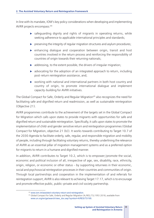In line with its mandate, IOM's key policy considerations when developing and implementing AVRR projects encompass:44

- $\triangleright$  safeguarding dignity and rights of migrants in operating returns, while seeking adherence to applicable international principles and standards;
- $\triangleright$  preserving the integrity of regular migration structures and asylum procedures;
- $\triangleright$  enhancing dialogue and cooperation between origin, transit and host countries involved in the return process and reinforcing the responsibility of countries of origin towards their returning nationals;
- $\blacktriangleright$  addressing, to the extent possible, the drivers of irregular migration;
- $\triangleright$  advocating for the adoption of an integrated approach to return, including post-return reintegration assistance, and;
- $\triangleright$  working with national and international partners in both host country and country of origin, to promote international dialogue and implement capacity-building for AVRR initiatives.

The Global Compact for Safe, Orderly and Regular Migration<sup>45</sup> also recognizes the need for facilitating safe and dignified return and readmission, as well as sustainable reintegration (Objective 21).

AVRR programmes contribute to the achievement of the targets set in the Global Compact for Migration which calls upon states to provide migrants with opportunities for safe and dignified return and sustainable reintegration. Specifically, it calls upon states to promote the implementation of child-and gender sensitive return and reintegration programmes (Global Compact for Migration, objective 21 (b)). It works towards contributing to Target 10.7 of the 2030 Agenda to facilitate orderly, safe, regular, and responsible migration and mobility of people, including through facilitating voluntary returns, thereby underlining the relevance of AVRR as an essential pillar of migration management systems and as a preferred option for migrants to return in a humane and dignified manner.

In addition, AVRR contributes to Target 10.2, which is to empower/promote the social, economic and political inclusion of all, irrespective of age, sex, disability, race, ethnicity, origin, religion, or economic or other status – by supporting returnees in their economic, social and psychosocial reintegration processes in their countries and communities of origin. Through local partnerships and cooperation in the implementation of and referrals for reintegration support, AVRR is also relevant to achieving Target 17.17, which is to encourage and promote effective public, public–private and civil society partnership.

<sup>44</sup> www.iom.int/assisted-voluntary-return-and-reintegration.

<sup>45</sup> Global Compact for Safe, Orderly and Regular Migration (A/RES/73/195) 2018, available from www.un.org/en/ga/search/view\_doc.asp?symbol=A/RES/73/195.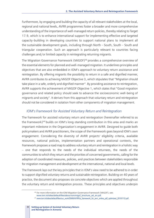Furthermore, by engaging and building the capacity of all relevant stakeholders at the local, regional and national levels, AVRR programmes foster a broader and more comprehensive understanding of the importance of well-managed return policies, thereby relating to Target 17.9, which is to enhance international support for implementing effective and targeted capacity-building in developing countries to support national plans to implement all the sustainable development goals, including through North – South, South – South and triangular cooperation. Such an approach is particularly relevant to countries facing challenges and/or limited capacity in reintegrating returning migrants.

The Migration Governance Framework (MiGOF)<sup>46</sup> provides a comprehensive overview of the essential elements for planned and well-managed migration. It underlines principles and objectives that are also embedded in IOM's approach to voluntary return assistance and reintegration. By offering migrants the possibility to return in a safe and dignified manner, AVRR contributes to achieving MiGOF Objective 3, which stipulates that "Migration should take place in a safe, orderly and dignified manner". By providing assistance to reintegration, AVRR supports the achievement of MiGOF Objective 1, which states that "Good migration governance and related policy should seek to advance the socioeconomic well-being of migrants and society". It derives from this approach that voluntary return and reintegration should not be considered in isolation from other components of migration management.

# *IOM*'*s Framework for Assisted Voluntary Return and Reintegration*

The framework for assisted voluntary return and reintegration (hereinafter referred to as the Framework)49 builds on IOM's long-standing contribution in this area and marks an important milestone in the Organization's engagement in AVRR. Designed to guide both policymakers and AVRR practitioners, the scope of the Framework goes beyond IOM's own engagement. Considering the diversity of AVRR projects' eligibility criteria, available resources, national policies, implementation partners and operational contexts, the Framework proposes a road map to address voluntary return and reintegration in a holistic way – one that responds to the needs of the individual returnees, the needs of the communities to which they return and the priorities of concerned governments, calling for the adoption of coordinated measures, policies, and practices between stakeholders responsible for migration management and development at the international, national and local levels.

The Framework lays out the key principles that in IOM's view need to be adhered to in order to support dignified voluntary returns and sustainable reintegration. Building on 40 years of practice, the document also proposes six concrete objectives which are applied throughout the voluntary return and reintegration process. These principles and objectives underpin

<sup>46</sup> For more information on the IOM Migration Governance Framework (MiGOF), see:

www.iom.int/sites/default/files/about-iom/migof\_brochure\_a4\_en.pdf.<br><sup>47</sup> www.iom.int/sites/default/files/our\_work/DMM/AVRR/a\_framework\_for\_avrr\_online\_pdf\_optimized\_20181112.pdf.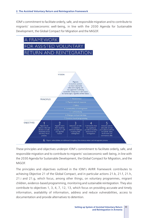IOM's commitment to facilitate orderly, safe, and responsible migration and to contribute to migrants' socioeconomic well-being, in line with the 2030 Agenda for Sustainable Development, the Global Compact for Migration and the MiGOF.



These principles and objectives underpin IOM's commitment to facilitate orderly, safe, and responsible migration and to contribute to migrants' socioeconomic well-being, in line with the 2030 Agenda for Sustainable Development, the Global Compact for Migration, and the MiGOF.

The principles and objectives outlined in the IOM's AVRR Framework contributes to achieving Objective 21 of the Global Compact, and in particular actions 21.b, 21.f, 21.h, 21.i and 21.g, which focus, among other things, on voluntary programmes, migrant children, evidence-based programming, monitoring and sustainable reintegration. They also contribute to objectives 1, 3, 4, 7, 12, 13, which focus on providing accurate and timely information, availability of information, address and reduce vulnerabilities, access to documentation and provide alternatives to detention.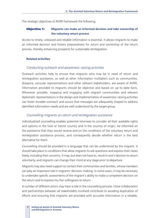The strategic objectives of AVRR framework the following:

#### **Objective 1:** Migrants can make an informed decision and take ownership of **the voluntary return process**

Access to timely, unbiased and reliable information is essential. It allows migrants to make an informed decision and fosters preparedness for return and ownership of the return process, thereby enhancing prospects for sustainable reintegration.

#### **Related activities**

#### *Conducting outreach and awareness-raising activities*

Outreach activities help to ensure that migrants who may be in need of return and reintegration assistance, as well as other information multipliers such as communities, diaspora, consular representations and other relevant stakeholders, are aware of AVRR. Information provided to migrants should be objective and based on up-to-date facts. Whenever possible, mapping and engaging with migrant communities and relevant diplomatic representations in the design and implementation of awareness-raising activities can foster broader outreach and assure that messages are adequately shaped to address identified information needs and are well understood by the target group.

#### *Counselling migrants on return and reintegration assistance*

Individualized counselling enables potential returnees to consider all their available rights and options in the host or transit country and in the country of origin, be informed on the assistance that they would receive and on the conditions of the voluntary return and reintegration assistance process, and consequently decide whether return is the best alternative for them.

Counselling should be provided in a language that can be understood by the migrant. It should take place in conditions that allow migrants to ask questions and express their views freely, including their concerns. It may, but does not have to, result in one's decision to return voluntarily, and migrants can change their mind at any stage prior to departure.

Migrants may also need support to contact their communities and families, whose members can play an important role in migrants' decision-making. In some cases, it may be necessary to undertake specific assessments of the migrant's ability to make a competent decision on the return and to express his/her willingness to return.

A number of different actors may have a role in the counselling process. Close collaboration and partnerships between all stakeholders involved contribute to avoiding duplication of efforts and ensuring that migrants are provided with accurate information in a reliable,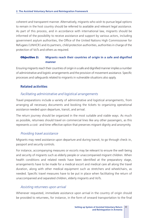coherent and transparent manner. Alternatively, migrants who wish to pursue legal options to remain in the host country should be referred to available and relevant legal assistance. As part of this process, and in accordance with international law, migrants should be informed of the possibility to receive assistance and support by various actors, including government asylum authorities, the Office of the United Nations High Commissioner for Refugees (UNHCR) and its partners, child protection authorities, authorities in charge of the protection of VoTs and others as required.

#### **Objective 2:** Migrants reach their countries of origin in a safe and dignified **manner**

Ensuring migrants reach their countries of origin in a safe and dignified manner implies a number of administrative and logistic arrangements and the provision of movement assistance. Specific processes and safeguards related to migrants in vulnerable situations also apply.

#### **Related activities**

#### *Facilitating administrative and logistical arrangements*

Travel preparations include a variety of administrative and logistical arrangements, from arranging all necessary documents and booking the tickets to organizing operational assistance needed upon departure, transit, and arrival.

The return journey should be organized in the most suitable and viable ways. As much as possible, returnees should travel on commercial lines like any other passengers, as this represents a cost- and time-effective option that preserves migrant dignity and anonymity.

#### *Providing travel assistance*

Migrants may need assistance upon departure and during transit, to go through check-in, passport and security controls.

For instance, accompanying measures or escorts may be relevant to ensure the well-being and security of migrants such as elderly people or unaccompanied migrant children. When health conditions and related needs have been identified at the preparatory stage, arrangements have to be made for a medical escort and medical care all along the travel duration, along with other medical equipment such as stretchers and wheelchairs, as needed. Specific travel measures have to be put in place when facilitating the return of unaccompanied and separated children, elderly migrants and VoTs.

#### *Assisting returnees upon arrival*

Whenever requested, immediate assistance upon arrival in the country of origin should be provided to returnees, for instance, in the form of onward transportation to the final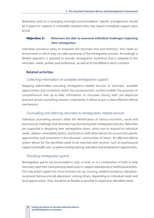destination and/or in arranging overnight accommodation. Specific arrangements should be in place for migrants in vulnerable situations who may require immediate support upon arrival.

#### **Objective 3:** Returnees are able to overcome individual challenges impacting **their reintegration**

Individual assistance seeks to empower the returnees first and foremost, and create an environment in which they can take ownership of the reintegration process. Accordingly, a flexible approach is required to provide reintegration assistance that is adapted to the returnees' needs, profiles and preferences, as well as to the different return contexts.

#### **Related activities**

#### *Collecting information on available reintegration support*

Mapping stakeholders providing reintegration-related services to returnees, available opportunities and constraints within the socioeconomic context enables the provision of comprehensive and up-to-date information to returnees during both pre-departure and post-arrival counselling sessions. Importantly, it allows to put in place effective referral mechanisms.

#### *Counselling and referring returnees to reintegration-related services*

Individual counselling sessions allow the identification of various economic, social and psychosocial challenges that returnees may face during their reintegration process. Returnees are supported in designing their reintegration plans, which aim to respond to individual needs, address vulnerability factors, and build on skills while taking into account the specific opportunities and constraints in the returnees' communities of return. An effective referral system allows for the identified needs to be matched with services, such as psychosocial support and health care, as well as existing training, education and employment opportunities.

#### *Providing reintegration grants*

Reintegration grants can be provided in cash, in kind, or in a combination of both to help returnees meet their most pressing needs and/or support educational or livelihood activities. This may entail support for micro-business set-up, housing, medical assistance, education, vocational training and job placement, among others, depending on individual needs and local opportunities. They should be as flexible as possible to respond to identified needs.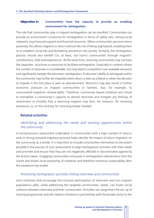#### **Objective 4:** Communities have the capacity to provide an enabling **environment for reintegration**

The role that communities play in migrant reintegration can be manifold. Communities can provide an environment conducive for reintegration in terms of safety nets, strong social networks, psychosocial support and financial resources. When communities perceive return positively, this allows migrants to return without the risk of being stigmatized, enabling them to re-establish social ties and facilitating reinsertion into society. Similarly, the reintegration process should also benefit (or, at least, not harm) communities through migrants' contributions, skills and experiences. At the same time, receiving communities may not have the capacities, structures or resources to facilitate reintegration. Especially in contexts where the number of returnees is considerable, this may lead to competition over available resources and significantly hamper the returnees' reintegration. A returnee's ability to reintegrate within the community may further be impacted when return is seen as a failure or when the decision to migrate in the first place is seen as abandonment. Return(s) may also result in further economic pressure on migrant communities or families, due, for example, to unrecovered migration-related debts. Therefore, community-based initiatives are critical to strengthen a community's capacity to absorb returnees and mitigate any feelings of resentment or hostility that a returning migrant may face, for instance, for receiving assistance, or, on the contrary, for returning empty-handed.

# **Related activities**

# *Identifying and addressing the needs and existing opportunities within the community*

A socioeconomic assessment undertaken in communities with a high number of returns and/or strong outward migratory pressure helps identify the impact of return migration on the community as a whole. It is important to include communities themselves to the extent possible in the process of such assessments to align reintegration activities with their needs and priorities and ensure that they are not negatively affected or discriminated against by the actions taken. Engaging communities inclusively in reintegration interventions from the outset also fosters local ownership of initiatives and therefore enhances sustainability after the assistance has ended.

#### *Promoting reintegration activities linking returnees and communities*

Joint initiatives that encourage the inclusive participation of returnees and non-migrant populations alike, while addressing the targeted communities' needs, can foster social cohesion between returnees and their communities. Activities can range from the set-up of training programmes and job creation initiatives in partnership with the private sector to the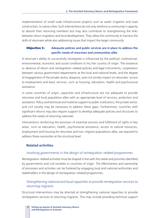implementation of small-scale infrastructure projects such as water irrigation and road construction, to name a few. Such interventions do not only reinforce a community's capacity to absorb their returning members but may also contribute to strengthening the links between return migration and local development. They allow the community to harness the skills of returnees while also addressing issues that impact the larger community.

#### **Objective 5:** Adequate policies and public services are in place to address the **specific needs of returnees and communities alike**

A returnee's ability to successfully reintegrate is influenced by the political, institutional, environmental, economic and social conditions in his/her country of origin. The existence or absence of return and reintegration-related policies and legal instruments, cooperation between various government departments at the local and national levels, and the degree of engagement of the private sector, diaspora, and civil society impact on returnees' access to employment and basic services, such as housing, education, health and psychosocial assistance.

In some countries of origin, capacities and infrastructure are not adequate to provide returnees and local population alike with an appropriate level of services, protection and assistance. Policy and technical and material support to public institutions, the private sector, and civil society may be necessary to address these gaps. Furthermore, countries with significant returns may also require support to develop adequate policies and structures to address the needs of returning nationals.

Interventions reinforcing the provision of essential services and fulfilment of rights in key areas, such as education, health, psychosocial assistance, access to natural resources, employment and housing for returnees and non-migrant populations alike, are required to address these necessities at the structural level.

#### **Related activities**

#### *Involving governments in the design of reintegration-related programmes*

Reintegration-related activities must be shaped in line with the needs and priorities identified by governments and civil societies in countries of origin. The effectiveness and ownership of processes and activities can be fostered by engaging local and national authorities and stakeholders in the design of reintegration-related programmes.

# *Strengthening national and local capacities to provide reintegration services to returning migrants*

Structural interventions may be directed at strengthening national capacities to provide reintegration services to returning migrants. This may include providing technical support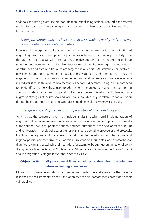and tools, facilitating cross-sectoral coordination, establishing national networks and referral mechanisms, and providing training and conferences to exchange good practices and discuss lessons learned.

# *Setting up coordination mechanisms to foster complementarity and coherence across reintegration-related activities*

Return and reintegration policies are more effective when linked with the protection of migrant rights and with development opportunities in the country of origin, particularly those that address the root causes of migration. Effective coordination is required to build on synergies between development and reintegration efforts while ensuring that specific needs of returnees and communities alike are targeted in all efforts. All stakeholders involved – government and non-governmental, public and private, local and international – must be engaged in fostering coordination, complementarity and coherence across reintegrationrelated activities. To this aim, complementarities between different funding instruments need to be identified, namely, those used to address return management and those supporting community stabilization and cooperation for development. Development plans and any migration strategies at the national and local levels should equally be taken into consideration during the programme design and synergies should be explored wherever possible.

#### *Strengthening policy frameworks to promote well-managed migration*

Activities at the structural level may include analysis, design, and implementation of migration-related awareness-raising campaigns, revision or upgrade of policy frameworks at the national level, or support to national and local authorities in the development of return and reintegration-friendly policies, as well as of standard operating procedures and protocols. Efforts at the regional and global levels should promote the adoption of international and regional policies and the formulation of minimum standards, principles, and approaches for dignified return and sustainable reintegration, for example, by strengthening regional policy dialogues, such as the Regional Conference on Migration (also known as the Puebla Process) and the Migration Dialogue for Southern Africa (MIDSA).

#### **Objective 6:** Migrant vulnerabilities are addressed throughout the voluntary **return and reintegration process**

Migrants in vulnerable situations require tailored protection and assistance that directly responds to their immediate needs and addresses the risk factors that contribute to their vulnerability.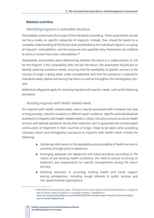#### **Related activities**

#### *Identifying migrants in vulnerable situations*

Vulnerability assessments form part of the individual counselling. These assessments should not focus solely on specific categories of migrants. Instead, they should be based on a complete understanding of the factors that contributed to the individual migrant's or group of migrants' vulnerabilities, and the resources and capacities they themselves can mobilize to resist or recover from their vulnerabilities.<sup>48</sup>

Vulnerability assessments allow determining whether the return is a viable solution or not for the migrant. If the vulnerability does not bar the return, the assessment should aim to identify potential assistance needs, ensuring that the availability of specific services in the country of origin is being taken under consideration and that the assistance is tailored to individual needs, before and during the return as well as throughout the reintegration process.

Additional safeguards apply for assisting migrants with specific needs, such as the following procedure.

#### *Assisting migrants with health-related needs*

For migrants with health-related needs, return may be associated with increased risks due to long journeys, stressful situations or difficult travel conditions. Specific and individualized assistance to migrants with health-related needs is critical, not only to ensure access to health services and tailored assistance during their travel but also to guarantee the uninterrupted continuation of treatment in their countries of origin. Steps to be taken when providing voluntary return and reintegration assistance to migrants with health needs include the following:

- $\triangleright$  Gathering information on the availability and accessibility of health services in countries of origin prior to departure;
- $\triangleright$  Arranging adequate pre-departure and travel assistance according to the nature of pre-existing health conditions, the need to ensure continuity of treatment and requirements for specific arrangements during the return journey;
- $\triangleright$  Assisting returnees in accessing existing health and social support during reintegration, including trough referrals to public services and non-governmental organizations.

<sup>48</sup> IOM Global Compact thematic paper: "Protection of the human rights and fundamental freedoms of migrants and the specific needs of migrants in vulnerable situations", available from www.iom.int/sites/default/files/our\_work/ODG/GCM/IOM-Thematic-Paper-Protection-of-Human-Rightsand-Vulnerable-Migrants.pdf.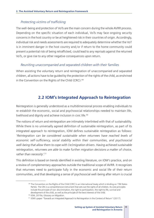#### *Protecting victims of trafficking*

The well-being and protection of VoTs are the main concern during the whole AVRR process. Depending on the specific situation of each individual, VoTs may face ongoing security concerns in the host country or be at heightened risk in their countries of origin. Accordingly, individual risk and needs assessments are required to adequately determine whether the VoT is in imminent danger in the host country and/or if return to the home community could present a potential risk of being retrafficked, could lead to any reprisals against the returned VoTs, or give rise to any other negative consequences upon return.

#### *Reuniting unaccompanied and separated children with their families*

When assisting the voluntary return and reintegration of unaccompanied and separated children, all actions have to be guided by the protection of the rights of the child, as enshrined in the Convention on the Rights of the Child (CRC).49

# **2.2 IOM's Integrated Approach to Reintegration**

Reintegration is generally understood as a multidimensional process enabling individuals to re-establish the economic, social and psychosocial relationships needed to maintain life, livelihood and dignity and achieve inclusion in civic life.50

The notions of return and reintegration are intimately interlinked with that of sustainability. While there is no universally agreed definition of sustainable reintegration, as part of its integrated approach to reintegration, IOM defines sustainable reintegration as follows: '*Reintegration can be considered sustainable when returnees have reached levels of economic self-sufficiency, social stability within their communities, and psychosocial well-being that allow them to cope with (re)migration drivers. Having achieved sustainable reintegration, returnees are able to make further migration decisions a matter of choice, rather than necessity*'.<sup>51</sup>

This definition is based on trends identified in existing literature, on IOM's practice, and on a review of complementary approaches outside the traditional scope of AVRR. It recognizes that returnees need to participate fully in the economic and social life of their return communities, and that developing a sense of psychosocial well-being after return is crucial

<sup>&</sup>lt;sup>49</sup> The Convention on the Rights of the Child (CRC) is an international treaty which is binding on 196 States Parties. The CRC is a comprehensive instrument that sets out the rights of all children. Its core principles include the principle of non-discrimination, the right to participation, the right to life, survival and

development of the child, as well as the principle of the best interests of the child.<br><sup>50</sup> IOM, 2019a, Glossary on Migration.<br><sup>51</sup> IOM's paper "Towards an Integrated Approach to Reintegration in the Context of Return" (20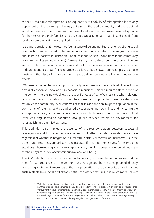to their sustainable reintegration. Consequently, sustainability of reintegration is not only dependent on the returning individual, but also on the local community and the structural situation the environment of return. Economically self-sufficient returnees are able to provide for themselves and their families, and develop a capacity to participate in and benefit from local economic activities in a dignified manner.

It is equally crucial that the returnee feels a sense of belonging: that they enjoy strong social relationships and engaged in the immediate community of return. The migrant`s return should have a positive influence on – or at least not worsen – conditions in the community of return (families and other actors). A migrant`s psychosocial well-being rests on a minimum sense of safety and security and on availability of basic services (education, housing, water and sanitation, health care). The returnee`s positive attitude towards recreating a sustainable lifestyle in the place of return also forms a crucial cornerstone to all other reintegration efforts.

IOM asserts that reintegration support can only be successful if there is a level of re-inclusion across all economic, social and psychosocial dimensions. This can require different levels of interventions. At the individual level, the specific needs of beneficiaries (and when relevant, family members or households) should be covered and support for these provided upon return. At the community level, concerns of families and the non-migrant population in the community of return should be addressed by strengthening social links and increasing the absorption capacity of communities in regions with high levels of return. At the structural level, ensuring access to adequate local public services fosters an environment for re-establishing a dignified existence.

This definition also implies the absence of a direct correlation between successful reintegration and further migration after return. Further migration can still be a choice regardless of whether reintegration is successful, partially successful or unsuccessful. On the other hand, returnees are unlikely to reintegrate if they find themselves, for example, in situations where moving again or relying on a family member abroad is considered necessary for their physical or socioeconomic survival and well-being.52

The IOM definition reflects the broader understanding of the reintegration process and the need for various levels of intervention. IOM recognizes the misconception of directly comparing a returnee to members of the local population: if the community of origin cannot sustain stable livelihoods and already defies migratory pressures, it is much more unlikely

<sup>52</sup> While the reintegration elements of the integrated approach are part of the development strategies in countries of origin, development aid should not aim to limit further migration. It is widely acknowledged that improvement in development indicators generally leads to increased mobility in the short term, as a result of broadening opportunities and the opening of regular migration channels. In the context of return, however, a positive change in structural factors affecting reintegration allows individual returnees to make a genuinely free choice, rather than opting for (largely irregular) re-migration out of necessity.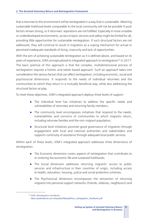that a returnee to this environment will be reintegrated in a way that is sustainable. Attaining sustainable livelihood levels comparable to the local community will not be possible if push factors remain strong, or if returnees' aspirations are not fulfilled. Especially in more unstable or underdeveloped environments, access to basic services and safety might be limited for all, providing little opportunities for sustainable reintegration. If such structural factors are not addressed, they will continue to result in migration as a coping mechanism for actual or perceived inadequate standards of living, insecurity and lack of opportunities.

With the aim of achieving sustainable reintegration as it is defined above, and based on its years of experience, IOM conceptualized its integrated approach to reintegration<sup>53</sup> in 2017. The basic premise of this approach is that the complex, multidimensional process of reintegration requires a holistic and needs-based approach. Such an approach takes into consideration the various factors that can affect reintegration, including economic, social and psychosocial dimensions. It responds to the needs of individual returnees and the communities to which they return in a mutually beneficial way, while also addressing the structural factors at play.

To meet these objectives, IOM's integrated approach deploys three levels of support:

- $\triangleright$  The individual level has initiatives to address the specific needs and vulnerabilities of returnees and returning family members;
- $\blacktriangleright$  The community level encompasses initiatives that respond to the needs, vulnerabilities and concerns of communities to which migrants return, including returnee families and the non-migrant population;
- $\triangleright$  Structural level initiatives promote good governance of migration through engagement with local and national authorities and stakeholders and supports continuity of assistance through adequate local public services.

Within each of these levels, IOM's integrated approach addresses three dimensions of reintegration:

- $\triangleright$  The Economic dimension covers aspects of reintegration that contributes to re-entering the economic life and sustained livelihoods;
- $\triangleright$  The Social dimension addresses returning migrants' access to public services and infrastructure in their countries of origin, including access to health, education, housing, justice and social protection schemes;
- $\triangleright$  The Psychosocial dimension encompasses the reinsertion of returning migrants into personal support networks (friends, relatives, neighbours) and

<sup>53</sup> IOM's Reintegration Handbook:

https://publications.iom.int/system/files/pdf/iom\_reintegration\_handbook.pdf.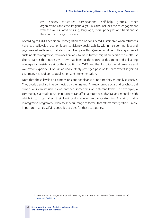civil society structures (associations, self-help groups, other organizations and civic life generally). This also includes the re-engagement with the values, ways of living, language, moral principles and traditions of the country of origin's society.

According to IOM's definition, reintegration can be considered sustainable when returnees have reached levels of economic self-sufficiency, social stability within their communities and psychosocial well-being that allow them to cope with (re)migration drivers. Having achieved sustainable reintegration, returnees are able to make further migration decisions a matter of choice, rather than necessity.54 IOM has been at the centre of designing and delivering reintegration assistance since the inception of AVRR and thanks to its global presence and worldwide expertise, IOM is in an undoubtedly privileged position to share expertise gained over many years of conceptualization and implementation.

Note that these levels and dimensions are not clear-cut, nor are they mutually exclusive. They overlap and are interconnected by their nature. The economic, social and psychosocial dimensions can influence one another, sometimes on different levels. For example, a community's attitude towards returnees can affect a returnee's physical and mental health which in turn can affect their livelihood and economic opportunities. Ensuring that a reintegration programme addresses the full range of factors that affects reintegration is more important than classifying specific activities for these categories.

<sup>54</sup> IOM, Towards an Integrated Approach to Reintegration in the Context of Return (IOM, Geneva, 2017): www.bit.ly/3ePPI1X.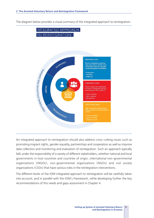The diagram below provides a visual summary of the integrated approach to reintegration.



An integrated approach to reintegration should also address cross-cutting issues such as promoting migrant rights, gender equality, partnerships and cooperation as well as improve data collection and monitoring and evaluation of reintegration. Such an approach typically falls under the responsibility of a variety of different stakeholders, whether national and local governments in host countries and countries of origin, international non-governmental organizations (INGOs), non-governmental organizations (NGOs) and civil society organizations (CSOs) that have various roles in the reintegration interventions.

The different levels of the IOM integrated approach to reintegration will be carefully taken into account, and in parallel with the IOM's Framework, while developing further the key recommendations of this needs and gaps assessment in Chapter 4.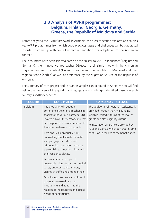# **2.3 Analysis of AVRR programmes: Belgium, Finland, Georgia, Germany, Greece, the Republic of Moldova and Serbia**

Before analysing the AVRR framework in Armenia, the present section explores and studies key AVRR programmes from which good practices, gaps and challenges can be elaborated in order to come up with some key recommendations for adaptation to the Armenian context.

The 7 countries have been selected based on their historical AVRR experiences (Belgium and Germany), their innovative approaches (Greece), their similarities with the Armenian migration and return context (Finland, Georgia and the Republic of Moldova) and their regional scope (Serbia) as well as preference by the Migration Service of the Republic of Armenia.

The summary of each project and relevant examples can be found in Annex V. You will find below the overview of the good practices, gaps and challenges identified based on each country's AVRR experience.

| <b>COUNTRY</b> | <b>GOOD PRACTICES</b>                                                                                                                                                                                                                                                                                                                                                                                                                                                                                                                                                                                                                                                                                                                                                 | <b>GAPS AND CHALLENGES</b>                                                                                                                                                                                                                                                                                |
|----------------|-----------------------------------------------------------------------------------------------------------------------------------------------------------------------------------------------------------------------------------------------------------------------------------------------------------------------------------------------------------------------------------------------------------------------------------------------------------------------------------------------------------------------------------------------------------------------------------------------------------------------------------------------------------------------------------------------------------------------------------------------------------------------|-----------------------------------------------------------------------------------------------------------------------------------------------------------------------------------------------------------------------------------------------------------------------------------------------------------|
| Belgium        | The programme includes a<br>comprehensive referral mechanism<br>thanks to the various partners (98)<br>located all over the territory and that<br>can respond in a tailored manner to<br>the individual needs of migrants.<br>IOM ensures individual return<br>counselling thanks to its thematic<br>and geographical return and<br>reintegration counsellors who are<br>also mobile to meet the migrants in<br>their residence places.<br>Particular attention is paid to<br>vulnerable migrants such as medical<br>cases, unaccompanied minors,<br>victims of trafficking among others.<br>Monitoring missions in countries of<br>origin allow to evaluate the<br>programme and adapt it to the<br>realities of the countries and actual<br>needs of beneficiaries. | The additional reintegration assistance is<br>provided through the AMIF funding,<br>which is limited in terms of the level of<br>grants and also eligibility criteria.<br>Reintegration assistance is provided by<br>IOM and Caritas, which can create some<br>confusion in the eye of the beneficiaries. |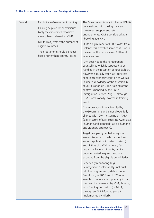Finland Flexibility in Government funding. Existing helpline for beneficiaries (only the candidates who have already been referred to IOM).

> Not to limit/restrict the number of eligible countries.

The programme should be needsbased rather than country-based. The Government is fully in charge, IOM is only assisting with the logistical and movement support and return arrangements. IOM is considered as a "booking agency".

Quite a big number of ERRIN cases from Finland: this provokes some confusion in the eyes of the beneficiaries (different actors involved).

IOM does not do the reintegration counselling, which is supposed to be handled in the reception centres (which, however, naturally often lack concrete experience with reintegration as well as in-depth knowledge of the situation in countries of origin). The training of the centres is handled by the Finish Immigration Service (Migri), although IOM is occasionally involved in training events.

Communication is fully handled by the Government and is not always fully aligned with IOM messaging on AVRR (e.g. in terms of IOM stressing AVRR as a "humane and dignified" lacks a humane and visionary approach).

Target group only limited to asylum seekers (rejected, or who cancel their asylum application in order to return) and victims of trafficking (very few requests). Labour migrants, families, undocumented migrants, etc, are excluded from the eligible beneficiaries.

Beneficiary monitoring (e.g. Reintegration Sustainability) not built into the programme by default so far. Monitoring in 2019 and 2020 of a sample of beneficiaries, primarily in Iraq, has been implemented by IOM, though, with funding from Migri (in 2019, through an AMIF-funded project implemented by Migri).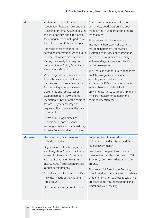| Georgia | A Memorandum of Mutual<br>Cooperation between IOM and the<br>Ministry of Internal Affairs stipulates<br>the key principles and directions of<br>the engagement of both parties in<br>the sphere of AVRR from Georgia.<br>The most effective channel of<br>spreading information turned out to<br>be word-of-mouth dissemination<br>among the closely-knit migrant<br>communities in Tbilisi, Batumi and<br>elsewhere in Georgia.<br>When migrants had own resources<br>to purchase air tickets but failed to<br>gain access to consular assistance<br>for producing emergency travel<br>documents and replace lost or<br>expired passports, IOM offered<br>mediation on behalf of the migrant<br>towards his/her embassy and<br>requested the issuance of the travel<br>document.<br>IOM's AVRR programme has<br>become even more relevant in<br>securing humane and dignified ways<br>to leave Georgia and return home. | As concerns cooperation with the<br>authorities, good progress has been<br>made by the MIA in organizing return<br>management.<br>There are certain challenges in the<br>institutional framework of Georgia's<br>return management, for example<br>illustrated by insufficient coordination<br>between the country's penitentiary<br>system and agencies responsible for<br>return management.<br>The Georgian authorities are dependent<br>on IOM to organize and finance<br>voluntary return, which is partly<br>explained by IOM's operational contacts<br>with embassies and flexibility in<br>providing assistance to irregular migrants<br>who are not accommodated in the<br>migrant detention centre. |
|---------|--------------------------------------------------------------------------------------------------------------------------------------------------------------------------------------------------------------------------------------------------------------------------------------------------------------------------------------------------------------------------------------------------------------------------------------------------------------------------------------------------------------------------------------------------------------------------------------------------------------------------------------------------------------------------------------------------------------------------------------------------------------------------------------------------------------------------------------------------------------------------------------------------------------------------|---------------------------------------------------------------------------------------------------------------------------------------------------------------------------------------------------------------------------------------------------------------------------------------------------------------------------------------------------------------------------------------------------------------------------------------------------------------------------------------------------------------------------------------------------------------------------------------------------------------------------------------------------------------------------------------------------------------|
| Germany | Use of country fact sheets and<br>individual queries.<br>Digitalization of the Reintegration<br>and Emigration Program for Asylum<br>seekers in Germany / Government<br>Assisted Repatriation Program<br>(REAG/GARP) application process<br>(under development).<br>Take all vulnerabilities and specific<br>individual needs of the migrants<br>into account.<br>Good referral mechanism in place.                                                                                                                                                                                                                                                                                                                                                                                                                                                                                                                      | Large number of project donors<br>(16 individual Federal States and the<br>federal government).<br>Over the last couple of years, more<br>stakeholders have been involved in AVR:<br>800 to 1,000 stakeholders are on the<br>ground.<br>The overall AVRR setting in Germany is<br>complicated for some migrants who have<br>a lot of information to proceed with. This<br>provokes some misunderstanding and<br>limitations in counselling.                                                                                                                                                                                                                                                                   |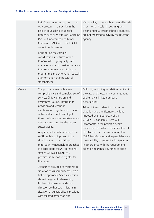|        | NGO's are important actors in the<br>AVR process, in particular in the<br>field of counselling of specific<br>groups such as Victims of Trafficking<br>(VoTs), Unaccompanied Minor<br>Children (UMC), or LGBTQI. IOM<br>cannot do this alone.<br>Considering the complex<br>coordination structures within<br>REAG/GARP, high-quality data<br>management is of great importance<br>to ensure ongoing monitoring of<br>programme implementation as well<br>as information sharing with all<br>stakeholders.                                                                                                                                                                                                                                                                                                                                                                                                                  | Vulnerability issues such as mental health<br>issues, other health issues, migrants<br>belonging to a certain ethnic group, etc,<br>are not reported to IOM by the referring<br>agency.                                                                                                                                                                                                                                                                                                                                                                                                                 |
|--------|-----------------------------------------------------------------------------------------------------------------------------------------------------------------------------------------------------------------------------------------------------------------------------------------------------------------------------------------------------------------------------------------------------------------------------------------------------------------------------------------------------------------------------------------------------------------------------------------------------------------------------------------------------------------------------------------------------------------------------------------------------------------------------------------------------------------------------------------------------------------------------------------------------------------------------|---------------------------------------------------------------------------------------------------------------------------------------------------------------------------------------------------------------------------------------------------------------------------------------------------------------------------------------------------------------------------------------------------------------------------------------------------------------------------------------------------------------------------------------------------------------------------------------------------------|
| Greece | The programme entails a very<br>comprehensive and complete set of<br>services (info campaign and<br>awareness-raising, information<br>provision and reception,<br>identification, registration, issuance<br>of travel documents and flight<br>tickets, reintegration assistance, and<br>effective measures for the return<br>sustainability.<br>Acquiring information though the<br>AVRR mobile unit proved to be<br>significant as many of these<br>third-country nationals approached<br>at a later stage the AVRR regional<br>staff as well as IOM Athens<br>premises in Alimos to register for<br>the project.<br>Assistance provided to migrants in<br>situation of vulnerability requires a<br>holistic approach. Special mention<br>should be given to developing<br>further initiatives towards this<br>direction so that each migrant in<br>situation of vulnerability is provided<br>with tailored protection and | Difficulty in finding translation services in<br>the case of dialects and / or languages<br>spoken by a limited number of<br>beneficiaries.<br>Taking into consideration the current<br>situation and significant restrictions<br>imposed by the outbreak of the<br>COVID-19 pandemic, IOM will<br>incorporate in the project a health<br>component in order to minimize the risk<br>of infection transmission among the<br>AVRR beneficiaries and in parallel ensure<br>the feasibility of assisted voluntary return<br>in accordance with the requirements<br>taken by migrants' countries of origin. |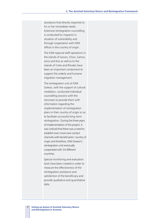assistance that directly responds to his or her immediate needs. Extensive reintegration counselling is conducted for migrants in situation of vulnerability and through cooperation with IOM offices in the country of origin.

The IOM regional staff operations in the islands of Lesvos, Chios, Samos, Leros and Kos as well as to the islands of Crete and Rhodes have been an important component to support the orderly and humane migration management.

The reintegration unit of IOM Greece, with the support of cultural mediators, conducted individual counselling sessions with the returnees to provide them with information regarding the implementation of reintegration plans in their country of origin so as to facilitate successful long-term reintegration. During the three years of implementation of the project, it was noticed that there was a need to establish even more new contact channels with beneficiaries' country of origin and therefore, IOM Greece's reintegration unit eventually cooperated with 34 different countries.

Special monitoring and evaluation tools have been created in order to measure the effectiveness of the reintegration assistance and satisfaction of the beneficiary and provide qualitative and quantitative data.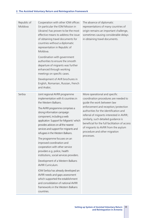| Republic of<br>Moldova | Cooperation with other IOM offices<br>(in particular the IOM Mission in<br>Ukraine) has proven to be the most<br>effective means to address the issue<br>of obtaining travel documents for<br>countries without a diplomatic<br>representation in Republic of<br>Moldova.<br>Coordination with government<br>authorities to ensure the smooth<br>departure of migrants was further<br>enhanced through working<br>meetings on specific cases.<br>Development of AVR brochures in<br>English, Romanian, Russian, French<br>and Arabic.                                                                                                                                                                                                                                                                      | The absence of diplomatic<br>representations of many countries of<br>origin remains an important challenge,<br>sometimes causing considerable delays<br>in obtaining travel documents.                                                                                                                                                                                                                             |
|------------------------|------------------------------------------------------------------------------------------------------------------------------------------------------------------------------------------------------------------------------------------------------------------------------------------------------------------------------------------------------------------------------------------------------------------------------------------------------------------------------------------------------------------------------------------------------------------------------------------------------------------------------------------------------------------------------------------------------------------------------------------------------------------------------------------------------------|--------------------------------------------------------------------------------------------------------------------------------------------------------------------------------------------------------------------------------------------------------------------------------------------------------------------------------------------------------------------------------------------------------------------|
| Serbia                 | Joint regional AVRR programme<br>implementation with 6 countries in<br>the Western Balkans.<br>The AVRR programme comprises a<br>strong information campaign<br>component, including a web<br>application Support for Migrants' which<br>provides advices on all the nearest<br>services and support for migrants and<br>refugees in the Western Balkans.<br>The programme focuses on an<br>improved coordination and<br>cooperation with other service<br>providers e.g. police, health<br>institutions, social services providers.<br>Development of a Western Balkans<br><b>AVRR Curriculum.</b><br>IOM Serbia has already developed an<br>AVRR needs and gaps assessment<br>which supported the establishment<br>and consolidation of national AVRR<br>frameworks in the Western Balkans<br>countries. | More operational and specific<br>coordination procedures are needed to<br>guide the work between law<br>enforcement and reception/protection<br>authorities for the identification and<br>referral of migrants interested in AVRR;<br>similarly, such detailed guidance is<br>beneficial for the full facilitation of access<br>of migrants to AVRR from the asylum<br>procedure and other migration<br>processes. |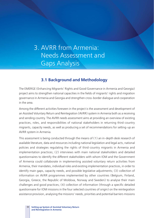# 3. AVRR from Armenia: Needs Assessment and Gaps Analysis

# **3.1 Background and Methodology**

The EMERGE (Enhancing Migrants' Rights and Good Governance in Armenia and Georgia) project aims to strengthen national capacities in the fields of migrants' rights and migration governance in Armenia and Georgia and strengthen cross-border dialogue and cooperation in the area.

Among the different activities foreseen in the project is the assessment and development of an Assisted Voluntary Return and Reintegration (AVRR) system in Armenia both as a receiving and sending country. The AVRR needs assessment aims at providing an overview of existing practices, roles, and responsibilities of national stakeholders in returning third-country migrants, capacity needs, as well as producing a set of recommendations for setting-up an AVRR system in Armenia.

This assessment is being conducted through the means of (1) an in-depth desk research of available literature, data and resources including national legislation and legal acts, national policies and strategies regulating the rights of third-country migrants in Armenia and implementation practices; (2) interviews with main national stakeholders and detailed questionnaires to identify the different stakeholders with whom IOM and the Government of Armenia could collaborate in implementing assisted voluntary return activities from Armenia, their mandates, individual roles and existing implementation practices, in order to identify main gaps, capacity needs, and possible legislative adjustments; (3) collection of information on AVRR programmes implemented by other countries (Belgium, Finland, Georgia, Greece, the Republic of Moldova, Norway and Sweden) to analyse their main challenges and good practices; (4) collection of information (through a specific detailed questionnaire for IOM missions in the four selected countries of origin) on the reintegration assistance provision, analysing the missions' needs, priorities and potential barriers missions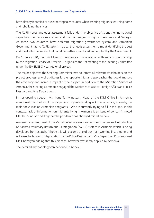have already identified or are expecting to encounter when assisting migrants returning home and rebuilding their lives.

The AVRR needs and gaps assessment falls under the objective of strengthening national capacities to enhance rule of law and maintain migrants' rights in Armenia and Georgia. As these two countries have different migration governance system and Armenian Government has no AVRR system in place, the needs assessment aims at identifying the best and most effective model that could be further introduced and applied by the Government.

On 10 July 2020, the IOM Mission in Armenia – in cooperation with and co-chairmanship by the Migration Service of Armenia – organized the 1st meeting of the Steering Committee under the EMERGE 3-year regional project.

The major objective the Steering Committee was to inform all relevant stakeholders on the project progress, as well as discuss further opportunities and approaches that could improve the efficiency and increase impact of the project. In addition to the Migration Service of Armenia, the Steering Committee engaged the Ministries of Justice, Foreign Affairs and Police Passport and Visa Department.

In her opening speech, Ms. Ilona Ter-Minasyan, Head of the IOM Office in Armenia, mentioned that the key of the project are migrants residing in Armenia, while, as a rule, the main focus was on Armenian emigrants. "We are currently trying to fill in this gap. In this context, lack of information on migrants living in Armenia is an issue of concern", noted Ms. Ter-Minasyan adding that the pandemic has changed migration flows.

Armen Ghazaryan, Head of the Migration Service emphasized the importance of introduction of Assisted Voluntary Return and Reintegration (AVRR) system in Armenia which is being developed from scratch. "I hope this will become one of our main working instruments and will ease the burden of deportation by the Police Passport and Visa Department", mentioned Mr. Ghazaryan adding that this practice, however, was rarely applied by Armenia.

The detailed methodology can be found in Annex II.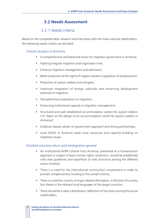# **3.2 Needs Assessment**

# 3.2.1 Needs criteria

Based on the completed desk-research and interviews with the main national stakeholders, the following needs criteria can be listed:

#### Overall situation in Armenia

- § A comprehensive and balanced vision for migration governance in Armenia;
- Fighting irregular migration and organized crime;
- **Enhance migration management and admission;**
- Better protection of the rights of migrant workers (regulation of employment);
- **•** Protection of asylum seekers and refugees;
- Improved integration of foreign nationals and enhancing development potential of migration;
- **•** Strengthening cooperation on migration;
- Enhancing institutional capacity in migration management;
- § Structured and well-established accommodation system for asylum seekers (cfr. *Paper on the design of an accommodation centre for asylum seekers in Armenia);*
- **Evidence-based, whole-of-government approach and strong partnerships:**
- Local NGOS in Armenia need more resources and capacity-building on migration issues.

#### Assisted voluntary return and reintegration general

- An institutional AVRR scheme from Armenia, presented as a humanitarian approach in respect of basic human rights' protection, should be established with clear guidelines and repartition of roles/functions among the different actors involved;
- There is a need for the international community's involvement in order to provide complementary funding to the overall scheme;
- There is a need for country of origin related information, in the form of country fact sheets in the relevant local languages of the target countries;
- There should be a clear a distribution/definition of functions among the active stakeholders;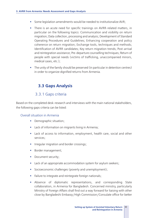- § Some legislation amendments would be needed to institutionalize AVR;
- There is an acute need for specific trainings on AVRR-related matters, in particular on the following topics: Communication and visibility on return migration; Data collection, processing and analysis; Development of Standard Operating Procedures and Guidelines; Enhancing cooperation and policy coherence on return migration; Exchange tools, techniques and methods; Identification of AVRR candidates; Key return migration trends; Post-arrival and reintegration assistance; Pre-departure counselling techniques; Return of people with special needs (victims of trafficking, unaccompanied minors, medical cases, etc.);
- The unity of the family should be preserved (in particular in detention centres) in order to organize dignified returns from Armenia.

# **3.3 Gaps Analysis**

### 3.3.1 Gaps criteria

Based on the completed desk-research and interviews with the main national stakeholders, the following gaps criteria can be listed:

#### Overall situation in Armenia

- Demographic situation;
- Lack of information on migrants living in Armenia;
- Lack of access to information, employment, health care, social and other services;
- **•** Irregular migration and border crossings;
- **•** Border management;
- **•** Document security;
- Lack of an appropriate accommodation system for asylum seekers;
- § Socioeconomic challenges (poverty and unemployment);
- Failure to integrate and reintegrate foreign nationals;
- § Absence of diplomatic representations, and corresponding State collaboration, in Armenia for Bangladesh. Concerned ministry, particularly Ministry of Foreign Affairs shall find out a way forward for liaising with other close by Bangladeshi Embassy/High Commission/Consulate office for better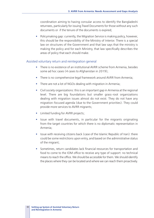coordination aiming to having consular access to identify the Bangladeshi returnees, particularly for issuing Travel Documents for those without any such documents or if the tenure of the documents is expired;

• Policymaking gap: currently, the Migration Service is making policy, however, this should be the responsibility of the Ministry of Interior. There is a special law on structures of the Government and that law says that the ministry is making the policy and for each Ministry, that law specifically describes the areas of policy that each should make.

#### Assisted voluntary return and reintegration general

- There is no existence of an institutional AVRR scheme from Armenia, besides some ad hoc cases (4 cases to Afghanistan in 2019);
- There is no comprehensive legal framework around AVRR from Armenia;
- There are not a lot of NGOs dealing with migration in Armenia;
- § Civil society organizations: this is an important gap in Armenia at the regional level. There are big foundations but smaller grass-root organizations dealing with migration issues almost do not exist. They do not have any migration-focused agenda (due to the Government priorities). They could provide more services to AVRR migrants;
- **Example 1** Limited funding for AVRR projects;
- Issue with travel documents, in particular for the migrants originating from the target countries for which there is no diplomatic representation in Armenia;
- § Issue with receiving citizens back (case of the Islamic Republic of Iran): there could be some restrictions upon entry, and based on the administrative status of the migrant;
- § Sometimes, return candidates lack financial resources for transportation and food to come to the IOM office to receive any type of support: no technical means to reach the office. We should be accessible for them. We should identify the places where they can be located and where we can reach them proactively.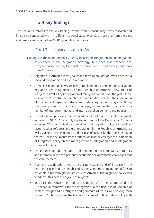# **3.4 Key findings**

This section summarizes the key findings of the overall consultancy (desk research and interviews conducted with 11 different national stakeholders), as resulting from the gaps and needs assessment of an AVRR system from Armenia.

## 3.4.1 The migration policy in Armenia

- Finding #1: The migration policy merely focuses on integration and reintegration, as defined in the Migration Strategy, but does not propose any comprehensive setting for assisted voluntary return of foreign nationals from Armenia.
	- Migration in Armenia mostly takes the form of emigration, which has left a social, demographic and economic impact.
	- Armenia's migration flows are being supplemented by emigration and labour migration, returning citizens of the Republic of Armenia, new influx of refugees, as well as by immigration of foreign nationals. Over the years, these developments contributed to changes in migration policies: the elaboration of four concept papers and strategies on state regulation of migration flows, the development of two plans of actions, as well as the conclusion of a number of intergovernmental and international agreements and treaties.
	- The integration policy was consolidated for the first time in a single document, initiated in 2016. As a result, the Government of the Republic of Armenia approved "The conceptual framework for the integration policy of individuals recognized as refugees and granted asylum in the Republic of Armenia, as well as of long-term migrants," and the plan of actions for the implementation thereof. These documents set the foundations for the emergence of a tradition of integrated policy on the management of integration and reintegration issues in Armenia.
	- The organization of integration and reintegration of immigrants, returnees and internally displaced persons encounters socioeconomic challenges that the country faces.
	- § Over the last decade, there is also a noticeable trend of increase in the returning citizens of the Republic of Armenia and the immigration of foreign nationals in the immigration structure of Armenia. The migration policy fails to address this particular group of migrants.
	- In 2016 the Government of the Republic of Armenia approved the "Conceptual framework for the integration in the Republic of Armenia of persons recognized as refugees and granted asylum, as well of long-term migrants," which became the first ever document outlining state policy with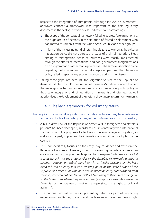respect to the integration of immigrants. Although the 2016 Governmentapproved conceptual framework was important as the first regulatory document in the sector, it nevertheless had essential shortcomings.

- $\supset$  The scope of the conceptual framework failed to address foreign nationals, the huge group of persons in the situation of forced displacement who had moved to Armenia from the Syrian Arab Republic and other groups.
- $\bullet$  In light of the increasing trend of returning citizens to Armenia, the existing integration policy did not address the issues of their reintegration. Steps aiming at reintegration needs of returnees were mostly implemented through the efforts of international and non-governmental organizations on a programmatic, rather than a policy level. The same observation arose regarding the big numbers of internally displaced persons. The integration policy failed to specify any action that would address their issues.
- Taking these gaps into account, the Migration Service of the Republic of Armenia initiated in 2019 the drafting of the new Migration Concept to chart the main approaches and interventions of a comprehensive public policy in the area of integration and reintegration of immigrants and returnees, as well as prioritizes the development of the system of voluntary return from Armenia.

#### 3.4.2 The legal framework for voluntary return

#### Finding #2: The national legislation on migration is lacking any legal reference to the possibility of voluntary return, either to Armenia or from its territory.

- § A bill, a draft Law of the Republic of Armenia "On foreigners and stateless persons" has been developed, in order to ensure conformity with international standards, with the purpose of effectively countering irregular migration, as well as to properly implement the international commitments adopted by the country.
- This Law specifically focuses on the entry, stay, residence and exit from the Republic of Armenia. However, it fails in presenting voluntary return as an option, rather focusing on the obligation for foreigners "*who have arrived at a crossing point of the state border of the Republic of Armenia without a passport, a document substituting it or with an invalid passport, or who have been refused an entry visa at a crossing point of the state border of the Republic of Armenia, or who have not obtained an entry authorization from the body carrying out border control*" of "*returning to their State of origin or to the State from where they have arrived* (except for cases who arrived in Armenia for the purpose of seeking refugee status or a right to political asylum)".
- The national legislation fails in presenting return as part of regulating migration issues. Rather, the laws and practices encompass measures to fight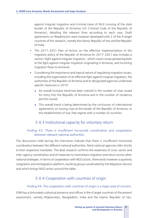against irregular migration and criminal cases of illicit crossing of the state border of the Republic of Armenia (cfr Criminal Code of the Republic of Armenia), detailing the relevant fines according to each case. Draft agreements on Readmission were however developed with 2 of the 4 target countries of this research, namely the Islamic Republic of Iran and the Republic of India.

- The 2017–2021 Plan of Action on the effective implementation of the migration policy of the Republic of Armenia for 2017–2021 also includes a section 'Fight against irregular migration,' which covers issues pertaining both to the fight against irregular migration originating in Armenia, and incoming migration flows to Armenia.
- § Considering the importance and topical nature of regulating migration issues, including the organization of an effective fight against irregular migration, the authorities of the Republic of Armenia and its designated agencies undertook specific measures in 2019.
	- $\bullet$  An overall increase trend has been noticed in the number of visas issued for entry into the Republic of Armenia and in the number of residence permits issued.
	- $\bullet$  This overall trend is being determined by the conclusion of international agreements on issuing visas at the border of the Republic of Armenia, or the establishment of visa-free regime with a number of countries.

## 3.4.3 Institutional capacity for voluntary return

#### Finding #3: There is insufficient horizontal coordination and cooperation between relevant national authorities.

The discussions held during the interviews indicate that there is insufficient horizontal coordination between the different national authorities. Most national agencies refer strictly to their respective mandates. The desk research confirms the weakness of cross-sector and inter-agency coordination and of measures to mainstream migration and return across other national strategies. In terms of cooperation with NGO actors, there exists however a quarterly integration and reintegration platform/working group coordinated by the Migration Service and which brings NGO actors around the table.

## 3.4.4 Cooperation with countries of origin

#### Finding #4. The cooperation with countries of origin is a major area of concern.

IOM has a fortunately a physical presence and offices in the 4 target countries of the present assessment, namely Afghanistan, Bangladesh, India and the Islamic Republic of Iran.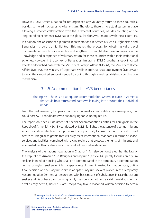However, IOM Armenia has so far not organized any voluntary return to these countries, besides some ad hoc cases to Afghanistan. Therefore, there is no actual system in place allowing a smooth collaboration with these different countries, besides counting on the long-standing experience IOM has at the global level on AVRR matters with these countries.

In addition, the absence of diplomatic representations in Armenia such as Afghanistan and Bangladesh should be highlighted. This makes the process for obtaining valid travel documentation much more complex and lengthier. This might also have an impact on the knowledge and acceptance of voluntary return for these countries within their institutional schemes. However, in the context of Bangladeshi migrants, IOM Dhaka has already invested efforts and touched base with the Ministry of Foreign Affairs (MoFA), the Ministry of Home Affairs (MoHA), the Ministry of Expatriate Welfare and Overseas Employment (MoEWOE) to avail their required support needed by going through a well-established coordination mechanism.

# 3.4.5 Accommodation for AVR beneficiaries

#### Finding #5: There is no adequate accommodation system in place in Armenia that could host return candidates while taking into account their individual needs.

From the desk research, it appears that there is no real accommodation system in place, that could host AVRR candidates who are applying for voluntary return.

The report on Needs Assessment of Special Accommodation Centres for Foreigners in the Republic of Armenia<sup>55</sup> (2013) conducted by IOM highlights the absence of a central migrant accommodation which as such provides the opportunity to design a purpose built closed centre for irregular migrants that will fully meet international standards in terms of space, services and facilities, combined with a care regime that protects the rights of migrants and acknowledges their status as non-criminal administrative detainees.

The analysis of the national legislation in Chapter 1.4.1 also demonstrated that the Law of the Republic of Armenia "On Refugees and asylum" (article 14) purely focuses on asylum seekers in need of housing who shall be accommodated in the temporary accommodation centre for asylum seekers which is a special establishment created for that purpose, until a final decision on their asylum claim is adopted. Asylum seekers placed in the Temporary Accommodation Centre shall be provided with basic means of subsistence. In case the asylum seeker and his or her accompanying family members do not hold a valid travel document or a valid entry permit, Border Guard Troops may take a reasoned written decision to detain

<sup>55</sup> www.publications.iom.int/books/needs-assessment-special-accommodation-centres-foreignersrepublic-armenia (available in English and Armenian).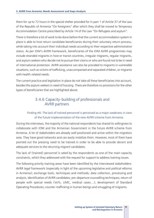them for up to 72 hours in the special shelter provided for in part 1 of Article 37 of the Law of the Republic of Armenia "On foreigners" after which they shall be moved to Temporary Accommodation Centre prescribed by Article 14 of the Law "On Refugees and asylum".

There is therefore a lot of work to be done before that the current accommodation system in place is able to host return candidate beneficiaries during their voluntary return process, while taking into account their individual needs according to their respective administrative status. As per IOM's AVRR Framework, beneficiaries of the IOM AVRR programmes may include stranded migrants in host or transit countries, irregular migrants, regular migrants, and asylum seekers who decide not to pursue their claims or who are found not to be in need of international protection. AVRR assistance can also be provided to migrants in vulnerable situations, such as victims of trafficking, unaccompanied and separated children, or migrants with health-related needs.

The current practice and legislation in place do not take all these beneficiaries into account, besides the asylum seekers in need of housing. There are therefore no provisions for the other types of beneficiaries that are highlighted above.

## 3.4.6 Capacity-building of professionals and AVRR partners

#### Finding #6: The lack of trained personnel is perceived as a major weakness in view of the future implementation of the new AVRR scheme from Armenia.

During the interviews, the majority of the national respondents has shared its willingness to collaborate with IOM and the Armenian Government in the future AVRR scheme from Armenia. A lot of stakeholders are already well positioned and active within the migration area. They have good networks and can easily mobilize them. However, most of them have pointed out the pressing need to be trained in order to be able to provide decent and adequate services to the returning migrant candidates.

The lack of (trained) personnel is rated by the respondents as one of the main capacity constraints, which they addressed with the request for support to address training issues.

The following priority training areas have been identified by the interviewed stakeholders: AVRR legal framework (especially in light of the upcoming legislative and political reforms in Armenia); exchange tools, techniques and methods; data collection, processing and analysis; identification of AVRR candidates; pre-departure counselling techniques; return of people with special needs (VoTs, UMC, medical cases…); development of Standard Operating Procedures; counter-trafficking in human beings and smuggling of migrants.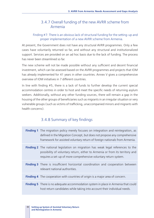## 3.4.7 Overall funding of the new AVRR scheme from Armenia

#### Finding #7: There is an obvious lack of structural funding for the setting-up and proper implementation of a new AVRR scheme from Armenia.

At present, the Government does not have any structural AVRR programmes. Only a few cases have voluntarily returned so far, and without any structural and institutionalized support. Services are provided on an ad hoc basis due to the lack of funding. The process has never been streamlined so far.

The new scheme will not be made possible without any sufficient and decent financial investment, which can be assessed based on the AVRR programmes and projects that IOM has already implemented for 41 years in other countries. Annex V gives a comprehensive overview of IOM initiatives in 7 different countries.

In line with finding #5, there is a lack of funds to further develop the current special accommodation centres in order to host and meet the specific needs of returning asylum seekers. Additionally, without any other funding sources, there will remain a gap in the housing of the other groups of beneficiaries such as migrants in an irregular situation or very vulnerable groups (such as victims of trafficking, unaccompanied minors and migrants with health concerns).

# 3.4.8 Summary of key findings

| <b>Finding 1</b> The migration policy merely focuses on integration and reintegration, as<br>defined in the Migration Concept, but does not propose any comprehensive<br>framework for assisted voluntary return of foreign nationals from Armenia. |
|-----------------------------------------------------------------------------------------------------------------------------------------------------------------------------------------------------------------------------------------------------|
| <b>Finding 2</b> The national legislation on migration has weak legal references to the<br>possibility of voluntary return, either to Armenia or from its territory and<br>requires a set-up of more comprehensive voluntary return system.         |
| <b>Finding 3</b> There is insufficient horizontal coordination and cooperation between<br>relevant national authorities.                                                                                                                            |
| <b>Finding 4</b> The cooperation with countries of origin is a major area of concern.                                                                                                                                                               |
| <b>Finding 5</b> There is no adequate accommodation system in place in Armenia that could<br>host return candidates while taking into account their individual needs.                                                                               |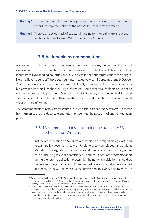- **Finding 6** The lack of trained personnel is perceived as a major weakness in view of the future implementation of the new AVRR scheme from Armenia.
- **Finding 7** There is an obvious lack of structural funding for the setting-up and proper implementation of a new AVRR scheme from Armenia.

## **3.5 Actionable recommendations**

A complete set of recommendations can be built upon the key findings of the overall assessment, the desk research, the various interviews with the key stakeholders and the inputs from IOM sending countries and IOM offices in the four target countries of origin. Eleven different agencies<sup>56</sup> have been duly interviewed between 8 September and 9 October 2020. The Ministry of Foreign Affairs was not directly interviewed due to time constraints but provided its overall feedback during a phone call. Some other stakeholders could not be reached or preferred to postpone. Due to the conflict situation, a meeting with all involved stakeholders could not take place, therefore these recommendations have not been validated yet at the time of writing.

The recommendations below are structured in three parts, namely: the overall AVRR scheme from Armenia, the pre-departure and return phase, and the post-arrival and reintegration phase.

## 3.5.1Recommendations concerning the overall AVRR scheme from Armenia

1. Include a clear section on AVRR from Armenia, in the migration legal acts and relevant policy documents (Law on Foreigners, Law on refugees and asylum, Migration Strategy, etc.). The mandate and coverage of the voluntary return issues, including relevant beneficiaries<sup>57</sup> and their adequate accommodation during the return application process, by the national legislations, should be made clear. Legal texts should be revised towards a returnee-oriented approach. A new Decree could be developed to clarify the roles of its

<sup>56</sup> Armenian Caritas Benevolent NGO, Armenian Red Cross Society, Border Guard Troops, Eurasia Partnership Foundation, Hans Christian Kofoed Foundation, Migration Service, Mission Armenia NGO, National Security

Service, Police, UNHCR, Yezedi Center for Human Rights.<br><sup>57</sup> As per IOM's AVRR Framework, beneficiaries of the IOM AVRR programmes may include stranded migrants in host or transit countries, irregular migrants, regular migrants, and asylum seekers who decide not to pursue their claims or who are found not to be in need of international protection. AVRR assistance can also be provided to migrants in vulnerable situations, such as victims of tracking, unaccompanied and separated children, or migrants with health-related needs.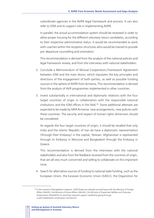subordinate agencies in the AVRR legal framework and process. It can also refer to IOM and its support role in implementing AVRR.

In parallel, the actual accommodation system should be reviewed in order to allow proper housing for the different voluntary return candidates, according to their respective administrative status. It would be recommended to work with coaches within the reception structures who would be trained to provide pre-departure counselling and orientation

This recommendation is derived from the analysis of the national policies and legal framework review, and from the interviews with national stakeholders.

- 2. Conclude a Memorandum of Mutual Cooperation/Framework Agreement between IOM and the main donor, which stipulates the key principles and directions of the engagement of both parties, as well as possible funding sources in the sphere of AVRR from Armenia. This recommendation is derived from the analysis of AVR programmes implemented in other countries.
- 3. Invest substantially in international and diplomatic relations with the four target countries of origin in collaboration with the responsible national institutions and the IOM offices in the field.<sup>58</sup> Some additional attempts are expected to be made by MFA Armenia: new arrangements, new policies with these countries. The security and respect of human rights dimension should be considered.

As regards the four target countries of origin, it should be recalled that only India and the Islamic Republic of Iran do have a diplomatic representation (through their Embassy) in the capital, Yerevan. Afghanistan is represented through its Embassy in Moscow and Bangladesh through the Embassy in Greece.

This recommendation is derived from the interviews with the national stakeholders and also from the feedback received from the countries of origin, that are all very much concerned and willing to collaborate on this important issue.

4. Search for alternative sources of funding to national state funding, such as the European Union, the Eurasian Economic Union (EAEU), the Organistion for

<sup>58</sup> In the context of Bangladeshi migrants, IOM Dhaka has already touched base with the Ministry of Foreign Affairs (MoFA), the Ministry of Home Affairs (MoHA), the Ministry of Expatriate Welfare and Overseas Employment (MoEWOE) to avail their required support needed by going through a well-established coordination mechanism.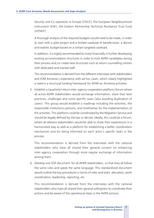Security and Co-operation in Europe (OSCE), the European Neighbourhood Instrument (ENI), the Eastern Partnership Technical Assistance Trust Fund (EPTATF).

A thorough analysis of the required budgets would need to be made, in order to start with a pilot project and a limited caseload of beneficiaries: a decent and realistic budget based on a certain targeted caseload.

In addition, it is highly recommended to invest financially in further developing existing accommodation structures in order to host AVRR candidates during their process and/or create new structures such as return counselling centres with dedicated and trained staff.

This recommendation is derived from the different interviews with stakeholders and IOM Armenia's experience with ad hoc cases, which clearly highlighted a need in a structural funding framework for AVRR ex-Armenia activities.

5. Establish a (quarterly) return inter-agency cooperation platform/forum where all active AVRR stakeholders would exchange information, share their best practices, challenges and some specific cases (also avoiding duplication of cases). This group would establish a roadmap including the activities, the responsible institutions/persons, and timeframes for the implementation of the activities. This platform could be coordinated by the Migration Service and should be legally defined by the law or decree. Ideally, this could be a forum, where all relevant stakeholders would be able to share their experiences in a harmonized way as well as a platform for establishing a better coordination mechanism and for being informed on each actor's specific tasks in the process.

This recommendation is derived from the interviews with the national stakeholders who have all shared their general consent on enhancing inter-agency cooperation through more regular exchange of information among them.

6. Develop one SOP document for all AVRR stakeholders, so that they all follow the same rules and speak the same language. This standardized document would outline the key procedures in terms of roles and tasks' allocation, work coordination, leadership, reporting, etc.

This recommendation is derived from the interviews with the national stakeholders who have all shared their general willingness to coordinate their actions and be aware of the operational steps in the AVRR process.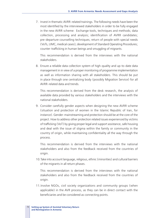7. Invest in thematic AVRR-related trainings. The following needs have been the most identified by the interviewed stakeholders in order to be fully engaged in the new AVRR scheme: Exchange tools, techniques and methods; data collection, processing and analysis; identification of AVRR candidates; pre-departure counselling techniques; return of people with special needs (VoTs, UMC, medical cases); development of Standard Operating Procedures; counter-trafficking in human beings and smuggling of migrants.

This recommendation is derived from the interviews with the national stakeholders.

8. Ensure a reliable data collection system of high-quality and up-to-date data management in in view of a proper monitoring of programme implementation as well as information sharing with all stakeholders. This should be put in place through one centralizing body (possibly Migration Service) for all AVRR-related data and trends.

This recommendation is derived from the desk research, the analysis of available data provided by various stakeholders and the interviews with the national stakeholders.

9. Consider carefully gender aspects when designing the new AVRR scheme (situation and protection of women in the Islamic Republic of Iran, for instance). Gender-mainstreaming and protection should be at the core of the project. How to address other protection related issues experienced by victims of trafficking (VoT) by giving proper legal and support assistance, safe housing and deal with the issue of stigma within the family or community in the country of origin, while maintaining confidentiality all the way through the process.

This recommendation is derived from the interviews with the national stakeholders and also from the feedback received from the countries of origin.

10.Take into account language, religious, ethnic (minorities) and cultural barriers of the migrants in all return phases.

This recommendation is derived from the interviews with the national stakeholders and also from the feedback received from the countries of origin.

11.Involve NGOs, civil society organizations and community groups (when applicable) in the AVR process, as they can be in direct contact with the beneficiaries and be considered as connecting points.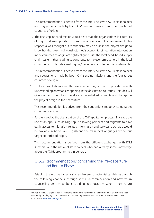This recommendation is derived from the interviews with AVRR stakeholders and suggestions made by both IOM sending missions and the four target countries of origin.

12.The first step in that direction would be to map the organizations in countries of origin that are supporting business initiatives or employment issues. In this respect, a well thought out mechanism may be built in the project design to know how best each individual returnee's economic reintegration intervention in the countries of origin are rightly aligned with the local need-based supply chain-system, thus leading to contribute to the economic sphere in the local community to ultimately making his/her economic intervention sustainable.

This recommendation is derived from the interviews with AVRR stakeholders and suggestions made by both IOM sending missions and the four target countries of origin.

13.Explore the collaboration with the academia: they can help to provide in-depth understanding on what's happening in the destination countries. This idea will give food for thought as to make any potential adjustments and changes in the project design in the near future.

This recommendation is derived from the suggestions made by some target countries of origin.

14.Further develop the digitalization of the AVR application process. Envisage the use of an app, such as MigApp,<sup>59</sup> allowing partners and migrants to have easily access to migration-related information and services. Such app would be available in Armenian, English and the main local languages of the four target countries of origin.

This recommendation is derived from the different exchanges with IOM Armenia, and the national stakeholders who had already some knowledge about the AVRR programmes in general.

## 3.5.2 Recommendations concerning the Pre-departure and Return Phase

1. Establish the information provision and referral of potential candidates through the following channels: through special accommodation and new return counselling centres to be created in key locations where most return

<sup>&</sup>lt;sup>59</sup> MigApp is the IOM's global app for migrants designed to help them make informed decisions during their journeys by simplifying access to secure and reliable migration-related information and services. More information; www.iom.int/migapp.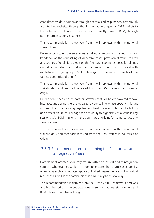candidates reside in Armenia; through a centralized helpline service; through a centralized website; through the dissemination of generic AVRR leaflets to the potential candidates in key locations; directly through IOM; through partner organizations' channels.

This recommendation is derived from the interviews with the national stakeholders.

2. Develop tools to ensure an adequate individual return counselling, such as: handbook on the counselling of vulnerable cases; provision of return-related and country of origin fact sheets on the four target countries; specific trainings on individual return counselling techniques and on how to do deal with multi-faced target groups (cultural/religious differences in each of the targeted countries of origin).

This recommendation is derived from the interviews with the national stakeholders and feedback received from the IOM offices in countries of origin.

3. Build a solid needs-based partner network that will be empowered to take into account during the pre-departure counselling phase specific migrant vulnerabilities, such as language barriers, health concerns, human trafficking and protection issues. Envisage the possibility to organize virtual counselling sessions with IOM missions in the countries of origins for some particularly sensitive cases.

This recommendation is derived from the interviews with the national stakeholders and feedback received from the IOM offices in countries of origin.

### 3.5.3 Recommendations concerning the Post-arrival and Reintegration Phase

1. Complement assisted voluntary return with post-arrival and reintegration support whenever possible, in order to ensure the return sustainability, allowing as such an integrated approach that addresses the needs of individual returnees as well as the communities in a mutually beneficial way.

This recommendation is derived from the IOM's AVRR Framework and was also highlighted on different occasions by several national stakeholders and IOM offices in countries of origin.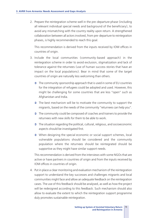2. Prepare the reintegration scheme well in the pre-departure phase (including all relevant individual special needs and background of the beneficiary), to avoid any mismatching with the country reality upon return. A strengthened collaboration between all actors involved, from pre-departure to reintegration phases, is highly recommended to reach this goal.

This recommendation is derived from the inputs received by IOM offices in countries of origin.

- 3. Include the local communities (community-based approach) in the reintegration scheme in order to avoid exclusion, stigmatization and lack of tolerance against the returnees (use of human success stories that have an impact on the local populations). Bear in mind that some of the target countries of origin are naturally less welcoming than others.
	- $\supset$  The community sponsorship approach that is used in some of EU countries for the integration of refugees could be adopted and used. However, this might be challenging for some countries that are less "open" such as Afghanistan and India.
	- $\Rightarrow$  The best mechanism will be to motivate the community to support the migrants, based on the needs of the community "returnees can help you".
	- $\Rightarrow$  The community could be composed of coaches and trainers to provide the returnees with new skills for them to be able to work.
	- $\supset$  The situation regarding the political, cultural, religious, and socioeconomic aspects should be investigated first.
	- $\bullet$  When designing the special economic or social support schemes, local vulnerable populations should be considered and the community population where the returnees should be reintegrated should be supportive as they might have similar support needs.

This recommendation is derived from the interviews with some NGOs that are active or have partners in countries of origin and from the inputs received by IOM offices in countries of origin.

4. Put in place a clear monitoring and evaluation mechanism of the reintegration support to understand the key successes and challenges migrants and local communities might face and allow an adequate feedback on the reintegration cases. The use of this feedback should be analysed, as well as how the project will be redesigned according to this feedback. Such mechanism should also allow to evaluate the extent to which the reintegration support programme duly promotes sustainable reintegration.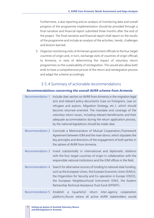Furthermore, a due reporting and an analysis of monitoring data and overall progress of the programme implementation should be provided through a final narrative and financial report submitted three months after the end of the project. The Final narrative and financial report shall report on the results of the programme and include an analysis of the activities, trends, challenges and lessons learned.

5. Organize monitoring visits of Armenian government officials to the four target countries of origin and, in turn, exchange visits of countries of origin officials to Armenia, in view of determining the impact of voluntary return programmes on the sustainability of reintegration. This would also allow both ends to have a comprehensive picture of the return and reintegration process and adapt the scheme accordingly.

### 3.5.4 Summary of actionable recommendations

#### *Recommendations concerning the overall AVRR scheme from Armenia*

| Recommendation 1        | Include clear section on AVRR from Armenia in the migration legal<br>acts and relevant policy documents (Law on Foreigners, Law on<br>refugees and asylum, Migration Strategy, etc.), which should<br>become returnee-oriented. The mandate and coverage of the<br>voluntary return issues, including relevant beneficiaries and their<br>adequate accommodation during the return application process,<br>by the national legislations should be made clear. |
|-------------------------|---------------------------------------------------------------------------------------------------------------------------------------------------------------------------------------------------------------------------------------------------------------------------------------------------------------------------------------------------------------------------------------------------------------------------------------------------------------|
| Recommendation 2        | Conclude a Memorandum of Mutual Cooperation/Framework<br>Agreement between IOM and the main donor, which stipulates the<br>key principles and directions of the engagement of both parties in<br>the sphere of AVRR from Armenia.                                                                                                                                                                                                                             |
| <b>Recommendation 3</b> | Invest substantially in international and diplomatic relations<br>with the four target countries of origin in collaboration with the<br>responsible national institutions and the IOM offices in the field.                                                                                                                                                                                                                                                   |
| Recommendation 4        | Search for alternative sources of funding to national state funding,<br>such as the European Union, the Eurasian Economic Union (EAEU),<br>the Organistion for Security and Co-operation in Europe (OSCE),<br>the European Neighbourhood Instrument (ENI), the Eastern<br>Partnership Technical Assistance Trust Fund (EPTATF).                                                                                                                               |
|                         | Recommendation 5 Establish a (quarterly) return inter-agency cooperation<br>platform/forum where all active AVRR stakeholders would                                                                                                                                                                                                                                                                                                                           |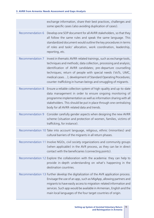|                         | exchange information, share their best practices, challenges and<br>some specific cases (also avoiding duplication of cases).                                                                                                                                                                                                                                                                             |
|-------------------------|-----------------------------------------------------------------------------------------------------------------------------------------------------------------------------------------------------------------------------------------------------------------------------------------------------------------------------------------------------------------------------------------------------------|
| Recommendation 6        | Develop one SOP document for all AVRR stakeholders, so that they<br>all follow the same rules and speak the same language. This<br>standardized document would outline the key procedures in terms<br>of roles and tasks' allocation, work coordination, leadership,<br>reporting, etc.                                                                                                                   |
| <b>Recommendation 7</b> | Invest in thematic AVRR-related trainings, such as exchange tools,<br>techniques and methods; data collection, processing and analysis;<br>identification of AVRR candidates; pre-departure counselling<br>techniques; return of people with special needs (VoTs, UMC,<br>medical cases); development of Standard Operating Procedures;<br>counter-trafficking in human beings and smuggling of migrants. |
| <b>Recommendation 8</b> | Ensure a reliable collection system of high-quality and up-to-date<br>data management in order to ensure ongoing monitoring of<br>programme implementation as well as information sharing with all<br>stakeholders. This should be put in place through one centralizing<br>body for all AVRR-related data and trends.                                                                                    |
| <b>Recommendation 9</b> | Consider carefully gender aspects when designing the new AVRR<br>scheme (situation and protection of women, families, victims of<br>trafficking, for instance).                                                                                                                                                                                                                                           |
|                         | Recommendation 10 Take into account language, religious, ethnic (minorities) and<br>cultural barriers of the migrants in all return phases.                                                                                                                                                                                                                                                               |
|                         | Recommendation 11 Involve NGOs, civil society organizations and community groups<br>(when applicable) in the AVR process, as they can be in direct<br>contact with the beneficiaries (connecting points).                                                                                                                                                                                                 |
|                         | Recommendation 12 Explore the collaboration with the academia: they can help to<br>provide in-depth understanding on what's happening in the<br>destination countries.                                                                                                                                                                                                                                    |
|                         | Recommendation 13 Further develop the digitalization of the AVR application process.<br>Envisage the use of an app, such as MigApp, allowing partners and<br>migrants to have easily access to migration-related information and<br>services. Such app would be available in Armenian, English and the<br>main local languages of the four target countries of origin.                                    |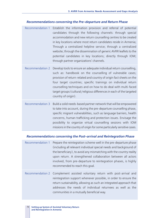#### *Recommendations concerning the Pre-departure and Return Phase*

- Recommendation 1 Establish the information provision and referral of potential candidates through the following channels: through special accommodation and new return counselling centres to be created in key locations where most return candidates reside in Armenia; Through a centralized helpline service; through a centralized website; through the dissemination of generic AVRR leaflets to the potential candidates in key locations; directly through IOM; through partner organizations' channels.
- Recommendation 2 Develop tools to ensure an adequate individual return counselling, such as: handbook on the counselling of vulnerable cases; provision of return-related and country of origin fact sheets on the four target countries; specific trainings on individual return counselling techniques and on how to do deal with multi-faced target groups (cultural/religious differences in each of the targeted country of origin).
- Recommendation 3 Build a solid needs-based partner network that will be empowered to take into account, during the pre-departure counselling phase, specific migrant vulnerabilities, such as language barriers, health concerns, human trafficking and protection issues. Envisage the possibility to organize virtual counselling sessions with IOM missions in the country of origin for some particularly sensitive cases.

#### *Recommendations concerning the Post-arrival and Reintegration Phase*

- Recommendation 1 Prepare the reintegration scheme well in the pre-departure phase (including all relevant individual special needs and background of the beneficiary), to avoid any mismatching with the country reality upon return. A strengthened collaboration between all actors involved, from pre-departure to reintegration phases, is highly recommended to reach this goal.
- Recommendation 2 Complement assisted voluntary return with post-arrival and reintegration support whenever possible, in order to ensure the return sustainability, allowing as such an integrated approach that addresses the needs of individual returnees as well as the communities in a mutually beneficial way.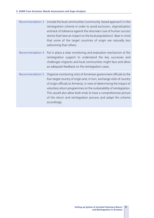| <b>Recommendation 3</b> | Include the local communities (community-based approach) in the<br>reintegration scheme in order to avoid exclusion, stigmatization<br>and lack of tolerance against the returnees (use of human success<br>stories that have an impact on the local populations). Bear in mind<br>that some of the target countries of origin are naturally less<br>welcoming than others.                                                                    |
|-------------------------|------------------------------------------------------------------------------------------------------------------------------------------------------------------------------------------------------------------------------------------------------------------------------------------------------------------------------------------------------------------------------------------------------------------------------------------------|
| Recommendation 4        | Put in place a clear monitoring and evaluation mechanism of the<br>reintegration support to understand the key successes and<br>challenges migrants and local communities might face and allow<br>an adequate feedback on the reintegration cases.                                                                                                                                                                                             |
| <b>Recommendation 5</b> | Organize monitoring visits of Armenian government officials to the<br>four target country of origin and, in turn, exchange visits of country<br>of origin officials to Armenia, in view of determining the impact of<br>voluntary return programmes on the sustainability of reintegration.<br>This would also allow both ends to have a comprehensive picture<br>of the return and reintegration process and adapt the scheme<br>accordingly. |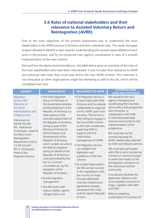# **3.6 Roles of national stakeholders and their relevance to Assisted Voluntary Return and Reintegration (AVRR)**

One of the main objectives of the present assessment was to understand the main stakeholders in the AVRR process in Armenia and their individual roles. The needs and gaps analysis allowed to identify a clear need for understanding the mutual responsibilities of each actor in the process, and for an enhanced inter-agency coordination in view of a smooth implementation of the new scheme.

Derived from the above recommendations, the table below gives an overview of the roles of the main stakeholders who have been interviewed. It also includes their relevance to AVRR and potential new roles they could play within the new AVRR scheme. This overview is not exhaustive as other organizations might be interesting to add to this list, which will be completed over time.

| <b>AGENCY</b>                                                                                                                                                                                                                                                                                                            | <b>MAIN ROLES</b>                                                                                                                                                                                                                                                                                                                                                                                                                                                                                                                                                                                                                                                                                | <b>RELEVANCE TO AVRR</b>                                                                                                                                                                                                                                                                                                                                                                                                                                                                                                                                                                                                                                                       | <b>POTENTIAL NEW</b><br><b>AVRR-RELATED ROLES</b>                                                                                                                                                                                                                                                                                                                                                                                                                                                                                                                                                                                                                                                                                        |
|--------------------------------------------------------------------------------------------------------------------------------------------------------------------------------------------------------------------------------------------------------------------------------------------------------------------------|--------------------------------------------------------------------------------------------------------------------------------------------------------------------------------------------------------------------------------------------------------------------------------------------------------------------------------------------------------------------------------------------------------------------------------------------------------------------------------------------------------------------------------------------------------------------------------------------------------------------------------------------------------------------------------------------------|--------------------------------------------------------------------------------------------------------------------------------------------------------------------------------------------------------------------------------------------------------------------------------------------------------------------------------------------------------------------------------------------------------------------------------------------------------------------------------------------------------------------------------------------------------------------------------------------------------------------------------------------------------------------------------|------------------------------------------------------------------------------------------------------------------------------------------------------------------------------------------------------------------------------------------------------------------------------------------------------------------------------------------------------------------------------------------------------------------------------------------------------------------------------------------------------------------------------------------------------------------------------------------------------------------------------------------------------------------------------------------------------------------------------------------|
| Migration<br>Service/MS<br>(Ministry of<br><b>Territorial</b><br>Administration and<br>Infrastructure)<br>Interviews on<br>08.09.20 with<br>Ms. Haykanush<br>Chobanyan, Head of<br>the Return and<br>Reintegration<br>Department and on<br>23.09.20 with<br>Mr. A. Ghazaryan,<br>Head of the<br><b>Migration Service</b> | • The State Migration<br>Service of Ministry of<br><b>Territorial Administration</b><br>and Development of the<br>Republic of Armenia is a<br>state agency of the<br>executive department of<br>the Republic of Armenia<br>acting as part of the<br>Ministry of Territorial<br>Administration and<br>Development of the<br>Republic of Armenia,<br>which renders services in<br>the field of migration<br>acting on behalf of the<br>Republic of Armenia in<br>cases prescribed by the<br>law or, in certain<br>circumstances, by the<br>legislation of the<br>Republic of Armenia.<br>• Overall migration<br>management.<br>. The MS works with<br>asylum seekers, grants<br>refugee status and | • The Migration Service is<br>in touch daily with IOM<br>Armenia and has already<br>collaborated to organize<br>ad hoc AVRR cases from<br>Armenia. The Service is<br>fully willing to engage in<br>the new AVRR scheme<br>as the main coordinator,<br>expecting IOM to<br>support with the<br>institutional<br>management of AVRR.<br>• The Migration Service<br>can establish the<br>legislation and<br>quidelines of the new<br>scheme.<br>As a State Organization,<br>the MS can be involved<br>in the negotiations with<br>the country of origin,<br>through diplomatic<br>channels (readmission<br>agreements already<br>developed with India<br>and the Islamic Republic | MS would be the main<br>agency managing and<br>coordinating the voluntary<br>return policy and programme<br>from Armenia, in<br>collaboration with IOM.<br>It could also potentially<br>channel some funds for the<br>implementation of the<br>programme.<br>MS could also be the<br>centralizing body for<br>AVRR-related data collected<br>by IOM and relevant partners.<br>MS could also participate<br>with IOM in joint monitoring<br>missions in country of origin<br>to assess the impact of the<br>reintegration assistance on<br>the individuals and the<br>community.<br>It would also facilitate the<br>diplomatic relations with<br>some targeted countries of<br>origin, together with MFA<br>and IOM.<br>Reforms targeting |

of Iran).

Reforms targeting combination of functions of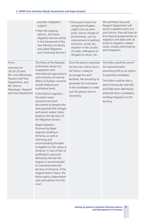|                                                                                                                                                                   | provides integration<br>support.<br>After the ongoing<br>reforms, the future<br>Migration Service will be<br>in the framework of the<br>new Ministry of Interior,<br>and called 'Migration<br>and Citizenship Service').                                                                                                                                                                                                                                                                                                                                                                                                                                                                                                                                                                                                                                                                          | . The issue of return for<br>recognized refugees<br>might come at some<br>point, due to change of<br>environment, such as<br>improvement of political,<br>economic, social, etc,<br>situation in the country<br>of origin, willingness of<br>refugees to return, etc. | MS and Police Visa and<br>Passport Department will<br>result in establishment of a<br>joint Service that will have all<br>encompassing approaches to<br>migration and deals with all<br>kinds of migration-related<br>issues, except policymaking<br>and integration.             |
|-------------------------------------------------------------------------------------------------------------------------------------------------------------------|---------------------------------------------------------------------------------------------------------------------------------------------------------------------------------------------------------------------------------------------------------------------------------------------------------------------------------------------------------------------------------------------------------------------------------------------------------------------------------------------------------------------------------------------------------------------------------------------------------------------------------------------------------------------------------------------------------------------------------------------------------------------------------------------------------------------------------------------------------------------------------------------------|-----------------------------------------------------------------------------------------------------------------------------------------------------------------------------------------------------------------------------------------------------------------------|-----------------------------------------------------------------------------------------------------------------------------------------------------------------------------------------------------------------------------------------------------------------------------------|
| Police<br>Interview on<br>28.09.20 with<br>Ms. Irina Mkrtchyan,<br>Passport and Visa<br>Department, and<br>Ms. Nonna<br>Manukyan, Passport<br>and Visa Department | The Police of the Republic<br>of Armenia carries out<br>cooperation with<br>international organizations<br>and ministries of Internal<br>Affairs of foreign countries<br>at both bilateral and<br>multilateral levels.<br>In the field of migration,<br>the police issues<br>conventional travel<br>documents to people who<br>were granted with refugee<br>and asylum seeker status<br>based on the decision of<br>the Migration Service.<br>Illegal migration -<br>Discovering illegal<br>migrants residing in<br>Armenia, as well as<br>informing and<br>recommending the latter<br>to legalize his/her status in<br>Armenia. In case of lack of<br>justifications/grounds<br>defined by the law the<br>migrant is recommended<br>to voluntarily leave the<br>territory of Armenia. If the<br>migrant doesn't leave, the<br>Police opens a deportation<br>case and submits it to the<br>court. | Once the person expresses<br>his/her own will to return,<br>the Police is ready to<br>encourage this and<br>facilitate. We should try to<br>penetrate the motivation<br>of the candidates to make<br>sure the person returns<br>voluntarily.                          | The Police would be one of<br>the national bodies<br>presenting AVR as an option<br>to potential candidates.<br>The Police could be also a<br>direct interlocutor with MS<br>and IOM when identifying<br>potential return candidates<br>residing irregularly on the<br>territory. |
|                                                                                                                                                                   |                                                                                                                                                                                                                                                                                                                                                                                                                                                                                                                                                                                                                                                                                                                                                                                                                                                                                                   |                                                                                                                                                                                                                                                                       |                                                                                                                                                                                                                                                                                   |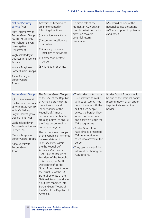| <b>National Security</b><br>Service (NSS)<br>Joint interview with<br><b>Border Guard Troops</b><br>on 30.09.20 with<br>Mr. Vahagn Balyan,<br>Investigative<br>Department<br>Vaghinak Badeyan,<br>Counter-Intelligence<br>Service<br>Manvel Mayilyan,<br><b>Border Guard Troops</b><br>Alina Kochinyan,<br><b>Border Guard</b><br>Troops. | Activities of NSS bodies<br>are implemented in<br>following directions:<br>(1) intelligence activities;<br>(2) counter-intelligence<br>activities;<br>(3) military counter-<br>intelligence activities;<br>(4) protection of state<br>border;<br>(5) fight against crime.                                                                                                                                                                                                                                                                                                                                                                                                                                                                       | No direct role at the<br>moment in AVR but can<br>contribute to information<br>provision towards<br>potential return<br>candidates.                                                                                                                                                                                                                                                                                         | NSS would be one of the<br>national bodies presenting<br>AVR as an option to potential<br>candidates.                             |
|------------------------------------------------------------------------------------------------------------------------------------------------------------------------------------------------------------------------------------------------------------------------------------------------------------------------------------------|-------------------------------------------------------------------------------------------------------------------------------------------------------------------------------------------------------------------------------------------------------------------------------------------------------------------------------------------------------------------------------------------------------------------------------------------------------------------------------------------------------------------------------------------------------------------------------------------------------------------------------------------------------------------------------------------------------------------------------------------------|-----------------------------------------------------------------------------------------------------------------------------------------------------------------------------------------------------------------------------------------------------------------------------------------------------------------------------------------------------------------------------------------------------------------------------|-----------------------------------------------------------------------------------------------------------------------------------|
| <b>Border Guard Troops</b><br>Joint interview with<br>the National Security<br>Service on 30.09.20<br>with Mr. Vahagn<br>Balyan, Investigative<br>Department (NSS)<br>Vaghinak Badeyan,<br>Counter-Intelligence<br>Service (NSS)<br>Manvel Mayilyan,<br><b>Border Guard Troops</b><br>Alina Kochinyan,<br><b>Border Guard</b><br>Troops. | The Border Guard Troops<br>of the NSS of the Republic<br>of Armenia are meant to<br>protect security and<br>independence of the<br>Republic of Armenia,<br>border control at border<br>crossing points, to ensure<br>the State border regime<br>and border regime.<br>The Border Guard Troops<br>of the Republic of Armenia<br>were established in<br>February 1992 within<br>the the Republic of<br>Armenia MoD, and in<br>1993, by the Decree of<br>President of the Republic<br>of Armenia, the MoD<br>Directorate of Border<br>Guard Troops went under<br>the structure of the RA<br>State Directorate of the<br>National Security and later<br>on, it was renamed into<br>Border Guard Troops of<br>the NSS of the Republic of<br>Armenia. | . The border control: only<br>issue relevant to AVR is<br>with paper work. They<br>do not impede with the<br>exit of such people<br>across the border. They<br>would only welcome<br>and positively judge the<br>AVR programme.<br><b>Border Guard Troops</b><br>have already presented<br>AVR as an option to<br>cases who arrived at the<br>border<br>. They can be part of the<br>information sharing on<br>AVR options. | Border Guard Troops would<br>be one of the national bodies<br>presenting AVR as an option<br>to potential cases at the<br>border. |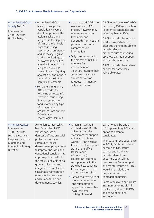| <b>Armenian Red Cross</b><br>Society (ARCS)<br>Interview on<br>24.09.20 with<br>H. Khachatryan                                                              | Armenian Red Cross<br>Society, through the<br><b>Population Movement</b><br>direction, provides the<br>asylum seekers and<br>refugees in the Republic<br>of Armenia with basic<br>legal counselling,<br>psychosocial assistance<br>and advocacy, regular<br>border monitoring, and<br>is involved in activities<br>aimed at integration of<br>refugees, as well as<br>prevention and fighting<br>against Sex and Gender<br>based violence in the<br>Republic of Armenia.<br>. For 'general migrants',<br>ARCS provides the<br>following services: info<br>provision, counselling,<br>financial assistance,<br>food, clothes, any type<br>of humanitarian<br>assistance, info on their<br>COo situation,<br>psychological services. | • Up to now, ARCS did not<br>work with any AVR<br>project. However, they<br>referred some cases<br>(voluntary and<br>deported) from RCS and<br>provided them with<br>comprehensive<br>information.<br>• Only involved so far in<br>the process of UNHCR<br>refugees for<br>resettlement or<br>voluntary return to their<br>countries (they were<br>asylum seekers or<br>refugees in Armenia) -<br>only a few cases.                                                                                                  | ARCS would be one of NGOs<br>presenting AVR as an option<br>to potential candidates and<br>referring them to IOM.<br>ARCS could also become an<br>IOM return partner and,<br>after due training, be able to<br>provide relevant<br>pre-departure counselling,<br>psychosocial/legal support<br>and register return files.<br>ARCS could also be a referral<br>partner for particularly<br>vulnerable cases.                                                                                                                                              |
|-------------------------------------------------------------------------------------------------------------------------------------------------------------|------------------------------------------------------------------------------------------------------------------------------------------------------------------------------------------------------------------------------------------------------------------------------------------------------------------------------------------------------------------------------------------------------------------------------------------------------------------------------------------------------------------------------------------------------------------------------------------------------------------------------------------------------------------------------------------------------------------------------------|----------------------------------------------------------------------------------------------------------------------------------------------------------------------------------------------------------------------------------------------------------------------------------------------------------------------------------------------------------------------------------------------------------------------------------------------------------------------------------------------------------------------|----------------------------------------------------------------------------------------------------------------------------------------------------------------------------------------------------------------------------------------------------------------------------------------------------------------------------------------------------------------------------------------------------------------------------------------------------------------------------------------------------------------------------------------------------------|
| <b>Armenian Caritas</b><br>Interview on<br>18.09.20 with<br>Lusine Stepanyan,<br>Responsible for the<br>Migration and<br>Integration Strategic<br>Direction | Armenian Caritas, which<br>has Benevolent NGO<br>status', focuses its<br>domestic efforts on social<br>protection and care,<br>community-based<br>development programmes<br>to improve the living and<br>educational conditions, to<br>improve public health to<br>the most vulnerable social<br>groups, migration and<br>integration to implement<br>sustainable reintegration<br>measures for returnees<br>and humanitarian and<br>development activities.                                                                                                                                                                                                                                                                       | Armenian Caritas is<br>involved in AVRR with<br>different countries.<br>Starts from the support<br>at the airport (case<br>worker). If no need at<br>the airport, the support<br>starts at the office<br>(tailor-made<br>reintegration):<br>counselling, business<br>set-up, referral to the<br>state bodies, coaching<br>for reintegration, field<br>and monitoring visits.<br>• Caritas had two types of<br>programmes on return<br>and reintegration:<br>a) programmes within<br>AVRR system;<br>b) Migration and | Caritas would be one of<br>NGOs presenting AVR as an<br>option to potential<br>candidates.<br>Thanks to its long experience<br>in AVRR, Caritas could also<br>become an IOM return<br>partner and be able to<br>provide relevant pre-<br>departure counselling,<br>psychosocial/legal support<br>and register return files. This<br>would also include the<br>preparation with the<br>reintegration project.<br>Caritas could also participate<br>in joint monitoring visits in<br>the field together with IOM<br>and relevant national<br>institutions. |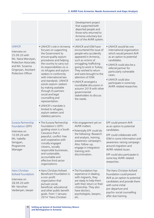|                                                                                                                                                                |                                                                                                                                                                                                                                                                                                                                                                                                                                                                                                                          | Development project<br>that supported both<br>deported people and<br>those who returned to<br>Armenia voluntary but<br>out of the AVRR system.                                                                                                                                                                                                                                             |                                                                                                                                                                                                                                                                                            |
|----------------------------------------------------------------------------------------------------------------------------------------------------------------|--------------------------------------------------------------------------------------------------------------------------------------------------------------------------------------------------------------------------------------------------------------------------------------------------------------------------------------------------------------------------------------------------------------------------------------------------------------------------------------------------------------------------|--------------------------------------------------------------------------------------------------------------------------------------------------------------------------------------------------------------------------------------------------------------------------------------------------------------------------------------------------------------------------------------------|--------------------------------------------------------------------------------------------------------------------------------------------------------------------------------------------------------------------------------------------------------------------------------------------|
| <b>UNHCR</b><br>Interview on<br>25.09.20 with<br>Ms. Naira Marutyan,<br>Protection Associate,<br>and Ms. Susanna<br>Grigoryan, Assistant<br>Protection Officer | · UNHCR's role in Armenia<br>focuses on supporting<br>the Government to<br>ensure quality asylum<br>procedures and helping<br>the country to carry out<br>its responsibilities vis-à-<br>vis refugees and asylum<br>seekers in conformity<br>with international law<br>and standards. UNHCR<br>assists asylum-seekers<br>by making available<br>through its partners<br>social and legal<br>counselling and<br>representation.<br>UNHCR's mandate is<br>limited to refugees,<br>asylum seekers and<br>stateless persons. | . UNHCR and IOM have<br>encountered the issue of<br>people who accidently<br>appeared in Armenia,<br>such as victims of<br>smuggling/trafficking<br>going to work in Turkey;<br>They wished to return<br>and were brought to the<br>attention of IOM.<br>· UNHCR arranged a<br>roundtable discussion in<br>autumn 2019 with other<br>governmental<br>stakeholders to discuss<br>the needs. | · UNHCR would be one<br>international organization<br>which would present AVR<br>as an option to potential<br>candidates.<br>UNHCR could also be a<br>referral partner for<br>particularly vulnerable<br>cases.<br>UNHCR could also<br>participate in some key<br>AVRR-related researches. |
| Eurasia Partnership<br>Foundation (EPF)<br>Interview on<br>10.09.20 with<br>Ms. Isabella<br>Sarsgyan,<br>Programme<br>Manager                                  | • The Eurasia Partnership<br>Foundation's (EPF)<br>quiding vision is a South<br>Caucasus that is<br>peaceful, conflict-free<br>and cooperative with<br>civically engaged<br>citizens, socially<br>responsible businesses,<br>and sustainable,<br>accountable and<br>effective third sector<br>organizations.                                                                                                                                                                                                             | . No engagement yet on<br><b>AVRR</b> matters<br>• Potentially EPF could do<br>the following: Research<br>and analysis, training,<br>awareness-campaigns.<br>Also: follow-up,<br>engage in integration<br>training/anti-<br>discrimination.                                                                                                                                                | EPF could present AVR<br>as an option to potential<br>candidates.<br>EPF could collaborate with<br>IOM in some information and<br>awareness-raising campaign<br>around migration and<br>AVRR-related issues.<br>EPF could also participate in<br>some key AVRR-related<br>researches.      |
| <b>Hans Christian</b><br>Kofoed Foundation<br>Interview on<br>28.09.20 with<br>Mr. Varuzhan<br>Vardanyan, lawyer                                               | • Hans Christian Kofoed<br>Beneficent Foundation is<br>a non-profit<br>organization that<br>pursues social,<br>beneficial, educational<br>and other public benefit<br>goals. From 1 January<br>2014 "Hans Christian                                                                                                                                                                                                                                                                                                      | • The Foundation has<br>experience in dealing<br>with migrants, they<br>are ready to help them<br>with their return or their<br>citizenship. They also<br>have doctors,<br>psychologists, lawyers,<br>etc.                                                                                                                                                                                 | The Hans Christian Kofoed<br>Foundation could present<br>AVR as an option to potential<br>candidates and provide them<br>with some initial<br>pre-departure and<br>psycho-social counselling<br>after due training.                                                                        |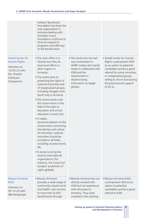|                                                                                                                              | Kofoed" Beneficent<br>Foundation has been the<br>only organization in<br>Armenia dealing with<br>homeless issues.<br>Foundation continues to<br>strive to expand its<br>programs and offerings<br>to the beneficiaries.                                                                                                                                                                                                                                                                                                                                                                                                                                                                                                                                                     |                                                                                                                                                                                             |                                                                                                                                                                                                                                                    |
|------------------------------------------------------------------------------------------------------------------------------|-----------------------------------------------------------------------------------------------------------------------------------------------------------------------------------------------------------------------------------------------------------------------------------------------------------------------------------------------------------------------------------------------------------------------------------------------------------------------------------------------------------------------------------------------------------------------------------------------------------------------------------------------------------------------------------------------------------------------------------------------------------------------------|---------------------------------------------------------------------------------------------------------------------------------------------------------------------------------------------|----------------------------------------------------------------------------------------------------------------------------------------------------------------------------------------------------------------------------------------------------|
| <b>Yezedi Center for</b><br><b>Human Rights</b><br>Interview on<br>16.09.20 with<br>Ms. Shashik<br>Sultanyan,<br>Chairperson | • The main office is in<br>Yerevan but they do<br>have local offices in<br>other regions in<br>Armenia.<br>• The centre aims at<br>protecting the rights of<br>national minorities and<br>of marginalized groups,<br>including refugees from<br>North Iraq in Armenia.<br>. The centre works with<br>the Government in the<br>field of the right to<br>education and school<br>education in particular.<br>- It makes<br>recommendations to the<br>Government concerning<br>the identity and culture<br>of minorities: national<br>minorities should be<br>included in all fields,<br>including socioeconomic<br>life.<br>It strives to bring the<br>issue to international<br>organizations (for<br>instance, the Council of<br>Europe): protection of<br>rights globally. | • The centre has not had<br>any involvement in<br>AVRR matters but stands<br>ready to collaborate with<br>IOM and the<br>Government in<br>disseminating<br>information to target<br>groups. | • Yezedi Center for Human<br>Rights could present AVR<br>as an option to potential<br>candidates and be a good<br>referral for some minorities<br>or marginalized groups<br>willing to return but lacking<br>the psychosocial support<br>to do so. |
| <b>Mission Armenia</b><br><b>NGO</b><br>Interview on<br>09.10.20 with<br>Alla Harutyunyan                                    | • Mission Armenia<br>provides a wide range of<br>community-based social<br>and health-care services<br>to more than 8,000<br>beneficiaries through                                                                                                                                                                                                                                                                                                                                                                                                                                                                                                                                                                                                                          | • Mission Armenia has not<br>directly worked with<br>IOM but has experience<br>with returnees to<br>Armenia. They were<br>involved in the working                                           | • Mission Armenia NGO<br>could present AVR as an<br>option to potential<br>candidates and be a good<br>referral to IOM.                                                                                                                            |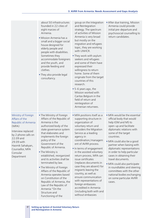|                                                                                                                                                                                                                | about 50 infrastructures<br>founded in 22 cities of<br>eight marzes of<br>Armenia.<br>• Mission Armenia has a<br>small and a bigger social<br>house designed for<br>elderly people and<br>people with disabilities.<br>Sometimes they<br>accommodate foreigners<br>and the youth, and<br>provide feeding and<br>clothes.<br>• They also provide legal<br>consultancy.                                                                                                                                                                                                              | group on the Integration<br>and Reintegration<br>strategy. The spectrum<br>of activities of Mission<br>Armenia is very broad<br>but mostly on the<br>migration and refugees<br>topic, they are working<br>with UNHCR.<br>• They work with asylum<br>seekers and refugees<br>and some of them have<br>expressed their<br>willingness to return<br>home. Some of them<br>originate from the target<br>countries of this<br>research.<br>• 5-6 years ago, the<br>Mission worked with<br>Caritas Belgium in the<br>field of return and<br>reintegration of<br>Armenian returnees.     | After due training, Mission<br>Armenia could provide<br>initial pre-departure and<br>psychosocial counselling to<br>return candidates.                                                                                                                                                                                                                                                                                                                                                                             |
|----------------------------------------------------------------------------------------------------------------------------------------------------------------------------------------------------------------|------------------------------------------------------------------------------------------------------------------------------------------------------------------------------------------------------------------------------------------------------------------------------------------------------------------------------------------------------------------------------------------------------------------------------------------------------------------------------------------------------------------------------------------------------------------------------------|-----------------------------------------------------------------------------------------------------------------------------------------------------------------------------------------------------------------------------------------------------------------------------------------------------------------------------------------------------------------------------------------------------------------------------------------------------------------------------------------------------------------------------------------------------------------------------------|--------------------------------------------------------------------------------------------------------------------------------------------------------------------------------------------------------------------------------------------------------------------------------------------------------------------------------------------------------------------------------------------------------------------------------------------------------------------------------------------------------------------|
| Ministry of Foreign<br>Affairs of the<br>Republic of Armenia<br>(MFA)<br>Interview replaced<br>by 2 phone calls on<br>22.09 and<br>29.09 with<br>Hasmik Sahakyan,<br>Counsellor, MFA<br>Consular<br>Department | . The Ministry of Foreign<br>Affairs of the Republic of<br>Armenia is the<br>authorized body of the<br>state governance system<br>that elaborates and<br>implements the foreign<br>policy of the<br>Government of the<br>Republic of Armenia.<br>• The Ministry is<br>established, reorganized<br>and its activities shall be<br>terminated by law.<br>. The Ministry of Foreign<br>Affairs of the Republic of<br>Armenia operates based<br>on Constitution of the<br>Republic of Armenia, the<br>Law of the Republic of<br>Armenia "On the<br>Structure and<br>Functioning of the | • MFA positions itself as a<br>supporting structure in<br>organization of<br>voluntary return and<br>considers the Migration<br>Service as a leading<br>agency in<br>coordination/managem<br>ent of AVRR process.<br>In terms of engagement<br>in the assisted voluntary<br>return process, MFA can<br>issue certificates<br>(replaces documents in<br>case they are absent) for<br>migrants leaving the<br>country, as well as<br>ensure communication<br>with representations of<br>foreign embassies<br>accredited in Armenia<br>(including both with and<br>without embassies | • MFA would be the essential<br>official body that would<br>help IOM and MS to<br>open-up and facilitate<br>diplomatic relations with<br>some of the target<br>countries.<br>• MFA could also be a good<br>partner when liaising with<br>diplomatic representations<br>in order to help particular<br>cases in obtaining their<br>travel documents.<br>· MFA could also participate<br>in roundtables and steering<br>committees with the other<br>national bodies exchanging<br>on some particular AVRR<br>cases. |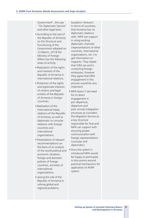Government", the Law "On Diplomatic Service" and other legal texts.

- § According to the Law of the Republic of Armenia on the Structure and Functioning of the Government adopted on 23 March, 2018 the Ministry of Foreign Affairs has the following areas of activity:
- § Realization of the rights and interests of the Republic of Armenia in international relations;
- § Protection of the rights and legitimate interests of citizens and legal entities of the Republic of Armenia in foreign countries;
- § Realisation of the International treaty relations of the Republic of Armenia, as well as diplomatic or consular relations with foreign countries and international organizations;
- **Presentation of relevant** recommendations on the basis of an analysis of the world political and economic situation, foreign and domestic policies of foreign countries, activities of international organizations;
- raising the role of the Republic of Armenia in solving global and regional problems;

In terms of countries, that Armenia has no diplomatic relations with, MFA can support in using existing diplomatic channels (representations of other countries, international organizations, etc.) to get information on migrants. They stated that IOM can and is contacting foreign embassies, however they agree that MFA engagement in this process would be very important.

located in Yerevan).

- § MFA doesn't see need for its direct engagement in pre-departure, departure and post-arrival/integration processes as considers the Migration Service as a key structure responsible for that and MFA can support with ensuring proper communication with foreign representations (consular and diplomatic).
- Once the system is introduced MFA would be happy to participate in discussions around practical mechanisms for application of AVRR system.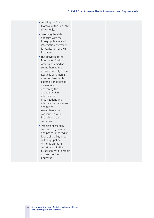- ensuring the State Protocol of the Republic of Armenia;
- § providing the state agencies with the foreign policy related information necessary for realization of their functions.
- The activities of the Ministry of Foreign Affairs are aimed at strengthening the external security of the Republic of Armenia, ensuring favourable external conditions for development, deepening the engagement in international organizations and international processes, and further strengthening of cooperation with friendly and partner countries.
- **Establishing stability,** cooperation, security and peace in the region is one of the key issues of foreign policy. Armenia brings its contribution to the establishment of a stable and secure South Caucasus.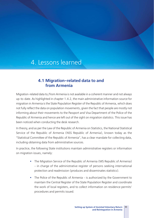# 4. Lessons learned

# **4.1 Migration-related data to and from Armenia**

Migration-related data to/from Armenia is not available in a coherent manner and not always up-to-date. As highlighted in chapter 1.4.2, the main administrative information source for migration in Armenia is the State Population Register of the Republic of Armenia, which does not fully reflect the data on population movements, given the fact that people are mostly not informing about their movements to the Passport and Visa Department of the Police of the Republic of Armenia and hence are left out of the sight on migration statistics. This issue has been noticed when conducting the desk research.

In theory, and as per the Law of the Republic of Armenia on Statistics, the National Statistical Service of the Republic of Armenia (NSS Republic of Armenia), known today as the "Statistical Committee of the Republic of Armenia", has a clear mandate for collecting data, including obtaining data from administrative sources.

In practice, the following State institutions maintain administrative registers or information on migration issues, namely:

- The Migration Service of the Republic of Armenia (MS Republic of Armenia) – in charge of the administrative register of persons seeking international protection and readmission (produces and disseminates statistics).
- The Police of the Republic of Armenia is authorized by the Government to maintain the Central Register of the State Population Register and coordinate the work of local registers, and to collect information on residence permits' procedures and permits issued.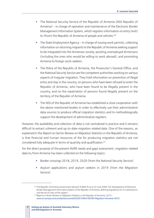- The National Security Service of the Republic of Armenia (NSS Republic of Armenia) – in charge of operation and maintenance of the Electronic Border Management Information System, which registers information on entry (exit) to (from) the Republic of Armenia of people and vehicles.<sup>60</sup>
- The State Employment Agency in charge of issuing work permits, collecting information on returning migrants to the Republic of Armenia seeking support to be integrated into the Armenian society, assisting unemployed Armenians (including the ones who would be willing to work abroad), and promoting Armenia to foreign work seekers.
- The Police of the Republic of Armenia, the Prosecutor's General Office, and the National Security Service are the competent authorities working on various aspects of irregular migration. They hold information on prevention of illegal entry and stay in the country, on persons who have been refused to enter the Republic of Armenia, who have been found to be illegally present in the country, and on the repatriation of persons found illegally present on the territory of the Republic of Armenia.
- The NSS of the Republic of Armenia has established a close cooperation with the above-mentioned bodies in order to effectively use their administrative data sources to produce official migration statistics and to methodologically support the development of administrative registers.

However, the availability and collection of data is not centralized in practice and it remains difficult to extract coherent and up-to-date migration-related data. One of the reasons, as explained in the *Report on Sector Review on Migration Statistics in the Republic of Armenia*, is that financial and human resources of the for producing migration statistics are not considered fully adequate in terms of quantity and qualification.61

For the direct purpose of the present AVRR needs and gaps assessment, migration-related data to/from Armenia has been collected on the following topics:

- § Border crossings 2018, 2019, 2020 (from the National Security Service)
- Asylum applications and asylum seekers in 2019 (from the Migration Service)

<sup>&</sup>lt;sup>60</sup> The Republic of Armenia Government decision N 884-N as of 22 June 2006 "On Development of Electronic Border Management Information System of the Republic of Armenia, defining regulations for its maintenance and the list of users of the system".<br><sup>62</sup> Report on Sector Review on Migration Statistics in the Republic of Armenia, 2015:

www.ec.europa.eu/eurostat/documents/52535/10844196/SR+Migration+Armenia+2015.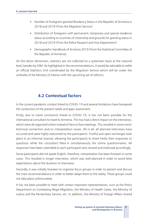- § Number of Foreigners granted Residency Status in the Republic of Armenia in 2018 and 2019 (from the Migration Service)
- § Distribution of foreigners with permanent, temporary and special residence status according to countries of citizenship and grounds for granting status in 2018 and 2019 (from the Police Passport and Visa Department)
- § Demographic Handbook of Armenia 2019 (from the Statistical Committee of the Republic of Armenia)

On the return dimension, statistics are not collected on a systematic basis at the national level, besides by IOM. As highlighted in the recommendations, it would be advisable to settle an official Statistics Unit coordinated by the Migration Service which will be under the umbrella of the Ministry of Interior with the upcoming set of reforms.

# **4.2 Contextual factors**

In the current pandemic context linked to COVID-19 and several limitations have hampered the conduction of the present needs and gaps assessment.

Firstly, due to travel constraints linked to COVID-19, it has not been possible for the international consultant to travel to Armenia. This has had a direct impact on the interviews, which were all organized online instead of face to face meetings. This resulted in some minor technical connection and/or interpretation issues. All in all, all planned interviews have occurred and were highly welcomed by the participants. Fruitful and open exchanges took place in an informal manner, allowing the participants to share freely their responses to questions while the consultant filled-in simultaneously the online questionnaires. All responses have been submitted to each participant who revised and endorsed accordingly.

Some participants did not speak English, therefore, interpretation has been foreseen in some cases. This resulted in longer interviews, which was well planned in order to avoid false expectations about the duration of interviews.

Secondly, it was initially foreseen to organize focus groups in order to present and discuss the main recommendations in order to better adapt them to the reality. These groups could not take place unfortunately.

It has not been possible to meet with certain important representatives, such as the Police Department on Combating Illegal Migration, the Ministry of Health Caree, the Ministry of Justice and the Penitentiary Service, etc. In addition, the Ministry of Foreign Affairs shared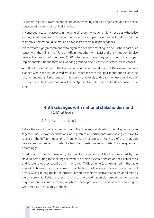its general feedback over the phone, no online meeting could be organized, and the online questionnaire could not be filled-in either.

In consequence, some aspects in the general recommendations might not be as exhaustive as they could have been. However, this has a minor impact given the fact that most of the main stakeholders could be met and have shared their in-depth feedback.

It is therefore highly recommended to organize a separate meeting to discuss these particular issues with the Ministry of Foreign Affairs, together with IOM and the Migration Service before the launch of the new AVRR scheme and also regularly during the project implementation (in the form of a working group to discuss particular cases, for instance).

An official presentation on the key findings and recommendations of the assessment was planned where all actors involved would be invited to share their final inputs and validate the recommendations. Unfortunately, this could not take place due to the heavy workload of most of them. This presentation will be postponed to a later stage to be determined in due time.

## **4.3 Exchanges with national stakeholders and IOM offices**

#### 4.3.1 National stakeholders

Before the round of online meetings with the different stakeholders, the full questionnaire together with relevant explanations were given to all participants who were given time to reflect on the different questions. A preliminary meeting with the Head of the Migration Service was organized in order to test the questionnaire and adapt some questions accordingly.

In addition to the desk research, the direct information and feedback received by the stakeholders during the meetings allowed to develop a clearer picture on their actual roles and future roles they could play in the future AVRR scheme (as highlighted in the table above). It showed a common consensus on better coordination and cooperation among all actors willing to engage in the process, based on their respective mandates and limits as well. It surely highlighted the fact that there is no coordination platform at the moment on migration and voluntary return, which has been proposed by several actors and highly welcomed by the majority of them.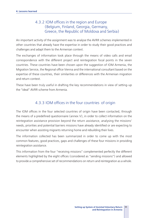## 4.3.2 IOM offices in the region and Europe (Belgium, Finland, Georgia, Germany, Greece, the Republic of Moldova and Serbia)

An important activity of the assignment was to analyse the AVRR schemes implemented in other countries that already have the expertise in order to study their good practices and challenges and adapt them to the Armenian context.

The exchanges of information took place through the means of video calls and email correspondence with the different project and reintegration focal points in the seven countries. These countries have been chosen upon the suggestion of IOM Armenia, the Migration Service, the Regional office Vienna and the international consultant based on the expertise of these countries, their similarities or differences with the Armenian migration and return context.

These have been truly useful in drafting the key recommendations in view of setting-up the "ideal" AVRR scheme from Armenia.

## 4.3.3 IOM offices in the four countries of origin

The IOM offices in the four selected countries of origin have been contacted, through the means of a predefined questionnaire (annex V), in order to collect information on the reintegration assistance provision beyond the return assistance, analysing the missions' needs, priorities and potential barriers missions have already identified or are expecting to encounter when assisting migrants returning home and rebuilding their lives.

The information collected has been summarized in order to come up with the most common features, good practices, gaps and challenges of these four missions in providing reintegration assistance.

This information from the four "receiving missions" complemented perfectly the different elements highlighted by the eight offices (considered as "sending missions") and allowed to provide a comprehensive set of recommendations on return and reintegration as a whole.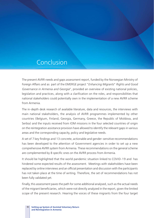# Conclusion

The present AVRR needs and gaps assessment report, funded by the Norwegian Ministry of Foreign Affairs and as part of the EMERGE project "*Enhancing Migrants*" *Rights and Good Governance in Armenia and Georgia*", provided an overview of existing national policies, legislation and practices, along with a clarification on the roles, and responsibilities that national stakeholders could potentially own in the implementation of a new AVRR scheme from Armenia.

The in-depth desk research of available literature, data and resources, the interviews with main national stakeholders, the analysis of AVRR programmes implemented by other countries (Belgium, Finland, Georgia, Germany, Greece, the Republic of Moldova, and Serbia) and the inputs received from IOM missions in the four selected countries of origin on the reintegration assistance provision have allowed to identify the relevant gaps in various areas and the corresponding capacity, policy and legislative needs.

A set of 7 key findings and 13 concrete, actionable and gender-sensitive recommendations has been developed to the attention of Government agencies in order to set up a new comprehensive AVRR system from Armenia. These recommendations on the general scheme are complemented by 8 specific ones on the AVRR process from Armenia.

It should be highlighted that the world pandemic situation linked to COVID-19 and has hindered some expected results of the assessment. Meetings with stakeholders have been replaced by online interviews and an official presentation and discussion with the participants has not taken place at the time of writing. Therefore, the set of recommendations has not been fully validated yet.

Finally, this assessment paves the path for some additional analysed, such as the actual needs of the migrant beneficiaries, which were not directly analyzed in the report, given the limited scope of the present research. Hearing the voices of these migrants from the four target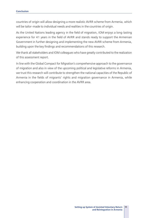countries of origin will allow designing a more realistic AVRR scheme from Armenia, which will be tailor-made to individual needs and realities in the countries of origin.

As the United Nations leading agency in the field of migration, IOM enjoys a long-lasting experience for 41 years in the field of AVRR and stands ready to support the Armenian Government in further designing and implementing the new AVRR scheme from Armenia, building upon the key findings and recommendations of this research.

We thank all stakeholders and IOM colleagues who have greatly contributed to the realization of this assessment report.

In line with the Global Compact for Migration's comprehensive approach to the governance of migration and also in view of the upcoming political and legislative reforms in Armenia, we trust this research will contribute to strengthen the national capacities of the Republic of Armenia in the fields of migrants' rights and migration governance in Armenia, while enhancing cooperation and coordination in the AVRR area.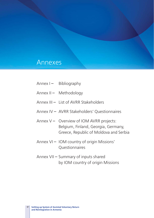# Annexes

- Annex I Bibliography
- Annex II Methodology
- Annex III List of AVRR Stakeholders
- Annex IV AVRR Stakeholders' Questionnaires
- Annex V Overview of IOM AVRR projects: Belgium, Finland, Georgia, Germany, Greece, Republic of Moldova and Serbia
- Annex VI IOM country of origin Missions' Questionnaires
- Annex VII Summary of inputs shared by IOM country of origin Missions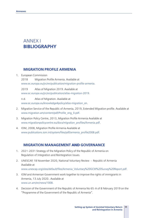# ANNEX I **BIBLIOGRAPHY**

#### **MIGRATION PROFILE ARMENIA**

#### 1. European Commission

2018 Migration Profile Armenia. Available at www.ec.europa.eu/jrc/en/publication/migration-profile-armenia.

2019 Atlas of Migration 2019. Available at www.ec.europa.eu/jrc/en/publication/atlas-migration-2019.

n.d. Atlas of Migration. Available at www.ec.europa.eu/knowledge4policy/atlas-migration\_en.

- 2. Migration Service of the Republic of Armenia, 2019, Extended Migration profile. Available at www.migration.am/content/pdf/Profile\_eng\_0.pdf.
- 3. Migration Policy Centre, 2013, Migration Profile Armenia Available at www.migrationpolicycentre.eu/docs/migration\_profiles/Armenia.pdf.
- 4. IOM, 2008, Migration Profile Armenia Available at www.publications.iom.int/system/files/pdf/armenia\_profile2008.pdf.

# **MIGRATION MANAGEMENT** AND **GOVERNANCE**

- 1. 2021-2031 Strategy of the Migration Policy of the Republic of Armenia on Regulation of Integration and Reintegration Issues.
- 2. UNESCAP, 18 November 2020, National Voluntary Review Republic of Armenia Available at www.unescap.org/sites/default/files/Armenia\_Voluntary%20GCM%20Survey%20Report.pdf.
- 3. IOM and Armenian Government work together to improve the rights of immigrants in Armenia, 13 July 2020․ Available at www.un.am/en/news/1008.
- 4. Decision of the Government of the Republic of Armenia No 65-A of 8 February 2019 on the "Programme of the Government of the Republic of Armenia".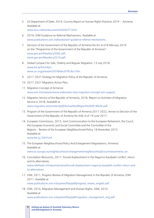5. US Department of State, 2019, Country Report on Human Rights Practices 2019 - Armenia. Available at www.ecoi.net/en/document/2026377.html.

6. 2019, IOM Guidance on Referral Mechanisms. Available at www.publications.iom.int/books/iom-guidance-referral-mechanisms.

- 7. Decision of the Government of the Republic of Armenia No 65-A of 8 February 2019 on the "Programme of the Government of the Republic of Armenia": www.gov.am/files/docs/3562.pdf, www.gov.am/files/docs/2219.pdf.
- 8. Global Compact for Safe, Orderly and Regular Migration, 13 July 2018: www.bit.ly/3nLm4yU, www.un.org/press/en/2018/dev3378.doc.htm.
- 9. 2017-2021 Strategy for Migration Policy of the Republic of Armenia.
- 10. 2017-2021 Migration Action Plan․
- 11. Migration Concept of Armenia։ www.iom.int/news/armenia-elaborates-new-migration-concept-iom-support.
- 12. Migration Service of the Republic of Armenia, 2018, Report on Activities of Migration Service in 2018. Available at www.migration.am/content/pdf/Annual%20Report%202018%20.pdf.
- 13. Program of the Government of the Republic of Armenia 2017-2022, Annex to Decision of the Government of the Republic of Armenia No 646-A of 19 June 2017.
- 14. European Commission, 2015, Joint Communication to the European Parliament, the Coucil, the European Economic and Social Committee and the Committee of the Regions - Review of the European Neighbourhood Policy, 18 November 2015. Available at www.bit.ly/2SkYUnf.
- 15. The European Neighbourhood Policy And Enlargement Negotiations, Armenia: Available at

www.ec.europa.eu/neighbourhood-enlargement/neighbourhood/countries/armenia\_en.

- 16. Conciliation Resources, 2011, Forced displacement in the Nagorno Karabakh conflict: return and its alternatives. www.reliefweb.int/report/armenia/forced-displacement-nagorny-karabakh-conflict-return-andits-alternatives.
- 17. IOM, 2011, Progress Review of Migration Management in the Republic of Armenia, IOM 2011. Available at www.publications.iom.int/system/files/pdf/progress\_review\_english.pdf.
- 18. IOM, 2010, Migration Management and Human Rights, IOM, 2010. Available at

www.publications.iom.int/system/files/pdf/migration\_management\_eng.pdf.

**Setting up System of Assisted Voluntary Return**  99 **and Reintegration in Armenia**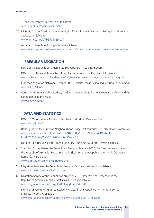- 19. "Open Government Partnership" Initiative: www.gov.am/en/open-government.
- 20. UNHCR, August 2008, Armenia: Analysis of Gaps in the Protection of Refugees and Asylum Seekers. Available at www.unhcr.org/uk/4b5574e69.pdf.
- 21. Armenia, International Cooperation. Available at www.ec.europa.eu/info/research-and-innovation/strategy/international-cooperation/armenia\_en.

# **IRREGULAR MIGRATION**

- 1. Police of the Republic of Armenia, 2019, Reports on Illegal Migration.
- 2. IOM, 2013, Baseline Research on Irregular Migration in the Republic of Armenia. www.publications.iom.int/system/files/pdf/baseline\_research\_irregular\_migration\_eng.pdf.
- 3. European Migration Network, October 2012, Practical Measures to Reduce Irregular Migration. www.bit.ly/2QSojV8.
- 4. Centre for European Policy Studies, no date, Irregular Migration in Europe: EU policies and the Fundamental Rights Gap. www.bit.ly/2PMhi7F.

# **DATA** AND **STATISTICS**

- 1. IOM, 2020, Armenia Arrivals of Displaced Individuals Overview Map. www.bit.ly/3udevDz.
- 2. Basic figures of the European Neighbourhood Policy-East countries 2020 edition. Available at www.ec.europa.eu/eurostat/documents/4031688/10337792/KS-04-19-762-EN-N.pdf/0227347e-06a3-2612-804f-c74f75eaac05.
- 3. National Security Service of Armenia, January-June 2020, Border-crossing statistics.
- 4. Statistical Committee of the Republic of Armenia, January 2020, Socio-economic situation of the Republic of Armenia: Socio- Economic Situation of the Republic of Armenia (Armenian, Russian). Available at

www.armstat.am/en/?nid=82&id=2241.

- 5. Migration Service of the Republic of Armenia, Migration statistics. Available at www.migration.am/statistics?lang=en.
- 6. Migration Service of the Republic of Armenia, 2019, International Protection in the Republic of Armenia in 2019, Statistical Report. Available at www.migration.am/content/pdf/2019\_Asylum\_ENG.pdf.
- 7. Number of Foreigners granted Residency Status in the Republic of Armenia in 2019, Statistical Report. Available at www.migration.am/content/pdf/Res\_permit\_granted\_2019\_eng.pdf.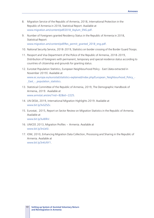- 8. Migration Service of the Republic of Armenia, 2018, International Protection in the Republic of Armenia in 2018, Statistical Report. Available at www.migration.am/content/pdf/2018\_Asylum\_ENG.pdf.
- 9. Number of Foreigners granted Residency Status in the Republic of Armenia in 2018, Statistical Report: www.migration.am/content/pdf/Res\_permit\_granted\_2018\_eng.pdf.
- 10. National Security Service, 2018-2019, Statistics on border crossing of the Border Guard Troops.
- 11. Passport and Visa Department of the Police of the Republic of Armenia, 2018-2019, Distribution of foreigners with permanent, temporary and special residence status according to countries of citizenship and grounds for granting status.
- 12. Eurostat Population Statistics, European Neighbourhood Policy East (data extracted in November 2019). Available at www.ec.europa.eu/eurostat/statistics-explained/index.php/European\_Neighbourhood\_Policy\_- East - population statistics.
- 13. Statistical Committee of the Republic of Armenia, 2019, The Demographic Handbook of Armenia, 2019. Available at www.armstat.am/en/?nid=82&id=2225.
- 14. UN DESA, 2019, International Migration Highlights 2019. Available at www.bit.ly/3vGZSZv.
- 15. Eurostat, 2015, Report on Sector Review on Migration Statistics in the Republic of Armenia. Available at www.bit.ly/3ul6fkV.
- 16. UNICEF, 2013, Migration Profiles Armenia. Available at www.bit.ly/3nLleSI.
- 17. IOM, 2010, Enhancing Migration Data Collection, Processing and Sharing in the Republic of Armenia. Available at www.bit.ly/3nKcNY1.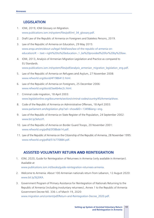# **LEGISLATION**

- 1. IOM, 2019, IOM Glossary on Migration. www.publications.iom.int/system/files/pdf/iml\_34\_glossary.pdf.
- 2. Draft Law of the Republic of Armenia on Foreigners and Stateless Persons, 2019.
- 3. Law of the Republic of Armenia on Education, 29 May 2015: www.anqa.am/en/about-us/legal-field/laws/law-of-the-republic-of-armenia-oneducation/#:~:text=right%20to%20education-,1.,be%20provided%20for%20by%20law.
- 4. IOM, 2013, Analysis of Armenian Migration Legislation and Practice as compared to EU Standards. www.publications.iom.int/system/files/pdf/analysis\_armenian\_migration\_legislation\_eng.pdf.
- 5. Law of the Republic of Armenia on Refugees and Asylum, 27 November 2008: www.refworld.org/docid/4f1986412.html.
- 6. Law of the Republic of Armenia on Foreigners, 25 December 2006: www.refworld.org/docid/3ae6b4ec2c.html.
- 7. Criminal code migration, 18 April 2003: www.legislationline.org/documents/section/criminal-codes/country/45/Armenia/show.
- 8. Code of the Republic of Armenia on Administrative Offenses, 18 April 2003: www.parliament.am/legislation.php?sel=show&ID=1349&lang=eng.
- 9. Law of the Republic of Armenia on State Register of the Population, 24 September 2002: www.bit.ly/3ehzsYl.
- 10. Law of the Republic of Armenia on Border Guard Troops, 20 November 2001: www.refworld.org/pdfid/3f38bde14.pdf.
- 11. Law of the Republic of Armenia on the Citizenship of the Republic of Armenia, 28 November 1995: www.refworld.org/pdfid/51b770884.pdf.

# **ASSISTED VOLUNTARY RETURN** AND **REINTEGRATION**

- 1. IOM, 2020, Guide for Reintegration of Returnees in Armenia (only available in Armenian). Available at www.publications.iom.int/books/guide-reintegration-returnees-armenia.
- 2. Welcome to Armenia: About 100 Armenian nationals return from Lebanon, 12 August 2020: www.bit.ly/3tj3JKA.
- 3. Government Program of Primary Assistance for Reintegration of Nationals Returning to the Republic of Armenia (including involuntary returnees), Annex 1 to the Republic of Armenia Government Decree N0. 336-L of March 19, 2020: www.migration.am/content/pdf/Return-and-Reintegration-Decree\_2020.pdf.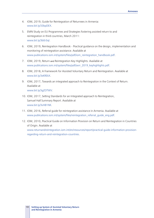- 4. IOM, 2019, Guide for Reintegration of Returnees in Armenia: www.bit.ly/33bpDEX.
- 5. EMN Study on EU Programmes and Strategies fostering assisted return to and reintegration in third countries, March 2011: www.bit.ly/3b0r3ql.
- 6. IOM, 2019, Reintegration Handbook Practical guidance on the design, implementation and monitoring of reintegration assistance. Available at www.publications.iom.int/system/files/pdf/iom\_reintegration\_handbook.pdf.
- 7. IOM, 2019, Return and Reintegration Key Highlights. Available at www.publications.iom.int/system/files/pdf/avrr\_2019\_keyhighlights.pdf.
- 8. IOM, 2018, A Framework for Assisted Voluntary Return and Reintegration. Available at www.bit.ly/3xKREkX.
- 9. IOM, 2017, Towards an integrated approach to Reintegration in the Context of Return. Available at www.bit.ly/3gZOTWV.
- 10. IOM, 2017, Setting Standards for an Integrated approach to Reintegration, Samuel Hall Summary Report. Available at www.bit.ly/3vH81NK.
- 11. IOM, 2016, Referral guide for reintegration assistance in Armenia. Available at www.publications.iom.int/system/files/reintegration\_referral\_guide\_eng.pdf.
- 12. IOM, 2010, Practical Guide on Information Provision on Return and Reintegration in Countries of Origin. Available at www.returnandreintegration.iom.int/en/resources/report/practical-guide-information-provisionregarding-return-and-reintegration-countries.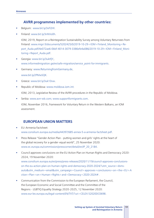# **AVRR programmes implemented by other countries:**

- § Belgium: www.bit.ly/3vFl2Hl.
- § Finland: www.bit.ly/3nNVo0h.

IOM, 2019, Report on a Reintegration Sustainability Survey among Voluntary Returnees from Finland: www.migri.fi/documents/5202425/0/2019-10-29+IOM+Finland\_Monitoring+Report\_Auda.pdf/4e072ae6-0bbf-4014-3079-3386efe4a086/2019-10-29+IOM+Finland\_Monitoring+Report\_Auda.pdf.

- § Georgia: www.bit.ly/3uktfjY, www.informedmigration.ge/en/safe-migration/service\_point-for-immigrants.
- § Germany: www.ReturningfromGermany.de, www.bit.ly/2PMwSQK.
- § Greece: www.bit.ly/3uk1Dvw.
- Republic of Moldova: www.moldova.iom.int.

IOM, 2013, Legislative Review of the AVRR procedures in the Republic of Moldova.

§ Serbia: www.avrr-wb.com; www.supportformigrants.com.

IOM, November 2016, Framework for Voluntary Return in the Western Balkans, an IOM assessment.

# **EUROPEAN UNION MATTERS**

#### § EU-Armenia Factsheet: www.consilium.europa.eu/media/44397/685-annex-5-a-armenia-factsheet.pdf.

- Press Release "Gender Action Plan putting women and girls' rights at the heart of the global recovery for a gender-equal world", 25 November 2020: www.ec.europa.eu/commission/presscorner/detail/en/IP\_20\_2184.
- § Council approves conclusions on the EU Action Plan on Human Rights and Democracy 2020- 2024, 19 November 2020: www.consilium.europa.eu/en/press/press-releases/2020/11/19/council-approves-conclusionson-the-eu-action-plan-on-human-rights-and-democracy-2020-2024/?utm\_source=dsmsauto&utm\_medium=email&utm\_campaign=Council+approves+conclusions+on+the+EU+A ction+Plan+on+Human+Rights+and+Democracy+2020-2024#.
- § Communication from the Commission to the European Parliament, the Council, the European Economic and Social Committee and the Committee of the Regions - LGBTIQ Equality Strategy 2020-2025, 12 November 2020: www.eur-lex.europa.eu/legal-content/EN/TXT/?uri=CELEX:52020DC0698.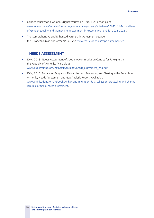- Gender equality and women's rights worldwide 2021-25 action plan: www.ec.europa.eu/info/law/better-regulation/have-your-say/initiatives/12240-EU-Action-Planof-Gender-equality-and-women-s-empowerment-in-external-relations-for-2021-2025-.
- **•** The Comprehensive and Enhanced Partnership Agreement between the European Union and Armenia (CEPA): www.eeas.europa.eu/cepa-agreement-en.

#### **NEEDS ASSESSMENT**

- **IOM, 2013, Needs Assessment of Special Accommodation Centres for Foreigners in** the Republic of Armenia. Available at www.publications.iom.int/system/files/pdf/needs\_assessment\_eng.pdf.
- § IOM, 2010, Enhancing Migration Data collection, Processing and Sharing in the Republic of Armenia, Needs Assessment and Gap Analysis Report. Available at www.publications.iom.int/books/enhancing-migration-data-collection-processing-and-sharingrepublic-armenia-needs-assessment.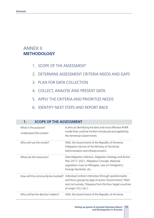# ANNEX II **METHODOLOGY**

- 1. SCOPE OF THE ASSESSMENT
- 2. DETERMINE ASSESSMENT CRITERIA NEEDS AND GAPS
- 3. PLAN FOR DATA COLLECTION

**1. SCOPE OF THE ASSESSMENT**

- 4. COLLECT, ANALYSE AND PRESENT DATA
- 5. APPLY THE CRITERIA AND PRIORITIZE NEEDS
- 6. IDENTIFY NEXT STEPS AND REPORT BACK

| . .<br>SCOLE OF THE ASSESSIVIENT               |                                                                                                                                                                                                   |
|------------------------------------------------|---------------------------------------------------------------------------------------------------------------------------------------------------------------------------------------------------|
| What is the purpose?<br>Understand the context | It aims at identifying the best and most effective AVRR<br>model that could be further introduced and applied by<br>the Armenian Government.                                                      |
| Who will use the results?                      | IOM, the Government of the Republic of Armenia<br>(Migration Service of the Ministry of Territorial<br>Administration and Infrastructures).                                                       |
| What are the resources?                        | Data Migration Statistics, Migration Strategy and Action<br>Plan 2017-2021, Migration Concept, National<br>Legislation (Law on Refugees, Law on Foreigners),<br>Emerge Factsheet, etc.            |
| How will the community be involved?            | Individual (online) interviews through questionnaires<br>and focus groups by type of actors (Government/NGO<br>and civil society / Diaspora from the four target countries<br>of origin/EU/etc.). |
| Who will be the decision makers?               | IOM, the Government of the Republic of Armenia.                                                                                                                                                   |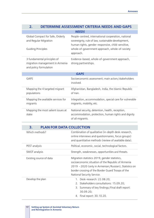| 2.<br>DETERMINE ASSESSMENT CRITERIA NEEDS AND GAPS                                       |                                                                                                                                                                                                                               |  |
|------------------------------------------------------------------------------------------|-------------------------------------------------------------------------------------------------------------------------------------------------------------------------------------------------------------------------------|--|
|                                                                                          | <b>NEEDS</b>                                                                                                                                                                                                                  |  |
| Global Compact for Safe, Orderly<br>and Regular Migration<br><b>Guiding Principles</b>   | People-centred, international cooperation, national<br>sovereignty, rule of law, sustainable development,<br>human rights, gender-responsive, child-sensitive,<br>whole-of-government approach, whole-of-society<br>approach. |  |
| 3 fundamental principles of<br>migration management in Armenia<br>and policy formulation | Evidence-based, whole-of-government approach,<br>strong partnerships.                                                                                                                                                         |  |
|                                                                                          | <b>GAPS</b>                                                                                                                                                                                                                   |  |
| <b>GAPS</b>                                                                              | Socioeconomic assessment; main actors/stakeholders<br>involved.                                                                                                                                                               |  |
| Mapping the 4 targeted migrant<br>populations                                            | Afghanistan, Bangladesh, India, the Islamic Republic<br>of Iran.                                                                                                                                                              |  |
| Mapping the available services for<br>migrants                                           | Integration, accommodation, special care for vulnerable<br>migrants, mobility, etc.                                                                                                                                           |  |
| Mapping the most salient issues at<br>stake                                              | National security, detention, health, reception,<br>accommodation, protection, human rights and dignity<br>of all migrants.                                                                                                   |  |

# **3. PLAN FOR DATA COLLECTION**

| Which methods?          | Combination of qualitative (in-depth desk-research,<br>online interviews and questionnaires, focus groups)<br>and quantitative methods (review of available data).                                                                              |
|-------------------------|-------------------------------------------------------------------------------------------------------------------------------------------------------------------------------------------------------------------------------------------------|
| PEST analysis           | Political, economic, social, technological factors.                                                                                                                                                                                             |
| SWOT analysis           | Strength, weaknesses, opportunities and threats.                                                                                                                                                                                                |
| Existing source of data | Migration statistics 2019, gender statistics,<br>socioeconomic situation of the Republic of Armenia<br>2019 - 2020 (only in Armenian/Russian), Statistics on<br>border crossing of the Border Guard Troops of the<br>National Security Service. |
| Develop the plan        | 1. Desk-research: 22.08.20;<br>2. Stakeholders consultations: 15.09.20;<br>3. Summary of key findings/Final draft report:<br>30.09.20;<br>4. Final report: 30.10.20.                                                                            |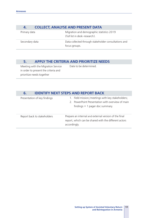# **4. COLLECT, ANALYSE AND PRESENT DATA**

| Primary data   | Migration and demographic statistics 2019<br>(full list in desk-research). |
|----------------|----------------------------------------------------------------------------|
| Secondary data | Data collected through stakeholder consultations and<br>focus groups.      |

# **5. APPLY THE CRITERIA AND PRIORITIZE NEEDS**

Meeting with the Migration Service in order to present the criteria and prioritize needs together

Date to be determined.

# **6. IDENTIFY NEXT STEPS AND REPORT BACK**

| Presentation of key findings | 1. Field mission/meetings with key stakeholders;<br>PowerPoint Presentation with overview of main<br>$\mathcal{P}$<br>findings $+1$ pager doc summary. |
|------------------------------|--------------------------------------------------------------------------------------------------------------------------------------------------------|
| Report back to stakeholders  | Prepare an internal and external version of the final<br>report, which can be shared with the different actors<br>accordingly.                         |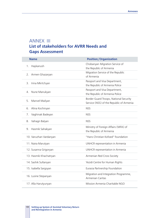# ANNEX III **List of stakeholders for AVRR Needs and Gaps Assessment**

| <b>Name</b>            | <b>Position/Organization</b>                                                       |
|------------------------|------------------------------------------------------------------------------------|
| Haykanush<br>1.        | Chobanyan Migration Service of<br>the Republic of Armenia                          |
| Armen Ghazaryan<br>2.  | Migration Service of the Republic<br>of Armenia                                    |
| Irina Mkrtchyan<br>З.  | Passport and Visa Department,<br>the Republic of Armenia Police                    |
| Nune Manukyan<br>4.    | Passport and Visa Department,<br>the Republic of Armenia Police                    |
| Manvel Mailyan<br>5.   | Border Guard Troops, National Security<br>Service (NSS) of the Republic of Armenia |
| Alina Kochinyan<br>6.  | <b>NSS</b>                                                                         |
| Vaghinak Badeyan<br>7. | <b>NSS</b>                                                                         |
| Vahagn Balyan<br>8.    | <b>NSS</b>                                                                         |
| Hasmik Sahakyan<br>9.  | Ministry of Foreign Affairs (MFA) of<br>the Republic of Armenia                    |
| 10. Varuzhan Vardanyan | "Hans Christian Kofoed" foundation                                                 |
| 11. Naira Marutyan     | UNHCR representation in Armenia                                                    |
| 12. Susanna Grigoryan  | <b>UNHCR</b> representation in Armenia                                             |
| 13. Hasmik Khachatryan | Armenian Red Cross Society                                                         |
| 14. Sashik Sultanyan   | Yezidi Centre for Human Rights                                                     |
| 15. Isabella Sargsyan  | Eurasia Partnership Foundation                                                     |
| 16. Lusine Stepanyan   | Migration and Integration Programme,<br>Armenian Caritas                           |
| 17. Alla Harutyunyan   | Mission Armenia Charitable NGO                                                     |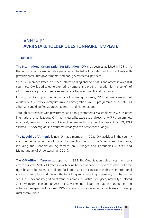# ANNEX IV **AVRR STAKEHOLDER QUESTIONNAIRE TEMPLATE**

# **ABOUT**

**The International Organization for Migration (IOM)** has been established in 1951. It is the leading intergovernmental organization in the field of migration and works closely with governmental, intergovernmental and non-governmental partners.

With 173 member states, a further 9 states holding observer status and offices in over 100 countries, IOM is dedicated to promoting humane and orderly migration for the benefit of all. It does so by providing services and advice to governments and migrants.

In particular, to support the reinsertion of returning migrants, IOM has been carrying out worldwide Assisted Voluntary Return and Reintegration (AVRR) programmes since 1979 as a humane and dignified approach to return and reintegration.

Through partnerships with government and non-governmental stakeholders as well as other international organizations, IOM has increased its expertise and reach of AVRR programmes, effectively assisting more than 1.6 million people throughout the years. In 2019, IOM assisted 64,958 migrants to return voluntarily to their countries of origin.

**The Republic of Armenia** joined IOM as a member in 1993. IOM activities in the country are grounded on a number of official documents signed with the Government of Armenia, including the Cooperation Agreement on Privileges and Immunities (1994) and Memorandum of Understanding (2001).

The **IOM office in Yerevan** was opened in 1993. The Organization's objectives in Armenia are: to assist the State of Armenia in achieving border management practices that strike the right balance between control and facilitation and are consistent with best international standards; to reduce and prevent the trafficking and smuggling of persons; to enhance the self-sufficiency and integration of returnees, trafficked victims, refugees, internally displaced and low income persons; to assist the Government in labour migration management; to enhance the capacity of national NGOs to address migration issues; to revitalize and develop rural communities.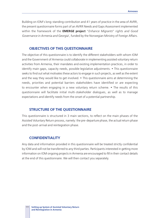Building on IOM's long-standing contribution and 41 years of practice in the area of AVRR, the present questionnaire forms part of an AVRR Needs and Gaps Assessment implemented within the framework of the **EMERGE project** "*Enhance Migrants*" *rights and Good Governance in Armenia and Georgia*', funded by the Norwegian Ministry of Foreign Affairs.

## **OBJECTIVES OF THIS QUESTIONNAIRE**

The objective of this questionnaire is to identify the different stakeholders with whom IOM and the Government of Armenia could collaborate in implementing assisted voluntary return activities from Armenia, their mandates and existing implementation practices, in order to identify main gaps, capacity needs, possible legislative adjustments. • This questionnaire seeks to find out what motivates these actors to engage in such projects, as well as the extent and the way they would like to get involved. • This questionnaire aims at determining the needs, priorities and potential barriers stakeholders have identified or are expecting to encounter when engaging in a new voluntary return scheme. • The results of this questionnaire will facilitate initial multi-stakeholder dialogues, as well as to manage expectations and identify needs from the onset of a potential partnership.

# **STRUCTURE OF THE QUESTIONNAIRE**

This questionnaire is structured in 3 main sections, to reflect on the main phases of the Assisted Voluntary Return process, namely: the pre-departure phase, the actual return phase and the post-arrival and reintegration phase.

#### **CONFIDENTIALITY**

Any data and information provided in this questionnaire will be treated strictly confidential by IOM and will not be transferred to any third parties. Participants interested in getting more information on IOM ongoing projects in Armenia are encouraged to fill in their contact details at the end of this questionnaire. We will then contact you separately.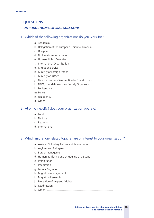# **QUESTIONS**

#### *INTRODUCTION: GENERAL QUESTIONS*

#### 1. Which of the following organizations do you work for?

- a. Academia
- b. Delegation of the European Union to Armenia
- c. Diaspora
- d. Diplomatic representation
- e. Human Rights Defender
- f. International Organization
- g. Migration Service
- h. Ministry of Foreign Affairs
- i. Ministry of Justice
- j. National Security Service, Border Guard Troops
- k. NGO, Foundation or Civil Society Organization
- l. Penitentiary
- m. Police
- n. UN agency
- o. Other

#### 2. At which level(s) does your organization operate?

- a. Local
- b. National
- c. Regional
- d. International

# 3. Which migration-related topic(s) are of interest to your organization?

- a. Assisted Voluntary Return and Reintegration
- b. Asylum and Refugees
- c. Border management
- d. Human trafficking and smuggling of persons
- e. Immigration
- f. Integration
- g. Labour Migration
- h. Migration management
- i. Migration Research
- j. Protection of migrants' rights
- k. Readmission
- l. Other: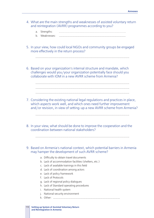- 4. What are the main strengths and weaknesses of assisted voluntary return and reintegration (AVRR) programmes according to you?
	- a. Strengths:
	- b. Weaknesses:
- 5. In your view, how could local NGOs and community groups be engaged more effectively in the return process?
- 6. Based on your organization's internal structure and mandate, which challenges would you/your organization potentially face should you collaborate with IOM in a new AVRR scheme from Armenia?
- 7. Considering the existing national legal regulations and practices in place, which aspects work well, and which ones need further improvement and/or revision, in view of setting-up a new AVRR scheme from Armenia?

- 8. In your view, what should be done to improve the cooperation and the coordination between national stakeholders?
- 9. Based on Armenia's national context, which potential barriers in Armenia may hamper the development of such AVRR scheme?
	- a. Difficulty to obtain travel documents
	- b. Lack of accommodation facilities (shelters, etc.)
	- c. Lack of available trainings in this field
	- d. Lack of coordination among actors
	- e. Lack of policy framework
	- f. Lack of Protocols
	- g. Lack of regional policy dialogues
	- h. Lack of Standard operating procedures
	- i. National health system
	- j. National security environment
	- k. Other:
- **Setting up System of Assisted Voluntary Return**  113 **and Reintegration in Armenia**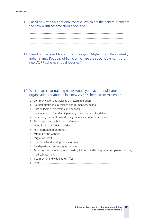10. Based on Armenia's national context, which are the general elements the new AVRR scheme should focus on?



11. Based on the possible countries of origin (Afghanistan, Bangladesh, India, Islamic Republic of Iran), which are the specific elements the new AVRR scheme should focus on?։



- a. Communication and visibility on return migration
- b. Counter-trafficking in Persons and Human Smuggling
- c. Data collection, processing and analysis
- d. Development of Standard Operating Procedures and Guidelines
- e. Enhancing cooperation and policy coherence on return migration
- f. Exchange tools, techniques and methods
- g. Identification of AVRR candidates
- h. Key return migration trends
- i. Migration and Gender
- j. Migration Health
- k. Post-arrival and reintegration assistance
- l. Pre-departure counselling techniques
- m. Return of people with special needs (victims of trafficking, unaccompanied minors, medical cases, etc.)
- n. Treatment of individual return files
- o. Other: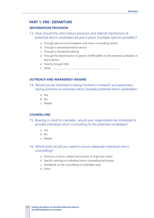# **PART 1: PRE- DEPARTURE**

#### *INFORMATION PROVISION*

- 13. How should the information provision and referral mechanism of potential return candidates be put in place (multiple options possible)?
	- a. Through special accommodation and return counselling centres
	- b. Through a centralized hotline service
	- c. Through a centralized website
	- d. Through the dissemination of generic AVRR leaflets to the potential candidates in key locations
	- e. Directly through IOM
	- f. Other:

#### *OUTREACH AND AWARENESS-RAISING*

- 14. Would you be interested in being involved in outreach and awarenessraising activities on voluntary return towards potential return candidates?
	- a. Yes
	- b. No
	- c. Maybe

#### *COUNSELLING*

- 15. Bearing in mind its mandate, would your organization be interested to provide individual return counselling to the potential candidates?
	- a. Yes
	- b. No
	- c. Maybe

# 16. Which tools would you need to ensure adequate individual return counselling?

- a. Provision of return-related and country of origin fact sheets
- b. Specific trainings on individual return counselling techniques
- c. Handbook on the counselling of vulnerable cases
- d. Other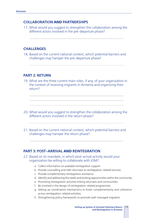# **COLLABORATION** AND **PARTNERSHIPS**

17. What would you suggest to strengthen the collaboration among the different actors involved in the pre-departure phase?

# **CHALLENGES**

18. Based on the current national context, which potential barriers and challenges may hamper the pre-departure phase?

# **PART 2: RETURN**

19. What are the three current main roles, if any, of your organization in the context of receiving migrants in Armenia and organizing their return?

# 20. What would you suggest to strengthen the collaboration among the

- different actors involved in the return phase?
- 21. Based on the current national context, which potential barriers and challenges may hamper the return phase?

# **PART 3: POST-ARRIVAL AND REINTEGRATION**

- 22. Based on its mandate, in which post-arrival activity would your organization be willing to collaborate with IOM?
	- a. Collect information on available reintegration support
	- b. Provide counselling and refer returnees to reintegration-related services
	- c. Provide complementary reintegration assistance
	- d. Identify and addressing the needs and existing opportunities within the community
	- e. Promoting reintegration activities linking returnees and communities
	- f. Be involved in the design of reintegration-related programmes
	- g. Setting up coordination mechanisms to foster complementarity and coherence across reintegration-related activities
	- h. Strengthening policy frameworks to promote well-managed migration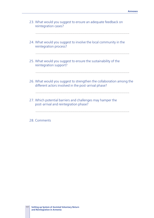- 23. What would you suggest to ensure an adequate feedback on reintegration cases?
	-
- 24. What would you suggest to involve the local community in the reintegration process?
- 25. What would you suggest to ensure the sustainability of the reintegration support?
- 26. What would you suggest to strengthen the collaboration among the different actors involved in the post-arrival phase?

- 27. Which potential barriers and challenges may hamper the post-arrival and reintegration phase?
- 28. Comments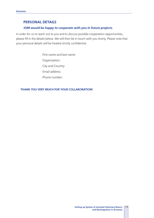# **PERSONAL DETAILS**

# *IOM would be happy to cooperate with you in future projects.*

In order for us to reach out to you and to discuss possible cooperation opportunities, please fill in the details below. We will then be in touch with you shorty. Please note that your personal details will be treated strictly confidential.

> First name and last name: Organization: City and Country: Email address: Phone number:

#### **THANK YOU VERY MUCH FOR YOUR COLLABORATION!**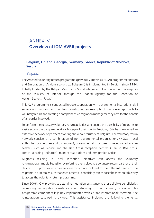# ANNEX V **Overview of IOM AVRR projects**

# **Belgium, Finland, Georgia, Germany, Greece, Republic of Moldova, Serbia**

# *Belgium*

The Assisted Voluntary Return programme (previously known as "REAB programme/Return and Emigration of Asylum-seekers ex-Belgium") is implemented in Belgium since 1984. Initially funded by the Belgian Ministry for Social Integration, it is now under the auspices of the Ministry of Interior, through the Federal Agency for the Reception of Asylum Seekers (Fedasil).

This AVR programme is conducted in close cooperation with governmental institutions, civil society and migrant communities, constituting an example of multi-level approach to voluntary return and creating a comprehensive migration management system for the benefit of all parties involved.

To perform the necessary voluntary return activities and ensure the possibility of migrants to easily access the programme at each stage of their stay in Belgium, IOM has developed an extensive network of partners covering the whole territory of Belgium. The voluntary return network consists of a combination of non-governmental organizations (NGOs), local authorities (some cities and communes), governmental structures for reception of asylum seekers such as Fedasil and the Red Cross reception centres (Flemish Red Cross, French-speaking Red Cross), migrant associations and Immigration Office.

Migrants residing in Local Reception Initiatives can access the voluntary return programme via Fedasil or by referring themselves to a voluntary return partner of their choice. This provides effective services which are tailored to the different needs of the migrants in order to ensure that each potential beneficiary can choose the most suitable way to access the voluntary return programme.

Since 2006, IOM provides structural reintegration assistance to those eligible beneficiaries requesting reintegration assistance after returning to their country of origin. This programme component is jointly implemented with Caritas International; therefore, the reintegration caseload is divided. This assistance includes the following elements: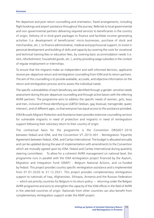Pre-departure and post-return counselling and orientation; Travel arrangements, including flight bookings and airport assistance throughout the journey; Referrals to local governmental and non-governmental partners delivering required services to beneficiaries in the country of origin; Delivery of in-kind grant packages to finance and facilitate income-generating activities (i.e. development of beneficiaries' micro-businesses, purchase of stock and merchandise, etc.), to finance administrative, medical and psychosocial support, to invest in personal development and building of skills and capacity by covering the costs for vocational and technical training fees or education fees, by covering basic accommodation needs (i.e. rent, refurbishment, household goods, etc.), and by providing wage subsidies in the context of regular employment or internships.

To ensure that the migrants make an independent and well-informed decision, applicants receive pre-departure return and reintegration counselling from IOM and its return partners. The aim of this counselling is to provide available, accurate, and objective information on the return and reintegration process and to assess the individual needs.

The specific vulnerabilities of each beneficiary are identified through a gender-sensitive needs assessment during the pre-departure counselling and through active liaison with the referring AVRR partners. The programme aims to address the specific needs of women, girls, boys and men, inclusive of those identifying as LGBTQI (lesbian, gay, bisexual, transgender, queer, intersex), and of different ages, so that everyone has equal access to the assistance provided.

IOM Brussels Migrant Protection and Assistance team provides extensive counselling services for vulnerable migrants in need of protection and migrants in need of reintegration support following their voluntary return to their country of origin.

The contractual basis for the programme is the Convention ORG001-2016 between Fedasil and IOM, and the Convention VT-2010-001 - Reintegration Tripartite Agreement between Fedasil, IOM, and Caritas International. The budget is allocated annually and can be updated during the year of implementation with amendments to the Convention which are mutually agreed upon by IOM, Fedasil and Caritas International during quarterly steering committees. To allow for a coherent AVRR management on national level, the programme runs in parallel with the IOM reintegration project financed by the Asylum, Migration and Integration Fund (AMIF) - Belgium National Actions, and co-funded by Fedasil. This project provides country specific reintegration assistance and is implemented from 01.01.2020 to 31.12.2021. This project provides complementary reintegration support to nationals of Iraq, Afghanistan, Ethiopia, Armenia and the Russian Federation  $-$  which are priority countries for Belgium in its return policy  $-$  returning under the Belgian AVRR programme and aims to strengthen the capacity of the IOM offices in the field of AVRR in the selected countries of origin. Nationals from other countries can also benefit from complementary reintegration support under the AMIF project.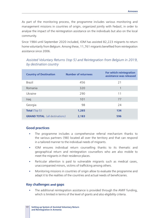As part of the monitoring process, the programme includes various monitoring and management missions in countries of origin, organized jointly with Fedasil, in order to analyse the impact of the reintegration assistance on the individuals but also on the local community.

Since 1984 until September 2020 included, IOM has assisted 82,223 migrants to return home voluntarily from Belgium. Among these, 11,761 migrants benefited from reintegration assistance since 2006.

*Assisted Voluntary Returns (top 5) and Reintegration from Belgium in 2019, by destination country* 

| <b>Country of Destination</b>         | <b>Number of returnees</b> | For which reintegration<br>assistance was released |
|---------------------------------------|----------------------------|----------------------------------------------------|
| <b>Brazil</b>                         | 456                        | 21                                                 |
| Romania                               | 320                        |                                                    |
| Ukraine                               | 290                        | 11                                                 |
| Iraq                                  | 101                        | 77                                                 |
| Georgia                               | 98                         | 24                                                 |
| <b>Total</b> (Top $5$ )               | 1,265                      | 134                                                |
| <b>GRAND TOTAL</b> (all destinations) | 2,183                      | 596                                                |

# **Good practices**

- The programme includes a comprehensive referral mechanism thanks to the various partners (98) located all over the territory and that can respond in a tailored manner to the individual needs of migrants.
- § IOM ensures individual return counselling thanks to its thematic and geographical return and reintegration counsellors who are also mobile to meet the migrants in their residence places.
- Particular attention is paid to vulnerable migrants such as medical cases, unaccompanied minors, victims of trafficking among others.
- Monitoring missions in countries of origin allow to evaluate the programme and adapt it to the realities of the countries and actual needs of beneficiaries.

# **Key challenges** and **gaps**

The additional reintegration assistance is provided through the AMIF funding, which is limited in terms of the level of grants and also eligibility criteria.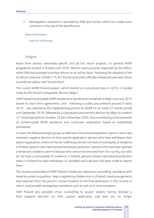• Reintegration assistance is provided by IOM and Caritas, which can create some confusion in the eye of the beneficiaries.

*More information* 

www.bit.ly/3h0cwyx.

# *Finland*

Apart from various nationality-specific and ad hoc return projects, no general AVRR programme existed in Finland until 2010. Returns were primarily organized by the Police, while IOM also arranged voluntary returns on an ad hoc basis. Following the adoption of the EU Return Directive (2008/115/EC) Finnish authorities officially introduced voluntary return as preferred option over forced return.

The current AVRR Finland project, which started on a structural basis in 2010, is funded today by the Finnish Immigration Service (Migri).

IOM Finland has provided AVRR assistance to beneficiaries on behalf of Migri since July 2015 based on short-term agreements, and – following a public procurement process in early 2016 – was selected as the implementing partner for AVRR for an initial 27-month period until September 2018, followed by a subsequent procurement decision by Migri for another 27-month period from October 2018 to December 2020, thus contributing to the provision of uninterrupted AVRR assistance and continued cooperation based on established procedures.

It covers the following target groups as defined in the national legislation: persons who have received a negative decision on their asylum application, persons who have withdrawn their asylum application, victims of human trafficking who do not have a municipality of residence in Finland, persons who have received temporary protection, persons who have been granted a temporary residence permit because they cannot be removed from the country, but who do not have a municipality of residence in Finland, persons whose international protection status in Finland has been withdrawn or cancelled and a decision has been made to deport them.

The assistance provided at IOM Finland includes pre-departure counselling, assistance with travel document acquisition, help in registering children born in Finland, travel arrangements and expenses from the person's current location to the final destination in the country of return, and possible reintegration assistance such as cash or in-kind assistance.

IOM Finland also provides initial counselling to asylum seekers having received a final negative decision on their asylum application and who are no longer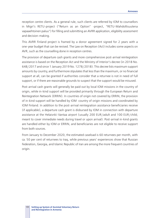reception centre clients. As a general rule, such clients are referred by IOM to counsellors in Migri's RETU-project ("Return as an Option" -project, "RETU-Mahdollisuutena vapaaehtoinen paluu") for filling and submitting an AVRR application, eligibility assessment and decision-making.

This AVRR Finland project is framed by a donor agreement signed for 2 years with a one-year budget that can be revised. The Law on Reception (Act) includes some aspects on AVR, such as the counselling done in reception centres.

The provision of departure cash grants and more comprehensive post-arrival reintegration assistance is based on the Reception Act and the Ministry of Interior's decree (in 2018 No. 648/2017 and since 1 January 2019 No. 1278/2018). This decree lists maximum support amounts by country, and furthermore stipulates that less than the maximum, or no financial support at all, can be granted if authorities consider that a returnee is not in need of full support, or if there are reasonable grounds to suspect that the support would be misused.

Post-arrival cash grants will generally be paid out by local IOM missions in the country of origin, while in-kind support will be provided primarily through the European Return and Reintegration Network (ERRIN). In countries of origin not covered by ERRIN, the provision of in-kind support will be handled by IOM country of origin missions and coordinated by IOM Finland. In addition to the post-arrival reintegration assistance beneficiaries receive (if applicable), a departure cash grant is disbursed by IOM in connection with departure assistance at the Helaisnki-Vantaa airport (usually 200 EUR/adult and 100 EUR/child; meant to cover immediate needs during travel or upon arrival). Post-arrival in-kind grants are handled either by IOM or ERRIN, and beneficiaries are not eligible to receive support from both sources.

From January to December 2020, the estimated caseload is 60 returnees per month, with ca. 50 per cent of returnees to Iraq, while previous years' experiences show that Russian Federation, Georgia, and Islamic Republic of Iran are among the more frequent countries of origin.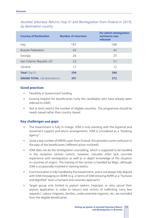| <b>Country of Destination</b>         | <b>Number of returnees</b> | For which reintegration<br>assistance was<br>released |
|---------------------------------------|----------------------------|-------------------------------------------------------|
| Iraq                                  | 187                        | 186                                                   |
| <b>Russian Federation</b>             | 42                         | 42                                                    |
| Georgia                               | 26                         | 25                                                    |
| Iran (Islamic Republic of)            | 22                         | 21                                                    |
| Ukraine                               | 17                         | 12                                                    |
| <b>Total</b> (Top $5$ )               | 294                        | 286                                                   |
| <b>GRAND TOTAL</b> (all destinations) | 391                        | 372                                                   |

*Assisted Voluntary Returns (top 5) and Reintegration from Finland in 2019, by destination country* 

#### **Good practices**

- **•** Flexibility in Government funding.
- **EXIST EXIST EXIST EXIST EXIST IN EXIST FOR FIGURE FIGURER EXIST:** EXIST EXIST EXIST EXIST EXIST EXIST EXIST EXIST EXIST EXIST EXIST EXIST EXIST EXIST EXIST EXIST EXIST EXIST EXIST EXIST EXIST EXIST EXIST EXIST EXIST EXI referred to IOM).
- Not to limit/restrict the number of eligible countries. The programme should be needs-based rather than country-based.

# **Key challenges** and **gaps**

- The Government is fully in charge, IOM is only assisting with the logistical and movement support and return arrangements. IOM is considered as a "booking agency".
- § Quite a big number of ERRIN cases from Finland: this provokes some confusion in the eyes of the beneficiaries (different actors involved).
- IOM does not do the reintegration counselling, which is supposed to be handled in the reception centres (which, however, naturally often lack concrete experience with reintegration as well as in-depth knowledge of the situation in countries of origin). The training of the centres is handled by Migri, although IOM is occasionally involved in training events.
- Communication is fully handled by the Government, and is not always fully aligned with IOM messaging on AVRR (e.g. in terms of IOM stressing AVRR as a "humane and dignified" lacks a humane and visionary approach).
- Target group only limited to asylum seekers (rejected, or who cancel their asylum application in order to return) and victims of trafficking (very few requests). Labour migrants, families, undocumented migrants, etc, are excluded from the eligible beneficiaries.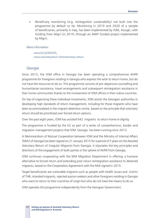§ Beneficiary monitoring (e.g. reintegration sustainability) not built into the programme by default so far. Monitoring in 2019 and 2020 of a sample of beneficiaries, primarily in Iraq, has been implemented by IOM, though, with funding from Migri (in 2019, through an AMIF-funded project implemented by Migri).

#### *More information*

www.bit.ly/2RsOiCE, www.voluntaryreturn.fi/en/voluntary-return.

# *Georgia*

Since 2013, the IOM office in Georgia has been operating a comprehensive AVRR programme for foreigners residing in Georgia who express the wish to return home, but do not have the resources to do so. This programme consists of pre-departure counselling and humanitarian assistance, travel arrangements and subsequent reintegration assistance in their home communities thanks to the involvement of IOM offices in their native countries.

On top of organizing these individual movements, IOM assists the Georgian authorities in developing high standards of return management, including for those migrants who have been accommodated in the migrant detention centre, based on the principle that voluntary return should be prioritized over forced return options.

Over the past eight years, IOM has assisted 642 migrants to return home in dignity.

The programme is funded by the EU as part of a series of comprehensive, border and migration-management projects that IOM Georgia has been running since 2013.

A Memorandum of Mutual Cooperation between IOM and the Ministry of Internal Affairs (MIA) of Georgia has been signed on 21 January 2015 for a period of 5 years on the Assisted Voluntary Return of Irregular Migrants from Georgia. It stipulates the key principles and directions of the engagement of both parties in the sphere of AVRR from Georgia.

IOM continues cooperating with the MIA Migration Department in offering a humane alternative to forced return and extending post-return reintegration assistance to detained migrants, based on the Cooperation Agreement with the MIA signed in 2015.

Target beneficiaries are vulnerable migrants such as people with health issues and victims of THB, stranded migrants, rejected asylum seekers and other foreigners residing in Georgia who want to return to their countries of origin but who do not have the means to do so.

IOM operates this programme independently from the Georgian Government.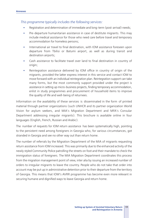# *This programme typically includes the following services:*

- Registration and determination of immediate and long-term (post-arrival) needs;
- § Pre-departure humanitarian assistance in case of destitute migrants. This may include medical assistance for those who need care before travel and temporary accommodation for homeless persons;
- International air travel to final destination, with IOM assistance foreseen upon departure from Tbilisi or Batumi airport, as well as during transit and destination airports;
- Cash assistance to facilitate travel over land to final destination in country of origin;
- Reintegration assistance delivered by IOM office in country of origin of the migrants, provided the latter express interest in this service and contact IOM to move forward with an individual reintegration plan. Reintegration support can take many forms, but the most commonly support provided under the project is assistance in setting up micro-business projects, finding temporary accommodation, enlist in study programmes and procurement of household items to improve the quality of life and well-being of returnees.

Information on the availability of these services is disseminated in the form of printed material through partner organizations (such UNHCR and its partner organization World Vision for asylum seekers, and MIA's Migration Department and MFA's Consular Department addressing irregular migrants). This brochure is available online in four languages (English, French, Russian and Arabic).

The number of requests for IOM return assistance has been systematically high, pointing to the persistent need among foreigners in Georgia who, for various circumstances, got stranded in Georgia and see no other way out than return home.

The number of referrals by the Migration Department of the MIA of migrants requesting return assistance from IOM increased. This was primarily due to the enhanced activity of the newly styled Community Police patrolling the streets on foot and their mandate to check the immigration status of foreigners. The MIA Migration Department coordinates this process from the migration management point of view, inter alia by issuing an increased number of orders to irregular migrants to leave the country. People who do not take that order into account may be put up in administrative detention prior to their departure from the territory of Georgia. This means that IOM's AVRR programme has become even more relevant in securing humane and dignified ways to leave Georgia and return home.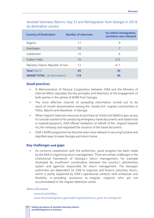| <b>Country of Destination</b>         | <b>Number of returnees</b> | For which reintegration<br>assistance was released |
|---------------------------------------|----------------------------|----------------------------------------------------|
| Nigeria                               | 17                         | 9                                                  |
| Azerbaijan                            | 10                         | 7                                                  |
| Uzbekistan                            | 10                         | 6                                                  |
| Sudan/India                           | 16                         | 3/5                                                |
| Pakistan/Islamic Republic of Iran     | 12                         | 4/1                                                |
| <b>Total</b> (Top $5$ )               | 65                         | 35                                                 |
| <b>GRAND TOTAL</b> (all destinations) | 118                        | 49                                                 |

# *Assisted Voluntary Returns (top 5) and Reintegration from Georgia in 2019, by destination country*

#### **Good practices**

- § A Memorandum of Mutual Cooperation between IOM and the Ministry of Internal Affairs stipulates the key principles and directions of the engagement of both parties in the sphere of AVRR from Georgia.
- The most effective channel of spreading information turned out to be word-of-mouth dissemination among the closely knit migrant communities in Tbilisi, Batumi and elsewhere in Georgia.
- When migrants had own resources to purchase air tickets but failed to gain access to consular assistance for producing emergency travel documents and replace lost or expired passports, IOM offered mediation on behalf of the migrant towards his/her embassy and requested the issuance of the travel document.
- § IOM's AVRR programme has become even more relevant in securing humane and dignified ways to leave Georgia and return home.

#### **Key challenges** and **gaps**

As concerns cooperation with the authorities, good progress has been made by the MIA in organizing return management. There are certain challenges in the institutional framework of Georgia's return management, for example illustrated by insufficient coordination between the country's penitentiary system and agencies responsible for return management. The Georgian authorities are dependent on IOM to organize and finance voluntary return, which is partly explained by IOM's operational contacts with embassies and flexibility in providing assistance to irregular migrants who are not accommodated in the migrant detention centre.

#### *More information*

www.bit.ly/3nKffgU, www.informedmigration.ge/en/safe-migration/service\_point-for-immigrants.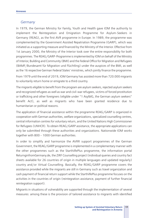# *Germany*

In 1979, the German Ministry for Family, Youth and Health gave IOM the authority to implement the Reintegration and Emigration Programme for Asylum-Seekers in Germany (REAG), as the first AVR programme in Europe. In 1989, the programme was complemented by the Government Assisted Repatriation Programme (GARP), which was initiated as a supporting measure and financed by the Ministry of the Interior. Effective from 1st January 2000, the Ministry of the Interior took over the entire responsibility for both programmes. The REAG/GARP-Programme is implemented by IOM on behalf of the Ministry of Interior, Building and Community (BMI) and the Federal Office for Migration and Refugees (BAMF/Bundesamt für Migration und Flüchtling) under the auspices of the BMI, as well as the 16 respective German Federal States' ministries, which jointly finance the programme.

From 1979 until the end of 2019, IOM Germany has assisted more than 720.000 migrants to voluntarily return home or emigrate to a third country.

The migrants eligible to benefit from the program are asylum seekers, rejected asylum seekers and recognized refugees as well as war and civil-war refugees, victims of forced prostitution or trafficking and other foreigners (eligible under "1 AsylblG, the German asylum seekers" benefit Act), as well as migrants who have been granted residence due to humanitarian or political reasons.

The application of financial assistance within the programme REAG/GARP is organized in cooperation with German authorities, welfare organizations, specialized counselling centres, central information centres for voluntary return, and the United Nations High Commissioner for Refugees (UNHCR). To obtain REAG/GARP assistance, the appropriate applications can only be submitted through these authorities and organizations. Nationwide IOM works together with 800 – 1000 German authorities.

In order to simplify and harmonize the AVRR support programmes of the German Government, the REAG/GARP programme is implemented in a complementary manner with the other programmes such as the StarthilfePlus programme, the information portal ReturnginfromGermany.de, the ZIRF Counselling project (individual queries and country fact sheets available for 26 countries of origin in multiple languages and updated regularly) country and/or Virtual Counselling. Basically, the REAG/GARP programme covers the assistance provided while the migrants are still in Germany such as travel organization and cash payment of financial return support while the StarthilfePlus programme focuses on the activities in the countries of origin (reintegration assistance, payment of further financial reintegration support).

Migrants in situations of vulnerability are supported through the implementation of several measures: among these is the provision of tailored assistance to migrants with identified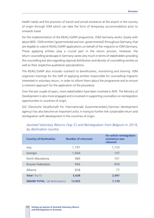health needs and the provision of transit and arrival assistance at the airport in the country of origin through IOM which can take the form of temporary accommodation prior to onwards travel.

For the implementation of the REAG/GARP programme, IOM Germany works closely with about 800-1000 entities (governmental and non-governmental) throughout Germany, that are eligible to submit REAG/GARP applications on behalf of the migrants to IOM Germany. These applying entities play a crucial part in the return process. However, the return-counselling landscape in Germany varies very much in terms of stakeholders providing the counselling but also regarding regional distribution and density of counselling centres as well as their respective qualitative specializations.

The REAG/GARP also includes outreach to beneficiaries, monitoring and training. IOM organizes trainings for the staff of applying entities responsible for counselling migrants interested in voluntary return, in order to inform them about the programme and to ensure a coherent approach for the application of the procedure

Over the last couple of years, more stakeholders have been involved in AVR. The Ministry of Development is also more engaged and is involved in supporting counsellors on reintegration opportunities in countries of origin.

GIZ (Deutsche Gesellschaft für Internationale Zusammenarbeit/German development agency) has also become an important actor, in trying to further link sustainable return and reintegration with development in the countries of origin.

| <b>Country of Destination</b>         | <b>Number of returnees</b> | For which reintegration<br>assistance was<br>released |
|---------------------------------------|----------------------------|-------------------------------------------------------|
| Iraq                                  | 1,791                      | 1,733                                                 |
| Georgia                               | 1,064                      | 147                                                   |
| North Macedonia                       | 989                        | 101                                                   |
| <b>Russian Federation</b>             | 956                        | 939                                                   |
| Albania                               | 838                        | 77                                                    |
| <b>Total</b> (Top $5$ )               | 5,638                      | 2,997                                                 |
| <b>GRAND TOTAL</b> (all destinations) | 13,053                     | 7,139                                                 |

# *Assisted Voluntary Returns (top 5) and Reintegration from Belgium in 2019, by destination country*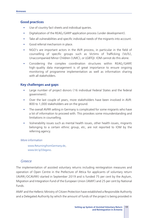# **Good practices**

- **■** Use of country fact sheets and individual queries.
- § Digitalization of the REAG/GARP application process (under development).
- Take all vulnerabilities and specific individual needs of the migrants into account.
- § Good referral mechanism in place.
- § NGO's are important actors in the AVR process, in particular in the field of counselling of specific groups such as Victims of Trafficking (VoTs), Unaccompanied Minor Children (UMC), or LGBTQI. IOM cannot do this alone.
- § Considering the complex coordination structures within REAG/GARP, high-quality data management is of great importance to ensure ongoing monitoring of programme implementation as well as information sharing with all stakeholders.

# **Key challenges** and **gaps**

- Large number of project donors (16 individual Federal States and the federal government).
- § Over the last couple of years, more stakeholders have been involved in AVR: 800 to 1,000 stakeholders are on the ground.
- The overall AVRR setting in Germany is complicated for some migrants who have a lot of information to proceed with. This provokes some misunderstanding and limitations in counselling.
- Vulnerability issues such as mental health issues, other health issues, migrants belonging to a certain ethnic group, etc, are not reported to IOM by the referring agency.

#### *More information*

www.ReturningfromGermany.de, www.bit.ly/33egsno.

# *Greece*

The implementation of assisted voluntary returns including reintegration measures and operation of Open Centre in the Prefecture of Attica for applicants of voluntary return (AVRR/OCAVRR) started in September 2019 and is funded 75 per cent by the Asylum, Migration and Integration Fund of the European Union (AMIF) and 25 per cent by National **Funds** 

AMIF and the Hellenic Ministry of Citizen Protection have established a Responsible Authority and a Delegated Authority by which the amount of funds of the project is being provided in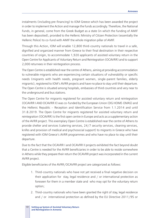instalments (including pre-financing) to IOM Greece which has been awarded the project in order to implement the Action and manage the funds accordingly. Therefore, the National Funds, in general, come from the Greek Budget as a state (in which the funding of AMIF has been deposited), provided to the Hellenic Ministry of Citizen Protection (essentially the Hellenic Police) to co-fund with AMIF the whole migration pillar of AMIF.

Through this Action, IOM will enable 12,800 third-country nationals to travel in a safe, dignified and organized manner from Greece to their final destination in their respective countries of origin, to accommodate 1,920 applicants of assisted voluntary return in the Open Centre for Applicants of Voluntary Return and Reintegration (OCAVRR) and to support 2,000 returnees in their reintegration process.

The Open Centre is established near the centre of Athens, aiming at providing accommodation to vulnerable migrants who are experiencing certain situations of vulnerability or specific needs (migrants with health needs, pregnant women, single-parent families, elderly migrants), registered to IOM's AVRR projects and have no place to stay until their departure. The Open Centre is situated among hospitals, embassies of third countries and very near to the underground and bus stations.

The Open Centre for migrants registered for assisted voluntary return and reintegration (OCAVRR I AND OCAVRR II) was co-funded by the European Union (DG HOME-EMAS) and the Hellenic Republic – Reception and Identification Service from 1.1.2014 and until 31.8.2019. The Open Centre for migrants registered for assisted voluntary return and reintegration (OCAVRR) is the first open centre in Europe and acts as a supplementary action of the AVRR project. This exemplary Open Centre is established near the centre of Athens to provide shelter and services (catering services, 24/7 security services, cleaning services, knifes and provision of medical and psychosocial support) to migrants in Greece who have registered with IOM Greece's AVRR programmes and who have no place to stay until their departure.

Due to the fact that the OCAVRR I and OCAVRR II projects exhibited the fact beyond doubt that a Centre is needed for the AVRR beneficiaries in order to be able to reside somewhere in Athens while they prepare their return the OCAVRR project was incorporated in the current AVRR project.

Eligible beneficiaries of the AVRR/OCAVRR project are categorized as follows:

- 1. Third-country nationals who have not yet received a final negative decision on their application for stay, legal residence and / or international protection as foreseen for them in a member state and who may opt for the voluntary return option;
- 2. Third-country nationals who have been granted the right of stay, legal residence and / or international protection as defined by the EU Directive 2011/95 or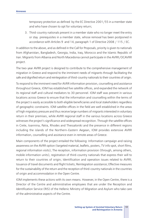temporary protection as defined by the EC Directive 2001/55 in a member state and who have chosen to opt for voluntary return;

3. Third-country nationals present in a member state who no longer meet the entry or stay prerequisites in a member state, whose removal has been postponed in accordance with Articles 9 and 14, paragraph 1 of Directive 2008 / 115 / EC.

In addition to the above, and as defined in the Call for Proposals, priority is given to nationals from Afghanistan, Bangladesh, Georgia, India, Iraq, Morocco and the Islamic Republic of Iran. Migrants from Albania and North Macedonia cannot participate in the AVRR/OCAVRR project.

The two-year AVRR project is designed to contribute to the comprehensive management of migration in Greece and respond to the imminent needs of migrants through facilitating the safe and dignified return and reintegration of third-country nationals to their countries of origin.

To respond to the imminent need for AVRR information provision, counselling and assistance throughout Greece, IOM has established five satellite offices, and expanded the network of its regional staff and cultural mediators to 30 personnel. IOM staff was present in various locations across Greece to ensure that the information and counselling within the terms of the project is easily accessible to both eligible beneficiaries and local stakeholders regardless of geographic constraints. IOM satellite offices in the field are well established in the areas of high migratory pressure and thus receive large numbers of migrants interested in voluntary return in their premises, while AVRR regional staff in the various locations across Greece witnesses the project's significance and widespread recognition. Through the satellite offices in Crete, Ioannina, Patra, Rhodes and Thessaloniki and the presence in different regions including the islands of the Northern–Eastern Aegean, IOM provides extensive AVRR information, counselling and assistance even in remote areas of Greece.

Main components of the project entailed the following: Information campaign and raising awareness on the AVRR option (targeted material, leaflets, posters, TV info spot, short films, regional information visits); The reception, information provision (through, among others, mobile information units), registration of third-country nationals that express their will to return to their countries of origin; Identification and operation issues related to AVRR; Issuance of travel documents and flight tickets; Reintegration assistance; Effective measures for the sustainability of the return and the reception of third-country nationals in the countries of origin and accommodation in the Open Centre.

IOM implements these actions with its own means. However, in the Open Centre, there is a Director of the Centre and administrative employees that are under the Reception and Identification Service (RIS) of the Hellenic Ministry of Migration and Asylum who take care of the administrative aspects of the Centre.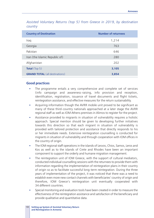*Assisted Voluntary Returns (top 5) from Greece in 2019, by destination country* 

| <b>Country of Destination</b>         | <b>Number of returnees</b> |
|---------------------------------------|----------------------------|
| Iraq                                  | 1,214                      |
| Georgia                               | 763                        |
| Pakistan                              | 646                        |
| Iran (the Islamic Republic of)        | 280                        |
| Afghanistan                           | 202                        |
| <b>Total</b> (Top $5$ )               | 3,105                      |
| <b>GRAND TOTAL</b> (all destinations) | 3,854                      |

#### **Good practices**

- The programme entails a very comprehensive and complete set of services (info campaign and awareness-raising, info provision and reception, identification, registration, issuance of travel documents and flight tickets, reintegration assistance, and effective measures for the return sustainability.
- § Acquiring information though the AVRR mobile unit proved to be significant as many of these third-country nationals approached at a later stage the AVRR regional staff as well as IOM Athens premises in Alimos to register for the project.
- Assistance provided to migrants in situation of vulnerability requires a holistic approach. Special mention should be given to developing further initiatives towards this direction so that each migrant in situation of vulnerability is provided with tailored protection and assistance that directly responds to his or her immediate needs. Extensive reintegration counselling is conducted for migrants in situation of vulnerability and through cooperation with IOM offices in the country of origin.
- The IOM regional staff operations in the islands of Lesvos, Chios, Samos, Leros and Kos as well as to the islands of Crete and Rhodes have been an important component to support the orderly and humane migration management.
- The reintegration unit of IOM Greece, with the support of cultural mediators, conducted individual counselling sessions with the returnees to provide them with information regarding the implementation of reintegration plans in their country of origin so as to facilitate successful long-term reintegration. During the three years of implementation of the project, it was noticed that there was a need to establish even more new contact channels with beneficiaries' country of origin and therefore, IOM Greece's reintegration unit eventually cooperated with 34 different countries.
- § Special monitoring and evaluation tools have been created in order to measure the effectiveness of the reintegration assistance and satisfaction of the beneficiary and provide qualitative and quantitative data.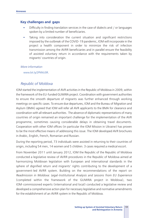#### **Key challenges and gaps**

- Difficulty in finding translation services in the case of dialects and / or languages spoken by a limited number of beneficiaries.
- Taking into consideration the current situation and significant restrictions imposed by the outbreak of the COVID-19 pandemic, IOM will incorporate in the project a health component in order to minimize the risk of infection transmission among the AVRR beneficiaries and in parallel ensure the feasibility of assisted voluntary return in accordance with the requirements taken by migrants' countries of origin.

#### *More information*

www.bit.ly/2PNNU0R.

## *Republic of Moldova*

IOM started the implementation of AVR activities in the Republic of Moldova in 2009, within the framework of the EU-funded GUMIRA project. Coordination with government authorities to ensure the smooth departure of migrants was further enhanced through working meetings on specific cases. To ensure due departures, IOM and the Bureau of Migration and Asylum (BMA) agreed that IOM will refer all AVR applicants to the BMA for clearance and coordination with all relevant authorities. The absence of diplomatic representations of many countries of origin remained an important challenge for the implementation of the AVR programme, sometimes causing considerable delays in obtaining travel documents. Cooperation with other IOM offices (in particular the IOM Mission in Ukraine) has proven to be the most effective means of addressing this issue. The IOM developed AVR brochures in Arabic, English, French, Romanian and Russian.

During the reporting period, 73 individuals were assisted in returning to their countries of origin, including 54 men, 14 women and 5 children. 3 cases required a medical escort.

From November 2011 until January 2012, IOM the Republic of the Republic of Moldova conducted a legislative review of AVRR procedures in the Republic of Moldova aimed at harmonizing Moldovan legislation with European and international standards in the sphere of dignified return and migrants' rights contributing to the development of a government-led AVRR system. Building on the recommendations of the report on *Readmission in Moldova: Legal-Institutional Analysis and Lessons from EU Experience*  (completed within the framework of the GUMIRA project in Moldova), two IOM-commissioned experts (international and local) conducted a legislative review and developed a comprehensive action plan for necessary legislative and normative amendments for the establishment of an AVRR system in the Republic of Moldova.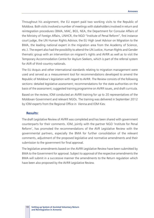Throughout his assignment, the EU expert paid two working visits to the Republic of Moldova. Both visits involved a number of meetings with stakeholders involved in return and reintegration procedures (BMA, MAC, BGS, NEA, the Department for Consular Affairs of the Ministry of Foreign Affairs, UNHCR, the NGO "Institute of Penal Reform", first instance court judge, the UN Human Rights Advisor, the EU High Level Advisor on Migration to the BMA, the leading national expert in the migration area from the Academy of Science, etc.). The expert also had the possibility to attend the UN Justice, Human Rights and Gender thematic group with an intervention on migrant's rights and AVRR as well as to visit the Temporary Accommodation Centre for Asylum Seekers, which is part of the referral system for AVR of third-country nationals.

The EU Acquis and other international standards relating to migration management were used and served as a measurement tool for recommendations developed to amend the Republic of Moldova's legislation with regard to AVRR. The Review consists of the following sections: detailed legislative assessment; recommendations for the state authorities on the basis of the assessment; suggested training programme on AVRR issues, and draft curricula.

Based on the review, IOM conducted an AVRR training for up to 20 representatives of the Moldovan Government and relevant NGOs. The training was delivered in September 2012 by IOM experts from the Regional Office in Vienna and IOM Kiev.

#### **Results:**

The draft Legislative Review of AVRR was completed and has been shared with government counterparts for their comments. IOM, jointly with the partner NGO 'Institute for Penal Reform', has promoted the recommendations of the AVR Legislative Review with the governmental partners, especially the BMA for further consolidation of the relevant comments, adjustment of the proposed legislative and normative amendments and their submission to the government for final approval.

The legislative amendments based on the AVRR Legislative Review have been submitted by BMA to the Government for approval. Subject to approval of the respective amendments the BMA will submit in a successive manner the amendments to the Return regulation which have been also proposed by the AVRR Legislative Review.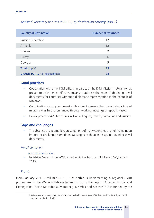| <b>Country of Destination</b>         | <b>Number of returnees</b> |
|---------------------------------------|----------------------------|
| <b>Russian Federation</b>             | 17                         |
| Armenia                               | 12                         |
| Ukraine                               | 9                          |
| Turkey                                | 6                          |
| Georgia                               | 5                          |
| <b>Total</b> (Top 5)                  | 49                         |
| <b>GRAND TOTAL</b> (all destinations) | 73                         |

# *Assisted Voluntary Returns in 2009, by destination country (top 5)*

#### **Good practices**

- § Cooperation with other IOM offices (in particular the IOM Mission in Ukraine) has proven to be the most effective means to address the issue of obtaining travel documents for countries without a diplomatic representation in the Republic of Moldova.
- § Coordination with government authorities to ensure the smooth departure of migrants was further enhanced through working meetings on specific cases.
- Development of AVR brochures in Arabic, English, French, Romanian and Russian.

## **Gaps and challenges**

The absence of diplomatic representations of many countries of origin remains an important challenge, sometimes causing considerable delays in obtaining travel documents.

#### *More information*

#### www.moldova.iom.int.

Legislative Review of the AVRR procedures in the Republic of Moldova, IOM, January 2013.

## *Serbia*

From January 2019 until mid-2021, IOM Serbia is implementing a regional AVRR programme in the Western Balkans for returns from the region (Albania, Bosnia and Herzegovina, North Macedonia, Montenegro, Serbia and Kosovo<sup>62</sup>). It is funded by the

<sup>&</sup>lt;sup>62</sup> References to Kosovo shall be understood to be in the context of United Nations Security Council resolution 1244 (1999).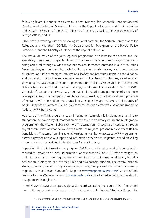following bilateral donors: the German Federal Ministry for Economic Cooperation and Development, the Federal Ministry of Interior of the Republic of Austria, and the Repatriation and Departure Service of the Dutch Ministry of Justice, as well as the Danish Ministry of Foreign Affairs, and EU.

IOM Serbia is working with the following national partners: the Serbian Commissariat for Refugees and Migration (SCRM), the Department for Foreigners of the Border Police Directorate, and the Ministry of Interior of the Republic of Serbia.

The overall objective of this joint regional programme is to increase the access and the availability of services to migrants who wish to return to their countries of origin. This goal is being achieved through a wide range of services: increased outreach in all six countries (reception/asylum centres, hotspots/public spaces, border areas, etc.); information dissemination – info campaigns, info sessions, leaflets and brochures; improved coordination and cooperation with other service providers e.g. police, health institutions, social services providers; increased capacities for implementation of the AVRR services in the Western Balkans (e.g. national and regional trainings, development of a Western Balkans AVRR Curriculum); support to the voluntary return and reintegration and promotion of sustainable reintegration (e.g. info campaigns, reintegration counselling on all 90 locations); provision of migrants with information and counselling subsequently upon return to their country of origin; support of Western Balkan governments through effective operationalization of national AVRR frameworks.

As a part of the AVRR programme, an information campaign is implemented, aiming to strengthen the availability of information on the assisted voluntary return and reintegration programme in the Western Balkans territory. The campaign messages are mostly sent through digital communication channels and are directed to migrants present in six Western Balkan beneficiaries. The campaign aims to enable migrants with better access to AVRR programme, as well as provide an overall support and information provision for migrants in need, travelling through or currently residing in the Western Balkans territory.

In parallel with the information campaign on AVRR, an additional campaign is being implemented for provision of useful information, as response to COVID-19, with messages on mobility restrictions, new regulations and requirements in international travel, but also prevention, protection, security measures and psychosocial support. The communication strategy, primarily based on digital campaign, is using multiple web platforms for informing migrants, such as the app Support for Migrants (www.supportformigrants.com) and the AVRR website for the Western Balkans (www.avrr-wb.com) as well as advertising on Facebook, Instagram and Google ads.

In 2016–2017, IOM developed regional Standard Operating Procedures (SOPs) on AVRR along with a gaps and needs assessment,<sup>63</sup> both under an EU funded "Regional Support for

<sup>&</sup>lt;sup>63</sup> Framework for Voluntary Return in the Western Balkans, an IOM assessment, November 2016.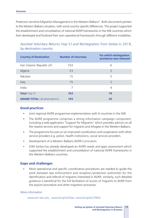Protection sensitive Migration Management in the Western Balkans". Both documents pertain to the Western Balkans situation, with some country specific differences. This project supported the establishment and consolidation of national AVRR frameworks in the WB countries which then developed and finalized their own operational frameworks through different modalities.

| <b>Country of Destination</b>         | <b>Number of returnees</b> | For which reintegration<br>assistance was released |
|---------------------------------------|----------------------------|----------------------------------------------------|
| Iran (Islamic Republic of)            | 103                        | 6                                                  |
| Algeria                               | 23                         | 2                                                  |
| Pakistan                              | 15                         | 5                                                  |
| Iraq                                  | 15                         | $\overline{2}$                                     |
| India                                 | 7                          | 4                                                  |
| <b>Total</b> (Top 5)                  | 163                        | 19                                                 |
| <b>GRAND TOTAL</b> (all destinations) | 193                        | 29                                                 |

# *Assisted Voluntary Returns (top 5) and Reintegration from Serbia in 2019, by destination country*

#### **Good practices**

- § Joint regional AVRR programme implementation with 6 countries in the WB.
- § The AVRR programme comprises a strong information campaign component, including a web application "Support for Migrants" which provides advices on all the nearest services and support for migrants and refugees in the Western Balkans.
- The programme focuses on an improved coordination and cooperation with other service providers e.g. police, health institutions, social services providers.
- **Development of a Western Balkans AVRR Curriculum.**
- § IOM Serbia has already developed an AVRR needs and gaps assessment which supported the establishment and consolidation of national AVRR frameworks in the Western Balkans countries.

#### **Gaps and challenges**

§ More operational and specific coordination procedures are needed to guide the work between law enforcement and reception/protection authorities for the identification and referral of migrants interested in AVRR; similarly, such detailed guidance is beneficial for the full facilitation of access of migrants to AVRR from the asylum procedure and other migration processes.

#### *More information*

www.avrr-wb.com, www.bit.ly/3vDVlae, www.bit.ly/3eU79OO.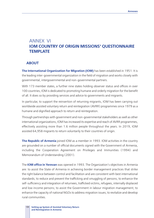# ANNEX VI **IOM COUNTRY OF ORIGIN MISSIONS**' **QUESTIONNAIRE TEMPLATE**

#### **ABOUT**

**The International Organization for Migration (IOM)** has been established in 1951. It is the leading inter-governmental organization in the field of migration and works closely with governmental, intergovernmental and non-governmental partners.

With 173 member states, a further nine states holding observer status and offices in over 100 countries, IOM is dedicated to promoting humane and orderly migration for the benefit of all. It does so by providing services and advice to governments and migrants.

In particular, to support the reinsertion of returning migrants, IOM has been carrying out worldwide assisted voluntary return and reintegration (AVRR) programmes since 1979 as a humane and dignified approach to return and reintegration.

Through partnerships with government and non-governmental stakeholders as well as other international organizations, IOM has increased its expertise and reach of AVRR programmes, effectively assisting more than 1.6 million people throughout the years. In 2019, IOM assisted 64,958 migrants to return voluntarily to their countries of origin.

**The Republic of Armenia** joined IOM as a member in 1993. IOM activities in the country are grounded on a number of official documents signed with the Government of Armenia, including the Cooperation Agreement on Privileges and Immunities (1994) and Memorandum of Understanding (2001).

The **IOM office in Yerevan** was opened in 1993. The Organization's objectives in Armenia are: to assist the State of Armenia in achieving border management practices that strike the right balance between control and facilitation and are consistent with best international standards; to reduce and prevent the trafficking and smuggling of persons; to enhance the self-sufficiency and integration of returnees, trafficked victims, refugees, internally displaced and low income persons; to assist the Government in labour migration management; to enhance the capacity of national NGOs to address migration issues; to revitalize and develop rural communities.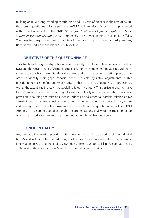Building on IOM's long-standing contribution and 41 years of practice in the area of AVRR, the present questionnaire forms part of an AVRR Needs and Gaps Assessment implemented within the framework of the **EMERGE project** "*Enhance Migrants*" *rights and Good Governance in Armenia and Georgia*", funded by the Norwegian Ministry of Foreign Affairs. The possible target countries of origin of the present assessment are Afghanistan, Bangladesh, India and the Islamic Republic of Iran.

#### **OBJECTIVES OF THIS QUESTIONNAIRE**

The objective of the general questionnaire is to identify the different stakeholders with whom IOM and the Government of Armenia could collaborate in implementing assisted voluntary return activities from Armenia, their mandates and existing implementation practices, in order to identify main gaps, capacity needs, possible legislative adjustments. • This questionnaire seeks to find out what motivates these actors to engage in such projects, as well as the extent and the way they would like to get involved. • This particular questionnaire for IOM missions in countries of origin focuses specifically on the reintegration assistance provision, analysing the missions' needs, priorities and potential barriers missions have already identified or are expecting to encounter when engaging in a new voluntary return and reintegration scheme from Armenia. • The results of this questionnaire will help IOM Armenia in developing a set of actionable recommendations in view of the implementation of a new assisted voluntary return and reintegration scheme from Armenia.

## **CONFIDENTIALITY**

Any data and information provided in this questionnaire will be treated strictly confidential by IOM and will not be transferred to any third parties. Participants interested in getting more information on IOM ongoing projects in Armenia are encouraged to fill in their contact details at the end of this questionnaire. We will then contact you separately.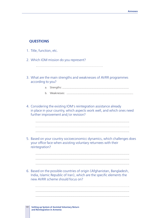## **QUESTIONS**

- 1. Title, function, etc.
- 2. Which IOM mission do you represent?
- 3. What are the main strengths and weaknesses of AVRR programmes according to you?
	- a. Strengths:
	- b. Weaknesses:

4. Considering the existing IOM's reintegration assistance already in place in your country, which aspects work well, and which ones need further improvement and/or revision?

- 5. Based on your country socioeconomicc dynamics, which challenges does your office face when assisting voluntary returnees with their reintegration?
- 6. Based on the possible countries of origin (Afghanistan, Bangladesh, India, Islamic Republic of Iran), which are the specific elements the new AVRR scheme should focus on?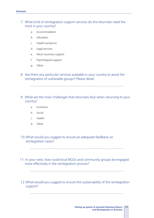## 7. What kind of reintegration support services do the returnees need the most in your country?

- a. Accommodation
- b. Education
- c. Health assistance
- d. Legal services
- e. Micro-business support
- f. Psychological support
- g. Other
- 8. Are there any particular services available in your country to assist the reintegration of vulnerable groups? Please detail.
- 9. What are the main challenges that returnees face when returning to your country?
	- a. Economic
	- b. Social
	- c. Health
	- d. Other

10.What would you suggest to ensure an adequate feedback on reintegration cases?

11. In your view, how could local NGOs and community groups be engaged more effectively in the reintegration process?

12.What would you suggest to ensure the sustainability of the reintegration support?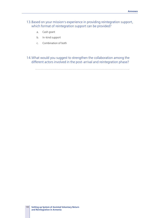- 13.Based on your mission's experience in providing reintegration support, which format of reintegration support can be provided?
	- a. Cash grant
	- b. In-kind support
	- c. Combination of both
- 14.What would you suggest to strengthen the collaboration among the different actors involved in the post-arrival and reintegration phase?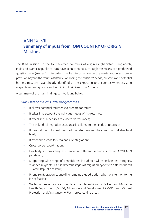# ANNEX VII **Summary of inputs from IOM COUNTRY OF ORIGIN Missions**

The IOM missions in the four selected countries of origin (Afghanistan, Bangladesh, India and Islamic Republic of Iran) have been contacted, through the means of a predefined questionnaire (Annex VI), in order to collect information on the reintegration assistance provision beyond the return assistance, analysing the missions' needs, priorities and potential barriers missions have already identified or are expecting to encounter when assisting migrants returning home and rebuilding their lives from Armenia.

A summary of the main findings can be found below.

## *Main strengths of AVRR programmes*

- **•** It allows potential returnees to prepare for return;
- **■** It takes into account the individual needs of the returnee;
- **•** It offers special services to vulnerable returnees;
- The in-kind reintegration assistance is tailored to the needs of returnees;
- § It looks at the individual needs of the returnees and the community at structural level;
- **•** It often time leads to sustainable reintegration;
- **•** Cross-border coordination:
- § Flexibility in providing assistance in different settings such as COVID-19 pandemic;
- § Supporting wide range of beneficiaries including asylum seekers, ex-refugees, stranded migrants, IDPs in different stages of migration cycle with different needs (Islamic Republic of Iran);
- Phone reintegration counselling remains a good option when onsite monitoring is not feasible;
- Well-coordinated approach in place (Bangladesh) with OPs Unit and Migration Health Department (MHD), Migration and Development (M&D) and Migrant Protection and Assistance (MPA) in cross-cutting areas.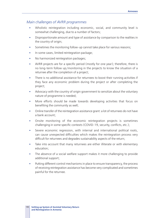## *Main challenges of AVRR programmes*

- Wholistic reintegration including economic, social, and community level is somewhat challenging, due to a number of factors;
- Disproportionate amount and type of assistance by comparison to the realities in the country of origin;
- Sometimes the monitoring follow-up cannot take place for various reasons;
- In some cases, limited reintegration package;
- § No harmonized reintegration packages;
- AVRR projects are for a specific period (mostly for one year); therefore, there is no long-term follow up/monitoring in the projects to know the situation of a returnee after the completion of a project;
- There is no additional assistance for returnees to boost their running activities if they face any economic problem during the project or after completing the project;
- Advocacy with the country of origin government to sensitize about the voluntary nature of programme is needed;
- More efforts should be made towards developing activities that focus on benefiting the community as well;
- Online transfer of the reintegration assistance grant: a lot of returnees do not have a bank account;
- § Onsite monitoring of the economic reintegration projects is sometimes challenging in some specific contexts (COVID-19, security, conflicts, etc.);
- Severe economic regression, with internal and international political roots, can cause unexpected difficulties which makes the reintegration process very difficult for returnees and degrades sustainability aspects of the return;
- Take into account that many returnees are either illiterate or with elementary education;
- The absence of a social welfare support makes it more challenging to provide additional support;
- Putting different control mechanisms in place to ensure transparency, the process of receiving reintegration assistance has become very complicated and sometimes painful for the returnee.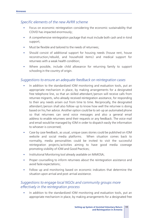## *Specific elements of the new AVRR scheme*

- Focus on economic reintegration considering the economic sustainability that COVID has impacted enormously;
- § A comprehensive reintegration package that must include both cash and in-kind support;
- § Must be flexible and tailored to the needs of returnees;
- § Should consist of additional support for housing needs (house rent, house reconstruction/rebuild, and household items) and medical support for returnees with a weak health condition;
- Where possible, include child allowance for returning family to support schooling in the country of origin.

## *Suggestions to ensure an adequate feedback on reintegration cases*

- In addition to the standardized IOM monitoring and evaluation tools, put an appropriate mechanism in place, by making arrangements for a designated free telephone line, so that an skilled attendant/person will receive calls from returnee migrants, who already received reintegration assistance, for responding to their any needs arisen out from time to time. Reciprocally, the designated attendant/person shall also follow-up to know how well the returnee is doing based on his/her advice. Another option could be to set-up an automated phone so that returnees can send voice messages and also a general email address to enable returnees send their requests or any feedback. The voice mail and email would be managed by IOM in order to dispatch easily the information to whoever is concerned;
- Case by case feedback, as usual, unique cases stories could be published on IOM website and social media platforms. When situation comes back to normality, media personalities could be invited to visit the successful reintegration projects/activities aiming to have good media coverage promoting visibility of IOM and Good Practices;
- **Institutional Monitoring tool already available on MiMOSA;**
- Proper counselling to inform returnees about the reintegration assistance and avoid fasle expectations;
- Follow up and monitoring based on economic indicators that determine the situation upon arrival and post-arrival assistance.

## *Suggestions to engage local NGOs and community groups more effectively in the reintegration process*

• In addition to the standardized IOM monitoring and evaluation tools, put an appropriate mechanism in place, by making arrangements for a designated free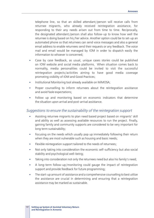telephone line, so that an skilled attendant/person will receive calls from returnee migrants, who already received reintegration assistance, for responding to their any needs arisen out from time to time. Reciprocally, the designated attendant/person shall also follow-up to know how well the returnee is doing based on his/her advice. Another option could be to set-up an automated phone so that returnees can send voice messages and also a general email address to enable returnees send their requests or any feedback. The voice mail and email would be managed by IOM in order to dispatch easily the information to whoever is concerned;

- Case by case feedback, as usual, unique cases stories could be published on IOM website and social media platforms. When situation comes back to normality, media personalities could be invited to visit the successful reintegration projects/activities aiming to have good media coverage promoting visibility of IOM and Good Practices;
- Institutional Monitoring tool already available on MiMOSA;
- Proper counselling to inform returnees about the reintegration assistance and avoid fasle expectations;
- Follow up and monitoring based on economic indicators that determine the situation upon arrival and post-arrival assistance.

#### *Suggestions to ensure the sustainability of the reintegration support*

- Assisting returnee migrants to plan need based project based on migrants' skill and ability as well as assessing available resources to run the project. Finally, gaining family and community supports are considered to be very important for long term sustainability;
- Focusing on the needs which usually pop up immediately following their return when they are most vulnerable such as housing and basic needs;
- **•** Flexible reintegration support tailored to the needs of returnees;
- § Not only taking into consideration the economic self-sufficiency but also social stability and psychological well-being;
- Taking into consideration not only the returnees need but also his family's need;
- A long-term follow-up/monitoring could gauge the impact of reintegration support and provide feedback for future programming;
- The start-up amount of assistance and a comprehensive counselling to best utilize the assistance are crucial in determining and ensuring that a reintegration assistance may be marked as sustainable.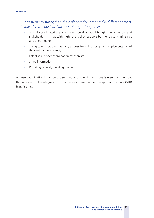# *Suggestions to strengthen the collaboration among the different actors involved in the post-arrival and reintegration phase*

- § A well-coordinated platform could be developed bringing in all actors and stakeholders in that with high level policy support by the relevant ministries and departments;
- Trying to engage them as early as possible in the design and implementation of the reintegration project;
- **Establish a proper coordination mechanism;**
- **•** Share information;
- **•** Providing capacity-building training.

A close coordination between the sending and receiving missions is essential to ensure that all aspects of reintegration assistance are covered in the true spirit of assisting AVRR beneficiaries.